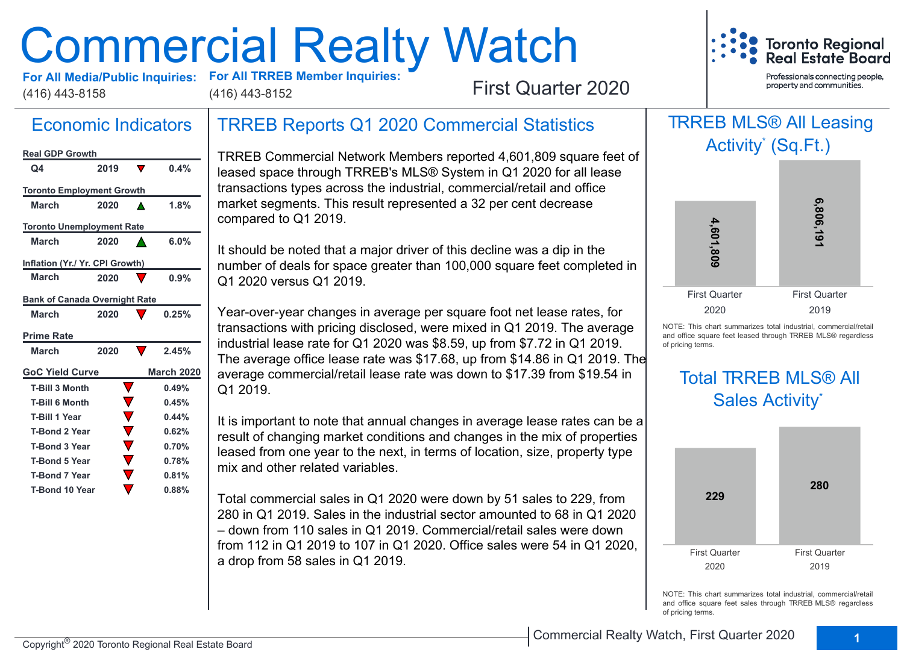# Commercial Realty Watch



(416) 443-8158 (416) 443-8152

**For All TRREB Member Inquiries:** 

First Quarter 2020

## Economic Indicators

| <b>Real GDP Growth</b>               |      |                   |
|--------------------------------------|------|-------------------|
| Q4                                   | 2019 | 0.4%              |
| <b>Toronto Employment Growth</b>     |      |                   |
| <b>March</b>                         | 2020 | 1.8%              |
| <b>Toronto Unemployment Rate</b>     |      |                   |
| <b>March</b>                         | 2020 | 6.0%              |
| Inflation (Yr./ Yr. CPI Growth)      |      |                   |
| March                                | 2020 | 0.9%              |
| <b>Bank of Canada Overnight Rate</b> |      |                   |
| <b>March</b>                         | 2020 | 0.25%             |
|                                      |      |                   |
| <b>Prime Rate</b>                    |      |                   |
| <b>March</b>                         | 2020 | 2.45%             |
| <b>GoC Yield Curve</b>               |      | <b>March 2020</b> |
| <b>T-Bill 3 Month</b>                |      | 0.49%             |
| <b>T-Bill 6 Month</b>                |      | 0.45%             |
| <b>T-Bill 1 Year</b>                 |      | 0.44%             |
| <b>T-Bond 2 Year</b>                 |      | 0.62%             |
| <b>T-Bond 3 Year</b>                 |      | 0.70%             |
| <b>T-Bond 5 Year</b>                 |      | 0.78%             |
| <b>T-Bond 7 Year</b>                 |      | 0.81%             |

## TRREB Reports Q1 2020 Commercial Statistics

TRREB Commercial Network Members reported 4,601,809 square feet of leased space through TRREB's MLS® System in Q1 2020 for all lease transactions types across the industrial, commercial/retail and office market segments. This result represented a 32 per cent decrease compared to Q1 2019.

It should be noted that a major driver of this decline was a dip in the number of deals for space greater than 100,000 square feet completed in Q1 2020 versus Q1 2019.

Year-over-year changes in average per square foot net lease rates, for transactions with pricing disclosed, were mixed in Q1 2019. The average industrial lease rate for Q1 2020 was \$8.59, up from \$7.72 in Q1 2019. The average office lease rate was \$17.68, up from \$14.86 in Q1 2019. The average commercial/retail lease rate was down to \$17.39 from \$19.54 in Q1 2019.

It is important to note that annual changes in average lease rates can be a result of changing market conditions and changes in the mix of properties leased from one year to the next, in terms of location, size, property type mix and other related variables.

Total commercial sales in Q1 2020 were down by 51 sales to 229, from 280 in Q1 2019. Sales in the industrial sector amounted to 68 in Q1 2020 – down from 110 sales in Q1 2019. Commercial/retail sales were down from 112 in Q1 2019 to 107 in Q1 2020. Office sales were 54 in Q1 2020, a drop from 58 sales in Q1 2019.



NOTE: This chart summarizes total industrial, commercial/retail and office square feet leased through TRREB MLS® regardless of pricing terms.

## Total TRREB MLS® All Sales Activity\*



NOTE: This chart summarizes total industrial, commercial/retail and office square feet sales through TRREB MLS® regardless of pricing terms.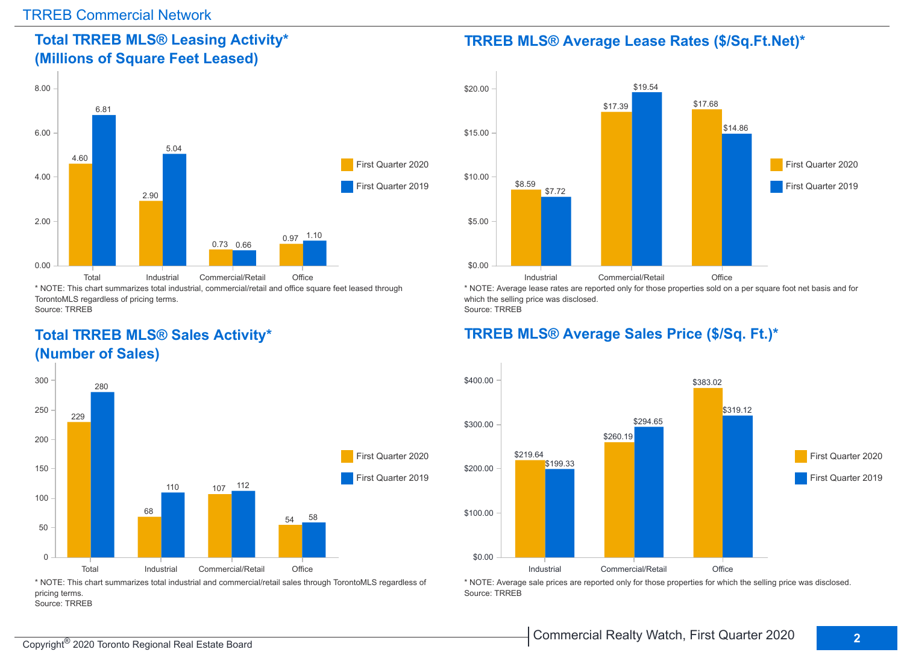## **Total TRREB MLS® Leasing Activity\* (Millions of Square Feet Leased)**



TorontoMLS regardless of pricing terms. Source: TRREB

## **Total TRREB MLS® Sales Activity\* (Number of Sales)**



\* NOTE: This chart summarizes total industrial and commercial/retail sales through TorontoMLS regardless of pricing terms. Source: TRREB

#### **TRREB MLS® Average Lease Rates (\$/Sq.Ft.Net)\***



\* NOTE: Average lease rates are reported only for those properties sold on a per square foot net basis and for which the selling price was disclosed. Source: TRREB

## **TRREB MLS® Average Sales Price (\$/Sq. Ft.)\***



\* NOTE: Average sale prices are reported only for those properties for which the selling price was disclosed. Source: TRREB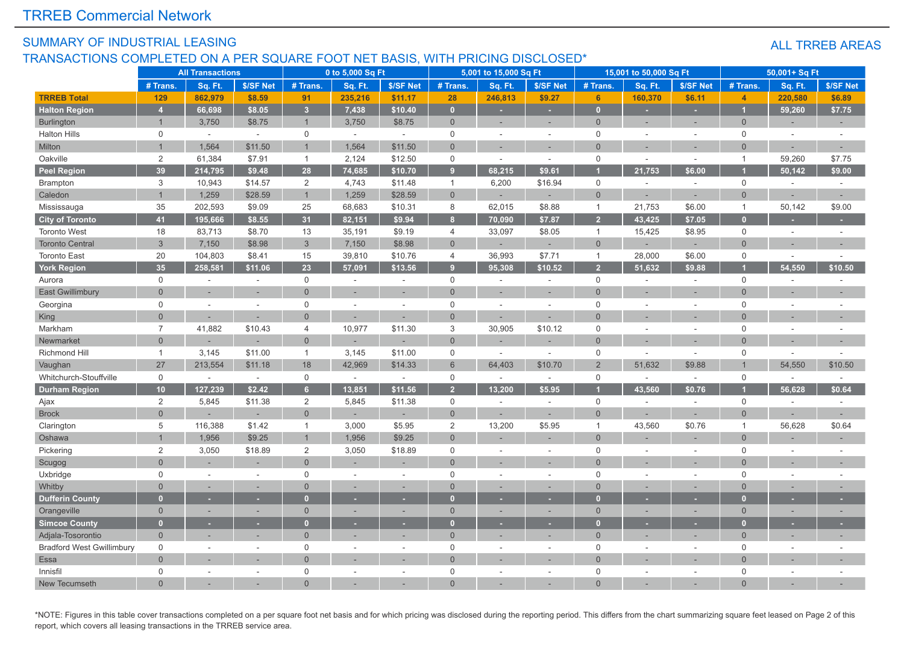#### SUMMARY OF INDUSTRIAL LEASING TRANSACTIONS COMPLETED ON A PER SQUARE FOOT NET BASIS, WITH PRICING DISCLOSED\*

#### ALL TRREB AREAS

|                                  |                     | <b>All Transactions</b> |           |                     | 0 to 5,000 Sq Ft |                |                  | 5,001 to 15,000 Sq Ft    |                 |                | 15,001 to 50,000 Sq Ft |                          |                     | 50,001+ Sq Ft |           |
|----------------------------------|---------------------|-------------------------|-----------|---------------------|------------------|----------------|------------------|--------------------------|-----------------|----------------|------------------------|--------------------------|---------------------|---------------|-----------|
|                                  | # Trans.            | Sq. Ft.                 | \$/SF Net | # Trans.            | Sq. Ft.          | \$/SF Net      | # Trans.         | Sq. Ft.                  | \$/SF Net       | # Trans.       | Sq. Ft.                | \$/SF Net                | # Trans.            | Sq. Ft.       | \$/SF Net |
| <b>TRREB Total</b>               | 129                 | 862,979                 | \$8.59    | 91                  | 235,216          | \$11.17        | 28               | 246,813                  | \$9.27          | 6 <sup>1</sup> | 160,370                | \$6.11                   | $\overline{4}$      | 220,580       | \$6.89    |
| <b>Halton Region</b>             | $\overline{4}$      | 66.698                  | \$8.05    | 3 <sup>2</sup>      | 7,438            | \$10.40        | $\mathbf{0}$     | ٠                        | ٠               | $\mathbf{0}$   | ٠                      | ٠                        |                     | 59,260        | \$7.75    |
| <b>Burlington</b>                | $\mathbf{1}$        | 3,750                   | \$8.75    | $\overline{1}$      | 3,750            | \$8.75         | $\overline{0}$   | ٠                        | ٠               | $\overline{0}$ | ٠                      | ٠                        | $\mathbf 0$         |               | $\sim$    |
| <b>Halton Hills</b>              | $\mathbf 0$         | $\sim$                  | $\sim$    | $\mathbf 0$         | $\sim$           | $\sim$         | $\mathbf 0$      | $\overline{\phantom{a}}$ | $\overline{a}$  | $\mathbf 0$    |                        | $\sim$                   | $\mathbf 0$         | $\sim$        | $\sim$    |
| Milton                           |                     | 1,564                   | \$11.50   | $\overline{1}$      | 1,564            | \$11.50        | $\Omega$         |                          |                 | $\Omega$       |                        |                          | $\Omega$            |               |           |
| Oakville                         | 2                   | 61,384                  | \$7.91    | $\mathbf{1}$        | 2,124            | \$12.50        | $\mathbf 0$      | ÷,                       | $\sim$          | $\mathbf 0$    | $\sim$                 | $\sim$                   | $\mathbf{1}$        | 59,260        | \$7.75    |
| <b>Peel Region</b>               | 39                  | 214,795                 | \$9.48    | 28                  | 74,685           | \$10.70        | $\overline{9}$   | 68,215                   | \$9.61          |                | 21,753                 | \$6.00                   |                     | 50,142        | \$9.00    |
| <b>Brampton</b>                  | 3                   | 10,943                  | \$14.57   | 2                   | 4,743            | \$11.48        | $\mathbf{1}$     | 6,200                    | \$16.94         | $\mathsf 0$    | $\sim$                 | $\sim$                   | $\mathsf{O}$        | ×.            | $\sim$    |
| Caledon                          | $\overline{1}$      | 1,259                   | \$28.59   | $\overline{1}$      | 1,259            | \$28.59        | $\overline{0}$   |                          |                 | $\overline{0}$ |                        | ×,                       | $\Omega$            |               |           |
| Mississauga                      | 35                  | 202,593                 | \$9.09    | 25                  | 68,683           | \$10.31        | 8                | 62,015                   | \$8.88          | $\overline{1}$ | 21,753                 | \$6.00                   | $\mathbf{1}$        | 50,142        | \$9.00    |
| <b>City of Toronto</b>           | 41                  | 195,666                 | \$8.55    | 31                  | 82,151           | \$9.94         | $\boldsymbol{8}$ | 70,090                   | \$7.87          | $\overline{2}$ | 43,425                 | \$7.05                   | n                   |               |           |
| <b>Toronto West</b>              | 18                  | 83,713                  | \$8.70    | 13                  | 35,191           | \$9.19         | 4                | 33,097                   | \$8.05          | $\overline{1}$ | 15,425                 | \$8.95                   | $\Omega$            | ÷.            |           |
| <b>Toronto Central</b>           | $\mathbf{3}$        | 7,150                   | \$8.98    | $\mathbf{3}$        | 7,150            | \$8.98         | $\Omega$         |                          |                 | $\mathbf 0$    |                        | $\overline{\phantom{a}}$ | $\Omega$            |               |           |
| <b>Toronto East</b>              | 20                  | 104,803                 | \$8.41    | 15                  | 39,810           | \$10.76        | 4                | 36,993                   | \$7.71          | $\mathbf{1}$   | 28,000                 | \$6.00                   | $\mathbf 0$         | $\sim$        |           |
| <b>York Region</b>               | 35                  | 258,581                 | \$11.06   | 23                  | 57,091           | \$13.56        | 9                | 95,308                   | \$10.52         | $\overline{2}$ | 51.632                 | \$9.88                   |                     | 54.550        | \$10.50   |
| Aurora                           | $\mathsf{O}\xspace$ | ÷.                      |           | $\mathsf{O}$        |                  | $\sim$         | $\mathsf 0$      |                          | ÷.              | $\mathsf 0$    |                        | ÷.                       | $\Omega$            | ÷.            |           |
| East Gwillimbury                 | $\Omega$            |                         |           | $\overline{0}$      |                  |                | $\Omega$         |                          |                 | $\Omega$       |                        |                          | $\Omega$            |               |           |
| Georgina                         | $\mathbf 0$         | $\sim$                  | $\sim$    | $\mathbf 0$         | $\sim$           | ÷,             | $\mathbf 0$      | $\overline{a}$           | $\overline{a}$  | $\Omega$       |                        | J.                       | $\Omega$            | $\sim$        |           |
| King                             | $\Omega$            |                         |           | $\overline{0}$      |                  |                | $\overline{0}$   |                          |                 | $\Omega$       |                        |                          | $\Omega$            |               |           |
| Markham                          | $\overline{7}$      | 41,882                  | \$10.43   | $\overline{4}$      | 10,977           | \$11.30        | 3                | 30,905                   | \$10.12         | $\mathbf 0$    |                        |                          | $\Omega$            |               |           |
| Newmarket                        | $\Omega$            |                         |           | $\overline{0}$      |                  |                | $\Omega$         |                          |                 | $\Omega$       |                        |                          | $\Omega$            | $\sim$        |           |
| Richmond Hill                    | $\mathbf{1}$        | 3,145                   | \$11.00   | $\overline{1}$      | 3,145            | \$11.00        | 0                | $\sim$                   | $\sim$          | 0              | $\sim$                 | $\sim$                   | 0                   | $\sim$        |           |
| Vaughan                          | 27                  | 213,554                 | \$11.18   | 18                  | 42,969           | \$14.33        | 6                | 64,403                   | \$10.70         | $\overline{2}$ | 51,632                 | \$9.88                   |                     | 54,550        | \$10.50   |
| Whitchurch-Stouffville           | $\mathbf 0$         | $\sim$                  | $\sim$    | $\mathsf{O}$        | $\mathcal{L}$    | $\sim$         | $\mathsf 0$      | $\overline{a}$           | $\sim$          | $\mathsf 0$    | $\sim$                 | $\sim$                   | $\mathsf{O}\xspace$ | $\sim$        |           |
| <b>Durham Region</b>             | 10                  | 127,239                 | \$2.42    | 6 <sup>1</sup>      | 13,851           | \$11.56        | $\overline{2}$   | 13,200                   | \$5.95          |                | 43,560                 | \$0.76                   |                     | 56,628        | \$0.64    |
| Ajax                             | $\overline{2}$      | 5,845                   | \$11.38   | $\overline{2}$      | 5,845            | \$11.38        | $\mathsf 0$      |                          |                 | $\mathbf 0$    |                        | J.                       | $\mathbf 0$         | J.            | $\sim$    |
| <b>Brock</b>                     | $\overline{0}$      |                         |           | $\overline{0}$      |                  |                | $\overline{0}$   |                          |                 | $\Omega$       |                        |                          | $\overline{0}$      |               |           |
| Clarington                       | 5                   | 116,388                 | \$1.42    | $\mathbf{1}$        | 3,000            | \$5.95         | $\sqrt{2}$       | 13,200                   | \$5.95          | $\overline{1}$ | 43,560                 | \$0.76                   | $\mathbf 1$         | 56,628        | \$0.64    |
| Oshawa                           |                     | 1,956                   | \$9.25    | $\overline{1}$      | 1,956            | \$9.25         | $\Omega$         |                          |                 | $\Omega$       |                        |                          | $\Omega$            |               |           |
| Pickering                        | 2                   | 3,050                   | \$18.89   | $\overline{2}$      | 3,050            | \$18.89        | $\mathbf 0$      | ÷.                       | <b>Security</b> | $\mathbf 0$    |                        | ÷,                       | $\mathbf 0$         | ÷.            |           |
| Scugog                           | $\Omega$            |                         |           | $\overline{0}$      |                  |                | $\overline{0}$   |                          |                 | $\Omega$       |                        |                          | $\Omega$            |               |           |
| Uxbridge                         | $\mathsf{O}\xspace$ | ×.                      | $\sim$    | $\mathsf{O}\xspace$ |                  | $\overline{a}$ | $\mathbf 0$      | ÷                        | $\sim$          | $\mathbf 0$    | $\sim$                 | ÷.                       | $\Omega$            | $\sim$        |           |
| Whitby                           | $\overline{0}$      |                         |           | $\overline{0}$      |                  | ÷              | $\Omega$         |                          |                 | $\Omega$       |                        |                          | $\Omega$            | $\sim$        |           |
| <b>Dufferin County</b>           | $\overline{0}$      | ٠                       | ٠         | $\mathbf{0}$        | ٠                | ×              | $\Omega$         | ×.                       | ٠               | O              | $\sim$                 | $\sim$                   |                     | $\sim$        |           |
| Orangeville                      | $\overline{0}$      |                         |           | $\mathbf 0$         |                  | ÷.             | $\overline{0}$   |                          | $\sim$          | $\overline{0}$ |                        | ×.                       | $\Omega$            |               |           |
| <b>Simcoe County</b>             | $\mathbf{0}$        |                         | ٠         | $\mathbf{0}$        |                  | ٠              | $\Omega$         |                          | ٠               | О              |                        |                          |                     | ٠             |           |
| Adjala-Tosorontio                | $\Omega$            |                         |           | $\overline{0}$      |                  |                | $\Omega$         |                          |                 | $\Omega$       |                        |                          | $\Omega$            |               |           |
| <b>Bradford West Gwillimbury</b> | $\mathbf 0$         |                         |           | $\mathbf 0$         |                  |                | $\overline{0}$   |                          |                 | $\mathbf 0$    |                        |                          | $\Omega$            |               |           |
| Essa                             | $\Omega$            |                         |           | $\overline{0}$      |                  |                | $\Omega$         |                          |                 | $\Omega$       |                        |                          | $\Omega$            |               |           |
| Innisfil                         | $\mathbf 0$         |                         |           | $\mathsf{O}$        |                  | ÷,             | $\Omega$         |                          | ÷.              | $\Omega$       |                        |                          | $\Omega$            | $\sim$        |           |
| New Tecumseth                    | $\Omega$            |                         |           | $\Omega$            |                  |                | $\Omega$         |                          |                 | $\Omega$       |                        |                          | $\Omega$            |               |           |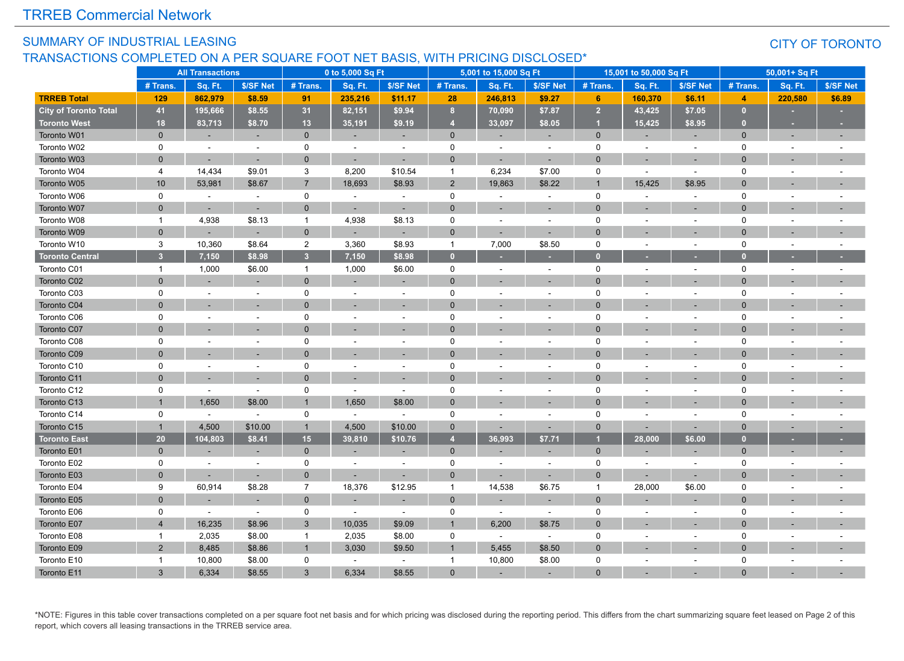#### SUMMARY OF INDUSTRIAL LEASING TRANSACTIONS COMPLETED ON A PER SQUARE FOOT NET BASIS, WITH PRICING DISCLOSED\*

#### CITY OF TORONTO

|                        |                         | <b>All Transactions</b> |           |                | 0 to 5,000 Sq Ft |                | 1010, 1111111  | 5,001 to 15,000 Sq Ft |                          |                | 15,001 to 50,000 Sq Ft   |           |                | 50,001+ Sq Ft |           |
|------------------------|-------------------------|-------------------------|-----------|----------------|------------------|----------------|----------------|-----------------------|--------------------------|----------------|--------------------------|-----------|----------------|---------------|-----------|
|                        | # Trans.                | Sq. Ft.                 | \$/SF Net | # Trans.       | Sq. Ft.          | \$/SF Net      | # Trans.       | Sq. Ft.               | \$/SF Net                | # Trans.       | Sq. Ft.                  | \$/SF Net | # Trans.       | Sq. Ft.       | \$/SF Net |
| <b>TRREB Total</b>     | 129                     | 862,979                 | \$8.59    | 91             | 235,216          | \$11.17        | 28             | 246,813               | \$9.27                   | 6              | 160,370                  | \$6.11    | $\overline{4}$ | 220,580       | \$6.89    |
| City of Toronto Total  | 41                      | 195,666                 | \$8.55    | 31             | 82,151           | \$9.94         | 8              | 70,090                | \$7.87                   | $\overline{2}$ | 43,425                   | \$7.05    | $\mathbf{0}$   |               |           |
| <b>Toronto West</b>    | 18                      | 83,713                  | \$8.70    | 13             | 35,191           | \$9.19         | $\overline{4}$ | 33,097                | \$8.05                   | -1             | 15,425                   | \$8.95    | $\overline{0}$ | $\sim$        | ×         |
| Toronto W01            | $\mathbf{0}$            |                         |           | $\mathbf{0}$   | $\sim$           | $\sim$         | $\mathbf{0}$   |                       |                          | $\mathbf{0}$   | $\overline{\phantom{a}}$ |           | $\Omega$       |               |           |
| Toronto W02            | 0                       | ÷.                      | $\sim$    | $\mathbf 0$    | $\blacksquare$   | $\sim$         | 0              |                       | ÷.                       | $\mathbf 0$    | ÷                        |           | $\Omega$       |               |           |
| Toronto W03            | $\Omega$                |                         |           | $\mathbf 0$    |                  |                | $\mathbf 0$    |                       |                          | $\Omega$       |                          |           | $\Omega$       |               |           |
| Toronto W04            | 4                       | 14,434                  | \$9.01    | 3              | 8,200            | \$10.54        | $\overline{1}$ | 6,234                 | \$7.00                   | $\mathbf 0$    |                          |           | $\Omega$       |               |           |
| Toronto W05            | 10                      | 53,981                  | \$8.67    | $\overline{7}$ | 18,693           | \$8.93         | 2              | 19,863                | \$8.22                   | -1             | 15,425                   | \$8.95    | $\Omega$       |               |           |
| Toronto W06            | $\mathbf 0$             | $\sim$                  | $\sim$    | 0              | $\sim$           | $\sim$         | 0              |                       | $\sim$                   | $\mathbf 0$    | ٠                        | $\sim$    | $\Omega$       |               |           |
| Toronto W07            | $\mathbf{0}$            |                         |           | $\mathbf 0$    |                  |                | $\mathbf{0}$   |                       | ٠                        | $\Omega$       |                          |           | $\Omega$       |               |           |
| Toronto W08            | $\mathbf{1}$            | 4,938                   | \$8.13    | $\overline{1}$ | 4,938            | \$8.13         | 0              | $\sim$                | $\sim$                   | $\Omega$       |                          |           | $\Omega$       |               |           |
| Toronto W09            | $\Omega$                |                         |           | $\mathbf{0}$   |                  |                | $\mathbf{0}$   |                       |                          | $\Omega$       |                          |           | $\Omega$       |               |           |
| Toronto W10            | 3                       | 10,360                  | \$8.64    | $\overline{2}$ | 3,360            | \$8.93         | $\overline{1}$ | 7,000                 | \$8.50                   | $\mathbf 0$    | $\overline{a}$           | $\sim$    | $\Omega$       |               |           |
| <b>Toronto Central</b> | 3 <sup>1</sup>          | 7,150                   | \$8.98    | 3 <sup>2</sup> | 7,150            | \$8.98         | $\bullet$      |                       |                          | $\Omega$       |                          |           | о              |               |           |
| Toronto C01            | $\mathbf{1}$            | 1,000                   | \$6.00    | $\mathbf{1}$   | 1,000            | \$6.00         | 0              |                       | $\overline{\phantom{a}}$ | 0              |                          |           | $\mathbf 0$    |               |           |
| Toronto C02            | $\Omega$                |                         |           | $\mathbf{0}$   |                  |                | $\Omega$       |                       |                          | $\Omega$       |                          |           | $\Omega$       |               |           |
| Toronto C03            | $\mathbf 0$             |                         |           | $\mathsf{O}$   |                  | $\sim$         | 0              |                       | $\overline{a}$           | $\Omega$       |                          |           | $\Omega$       |               |           |
| Toronto C04            | $\mathbf{0}$            |                         |           | $\mathbf{0}$   |                  |                | $\Omega$       |                       | ٠                        | $\Omega$       |                          |           | $\Omega$       |               |           |
| Toronto C06            | 0                       |                         | $\sim$    | $\mathbf 0$    |                  |                | 0              |                       | $\overline{\phantom{a}}$ | 0              |                          |           | $\mathbf 0$    |               |           |
| Toronto C07            | $\Omega$                |                         |           | $\Omega$       |                  |                | $\Omega$       |                       |                          | $\Omega$       |                          |           | $\Omega$       |               |           |
| Toronto C08            | $\mathbf 0$             |                         |           | $\mathbf 0$    |                  | $\overline{a}$ | 0              |                       |                          | $\Omega$       |                          |           | $\Omega$       |               |           |
| Toronto C09            | $\Omega$                |                         |           | $\overline{0}$ |                  |                | $\Omega$       |                       | ٠                        | $\Omega$       |                          |           | $\Omega$       |               |           |
| Toronto C10            | 0                       |                         |           | $\mathbf 0$    |                  |                | 0              |                       | $\sim$                   | 0              |                          |           | $\Omega$       |               |           |
| Toronto C11            | $\Omega$                |                         |           | $\Omega$       |                  |                | $\Omega$       |                       |                          | $\Omega$       |                          |           | $\Omega$       |               |           |
| Toronto C12            | 0                       |                         |           | $\mathbf 0$    | $\sim$           | $\overline{a}$ | 0              |                       |                          | $\Omega$       |                          |           | $\Omega$       |               |           |
| Toronto C13            | $\overline{1}$          | 1,650                   | \$8.00    | $\overline{1}$ | 1,650            | \$8.00         | $\Omega$       |                       | ٠                        | $\Omega$       |                          |           | $\Omega$       |               |           |
| Toronto C14            | $\mathbf 0$             | $\sim$                  | $\omega$  | 0              | $\omega$         | $\sim$         | 0              |                       | $\overline{\phantom{a}}$ | $\mathbf 0$    |                          |           | $\Omega$       |               |           |
| Toronto C15            | $\overline{1}$          | 4,500                   | \$10.00   | $\overline{1}$ | 4,500            | \$10.00        | $\mathbf{0}$   |                       | $\overline{\phantom{a}}$ | $\Omega$       | ٠                        |           | $\Omega$       |               |           |
| <b>Toronto East</b>    | 20                      | 104,803                 | \$8.41    | 15             | 39,810           | \$10.76        | $\overline{4}$ | 36,993                | \$7.71                   | и              | 28,000                   | \$6.00    | $\mathbf{0}$   |               |           |
| Toronto E01            | $\Omega$                |                         |           | $\mathbf{0}$   |                  | ÷.             | $\mathbf{0}$   |                       | н.                       | $\mathbf{0}$   |                          |           | $\Omega$       |               | ۳         |
| Toronto E02            | $\mathbf 0$             |                         |           | $\mathbf 0$    | $\sim$           |                | 0              |                       | $\overline{\phantom{a}}$ | $\mathbf 0$    |                          |           | $\Omega$       |               |           |
| Toronto E03            | $\Omega$                |                         |           | $\mathbf{0}$   |                  |                | $\mathbf{0}$   |                       |                          | $\mathbf{0}$   |                          |           | $\Omega$       |               |           |
| Toronto E04            | 9                       | 60,914                  | \$8.28    | $\overline{7}$ | 18,376           | \$12.95        | $\overline{1}$ | 14,538                | \$6.75                   | $\overline{1}$ | 28,000                   | \$6.00    | $\Omega$       |               |           |
| Toronto E05            | $\Omega$                |                         |           | $\mathbf 0$    |                  |                | $\Omega$       |                       |                          | $\Omega$       |                          |           | $\Omega$       |               |           |
| Toronto E06            | $\mathbf 0$             |                         | $\sim$    | $\mathbf 0$    |                  | $\sim$         | 0              |                       | $\sim$                   | $\mathbf 0$    |                          |           | $\Omega$       |               |           |
| Toronto E07            | $\overline{\mathbf{4}}$ | 16,235                  | \$8.96    | $\mathbf{3}$   | 10,035           | \$9.09         | $\overline{1}$ | 6,200                 | \$8.75                   | $\Omega$       |                          |           | $\Omega$       |               |           |
| Toronto E08            | $\mathbf{1}$            | 2,035                   | \$8.00    | $\mathbf{1}$   | 2,035            | \$8.00         | 0              | $\sim$                | $\sim$                   | $\mathbf 0$    |                          |           | $\Omega$       |               |           |
| Toronto E09            | 2                       | 8,485                   | \$8.86    | $\overline{1}$ | 3,030            | \$9.50         | $\overline{1}$ | 5,455                 | \$8.50                   | $\Omega$       |                          |           | $\Omega$       |               |           |
| Toronto E10            | $\mathbf{1}$            | 10,800                  | \$8.00    | $\mathbf 0$    | $\sim$           | $\sim$         | $\overline{1}$ | 10,800                | \$8.00                   | $\Omega$       |                          |           | $\Omega$       |               |           |
| Toronto E11            | 3                       | 6,334                   | \$8.55    | 3              | 6.334            | \$8.55         | $\Omega$       |                       |                          | $\Omega$       |                          |           |                |               |           |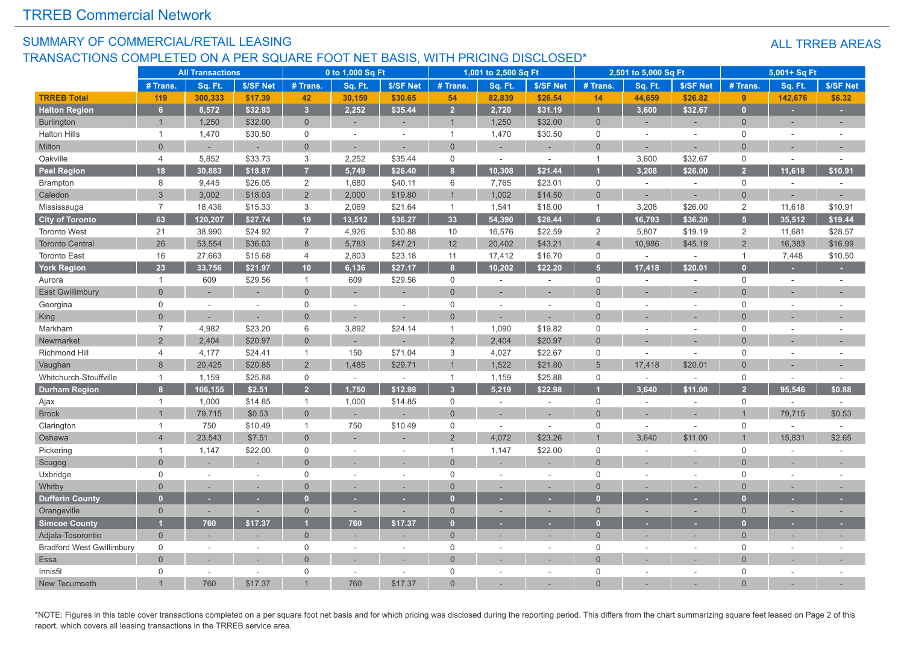#### SUMMARY OF COMMERCIAL/RETAIL LEASING TRANSACTIONS COMPLETED ON A PER SQUARE FOOT NET BASIS, WITH PRICING DISCLOSED\*

#### ALL TRREB AREAS

|                                  |                | <b>All Transactions</b>  |           |                     | 0 to 1,000 Sq Ft |                          |                     | 1,001 to 2,500 Sq Ft |           |                     | 2,501 to 5,000 Sq Ft |                |                | 5,001+ Sq Ft             |           |
|----------------------------------|----------------|--------------------------|-----------|---------------------|------------------|--------------------------|---------------------|----------------------|-----------|---------------------|----------------------|----------------|----------------|--------------------------|-----------|
|                                  | # Trans.       | Sq. Ft.                  | \$/SF Net | # Trans.            | Sq. Ft.          | \$/SF Net                | # Trans.            | Sq. Ft.              | \$/SF Net | # Trans.            | Sq. Ft.              | \$/SF Net      | # Trans.       | Sq. Ft.                  | \$/SF Net |
| <b>TRREB Total</b>               | 119            | 300,333                  | \$17.39   | 42                  | 30,159           | \$30.65                  | 54                  | 82,839               | \$26.54   | 14                  | 44,659               | \$26.82        | 9              | 142,676                  | \$6.32    |
| <b>Halton Region</b>             | 6 <sup>1</sup> | 8,572                    | \$32.93   | $\overline{3}$      | 2.252            | \$35.44                  | $\overline{2}$      | 2,720                | \$31.19   | и                   | 3.600                | \$32.67        | $\Omega$       | ×.                       | ٠         |
| <b>Burlington</b>                | $\overline{1}$ | 1,250                    | \$32.00   | $\overline{0}$      |                  | $\overline{\phantom{a}}$ | $\overline{1}$      | 1,250                | \$32.00   | $\mathbf 0$         | $\sim$               | ÷,             | $\mathbf{0}$   | ٠                        |           |
| <b>Halton Hills</b>              | $\mathbf{1}$   | 1,470                    | \$30.50   | $\mathsf{O}$        | $\sim$           | $\sim$                   | $\mathbf{1}$        | 1,470                | \$30.50   | $\mathbf 0$         |                      | ÷,             | $\mathbf 0$    | ÷,                       |           |
| Milton                           | $\Omega$       |                          |           | $\overline{0}$      |                  |                          | $\Omega$            |                      |           | $\overline{0}$      |                      |                | $\Omega$       |                          |           |
| Oakville                         | $\overline{4}$ | 5,852                    | \$33.73   | 3                   | 2,252            | \$35.44                  | $\mathbf 0$         | $\sim$               | $\sim$    | $\mathbf{1}$        | 3,600                | \$32.67        | $\mathsf 0$    | ÷.                       |           |
| <b>Peel Region</b>               | 18             | 30,883                   | \$18.87   | $\overline{7}$      | 5,749            | \$26.40                  | 8                   | 10,308               | \$21.44   |                     | 3,208                | \$26.00        | $\overline{2}$ | 11,618                   | \$10.91   |
| <b>Brampton</b>                  | 8              | 9,445                    | \$26.05   | 2                   | 1,680            | \$40.11                  | 6                   | 7,765                | \$23.01   | $\mathbf 0$         | $\sim$               | $\sim$         | $\mathbf 0$    | ÷,                       |           |
| Caledon                          | $\mathfrak{S}$ | 3,002                    | \$18.03   | $\overline{2}$      | 2,000            | \$19.80                  |                     | 1,002                | \$14.50   | $\mathbf 0$         |                      |                | $\mathbf{0}$   |                          |           |
| Mississauga                      | $\overline{7}$ | 18,436                   | \$15.33   | 3                   | 2,069            | \$21.64                  | $\mathbf{1}$        | 1,541                | \$18.00   | $\mathbf{1}$        | 3,208                | \$26.00        | $\overline{2}$ | 11,618                   | \$10.91   |
| <b>City of Toronto</b>           | 63             | 120,207                  | \$27.74   | 19                  | 13,512           | \$36.27                  | 33                  | 54,390               | \$28.44   | 6                   | 16,793               | \$36.20        | 5 <sup>1</sup> | 35,512                   | \$19.44   |
| <b>Toronto West</b>              | 21             | 38,990                   | \$24.92   | $\overline{7}$      | 4,926            | \$30.88                  | 10                  | 16,576               | \$22.59   | $\overline{2}$      | 5,807                | \$19.19        | 2              | 11,681                   | \$28.57   |
| <b>Toronto Central</b>           | 26             | 53,554                   | \$36.03   | 8                   | 5,783            | \$47.21                  | 12                  | 20,402               | \$43.21   | $\overline{4}$      | 10,986               | \$45.19        | $\overline{2}$ | 16,383                   | \$16.99   |
| <b>Toronto East</b>              | 16             | 27,663                   | \$15.68   | $\overline{4}$      | 2,803            | \$23.18                  | 11                  | 17,412               | \$16.70   | $\mathbf 0$         | $\sim$               | ÷,             | $\mathbf{1}$   | 7,448                    | \$10.50   |
| <b>York Region</b>               | 23             | 33,756                   | \$21.97   | 10                  | 6,136            | \$27.17                  | 8                   | 10,202               | \$22.20   | Б                   | 17,418               | \$20.01        |                |                          |           |
| Aurora                           | $\mathbf{1}$   | 609                      | \$29.56   | $\mathbf{1}$        | 609              | \$29.56                  | $\mathsf{O}\xspace$ | ÷,                   | $\sim$    | $\mathsf 0$         |                      | ÷,             | $\mathbf 0$    | $\overline{\phantom{a}}$ |           |
| East Gwillimbury                 | $\Omega$       |                          |           | $\overline{0}$      |                  |                          | $\Omega$            |                      |           | $\Omega$            |                      |                | $\Omega$       |                          |           |
| Georgina                         | $\mathbf 0$    | ÷.                       | $\sim$    | $\mathsf{O}$        | $\sim$           | ÷.                       | $\mathbf 0$         | ÷,                   | $\sim$    | $\Omega$            |                      | ÷,             | $\Omega$       | ÷,                       |           |
| King                             | $\overline{0}$ |                          |           | $\overline{0}$      |                  |                          | $\overline{0}$      |                      |           | $\Omega$            |                      |                | $\Omega$       |                          |           |
| Markham                          | $\overline{7}$ | 4,982                    | \$23.20   | 6                   | 3,892            | \$24.14                  | $\mathbf{1}$        | 1,090                | \$19.82   | $\mathbf 0$         |                      |                | $\Omega$       |                          |           |
| Newmarket                        | $\overline{2}$ | 2,404                    | \$20.97   | $\overline{0}$      |                  |                          | $\overline{2}$      | 2,404                | \$20.97   | $\Omega$            |                      |                | $\Omega$       |                          |           |
| Richmond Hill                    | 4              | 4,177                    | \$24.41   | $\overline{1}$      | 150              | \$71.04                  | 3                   | 4,027                | \$22.67   | $\mathbf 0$         |                      | ÷,             | $\Omega$       | $\overline{\phantom{a}}$ |           |
| Vaughan                          | 8              | 20,425                   | \$20.85   | $\overline{2}$      | 1,485            | \$29.71                  |                     | 1,522                | \$21.80   | 5                   | 17.418               | \$20.01        | $\Omega$       |                          |           |
| Whitchurch-Stouffville           | $\mathbf{1}$   | 1,159                    | \$25.88   | $\mathsf{O}\xspace$ | $\sim$           | $\overline{\phantom{a}}$ | $\mathbf{1}$        | 1,159                | \$25.88   | $\mathbf 0$         | $\sim$               | ÷,             | $\Omega$       | $\sim$                   |           |
| <b>Durham Region</b>             | 8              | 106,155                  | \$2.51    | $\overline{2}$      | 1,750            | \$12.98                  | 3                   | 5,219                | \$22.98   |                     | 3.640                | \$11.00        | $\overline{2}$ | 95,546                   | \$0.88    |
| Ajax                             | $\mathbf{1}$   | 1,000                    | \$14.85   | $\mathbf{1}$        | 1,000            | \$14.85                  | $\mathsf{O}\xspace$ | $\sim$               | $\sim$    | $\mathbf 0$         |                      | $\sim$         | $\mathbf 0$    | ÷,                       |           |
| <b>Brock</b>                     |                | 79,715                   | \$0.53    | $\overline{0}$      |                  |                          | $\Omega$            | $\overline{a}$       | $\sim$    | $\Omega$            |                      | $\overline{a}$ |                | 79,715                   | \$0.53    |
| Clarington                       | $\mathbf{1}$   | 750                      | \$10.49   | $\mathbf{1}$        | 750              | \$10.49                  | $\mathbf 0$         |                      |           | $\mathsf{O}\xspace$ |                      |                | $\mathbf 0$    |                          |           |
| Oshawa                           | $\overline{4}$ | 23,543                   | \$7.51    | $\mathbf{0}$        |                  |                          | $\overline{2}$      | 4,072                | \$23.26   |                     | 3,640                | \$11.00        |                | 15,831                   | \$2.65    |
| Pickering                        | $\mathbf{1}$   | 1,147                    | \$22.00   | $\mathsf{O}\xspace$ |                  | $\sim$                   | $\mathbf{1}$        | 1,147                | \$22.00   | $\mathbf 0$         |                      | ÷,             | $\Omega$       | ÷,                       |           |
| Scugog                           | $\overline{0}$ |                          |           | $\mathbf 0$         |                  |                          | $\overline{0}$      |                      |           | $\overline{0}$      |                      |                | $\Omega$       |                          |           |
| Uxbridge                         | $\mathbf 0$    | $\sim$                   | ÷         | $\mathbf 0$         |                  | $\sim$                   | $\mathbf 0$         | ÷,                   | $\sim$    | $\mathbf 0$         | $\sim$               | $\sim$         | $\Omega$       | ÷,                       |           |
| Whitby                           | $\Omega$       |                          |           | $\overline{0}$      |                  |                          | $\Omega$            |                      |           | $\Omega$            |                      |                | $\Omega$       |                          |           |
| <b>Dufferin County</b>           | $\overline{0}$ | н.                       |           | $\mathbf{0}$        |                  | ٠                        | $\overline{0}$      |                      |           | Ю                   |                      |                |                |                          |           |
| Orangeville                      | $\overline{0}$ | $\overline{\phantom{a}}$ |           | $\overline{0}$      |                  | $\overline{\phantom{a}}$ | $\Omega$            |                      |           | $\overline{0}$      |                      | ÷,             | $\Omega$       | ٠                        |           |
| <b>Simcoe County</b>             | и              | 760                      | \$17.37   | п                   | 760              | \$17.37                  | $\mathbf{0}$        | $\sim$               |           | п                   |                      |                |                | ٠                        |           |
| Adjala-Tosorontio                | $\mathbf{0}$   |                          |           | $\mathbf{0}$        |                  |                          | $\mathbf{0}$        |                      |           | $\Omega$            |                      |                | $\Omega$       |                          |           |
| <b>Bradford West Gwillimbury</b> | $\mathbf 0$    | ٠                        |           | $\mathbf 0$         |                  | $\sim$                   | $\mathbf 0$         | ÷                    |           | $\mathbf 0$         |                      | ÷,             | $\Omega$       | $\overline{a}$           |           |
| Essa                             | $\Omega$       |                          |           | $\Omega$            |                  |                          | $\Omega$            |                      |           | $\Omega$            |                      |                | $\Omega$       |                          |           |
| Innisfil                         | $\mathbf 0$    |                          |           | $\mathbf 0$         |                  | ÷                        | $\mathbf 0$         |                      |           | $\mathbf 0$         |                      | ÷              | $\Omega$       |                          |           |
| New Tecumseth                    |                | 760                      | \$17.37   |                     | 760              | \$17.37                  | $\Omega$            |                      |           |                     |                      |                | $\Omega$       |                          |           |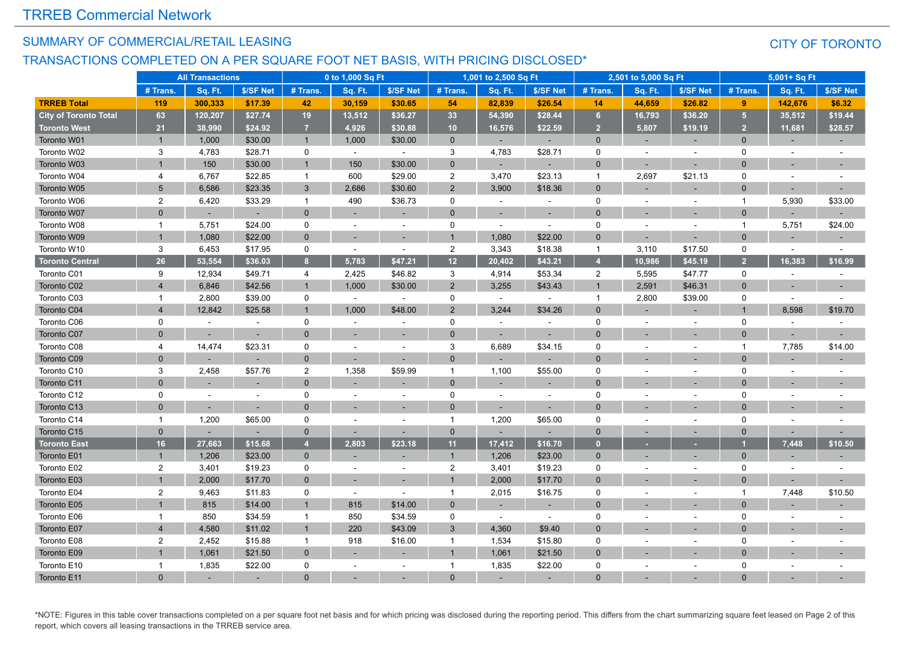#### SUMMARY OF COMMERCIAL/RETAIL LEASING

#### TRANSACTIONS COMPLETED ON A PER SQUARE FOOT NET BASIS, WITH PRICING DISCLOSED\*

#### CITY OF TORONTO

|                              |                | <b>All Transactions</b> |           |                | 0 to 1,000 Sq Ft |                |                | 1,001 to 2,500 Sq Ft |                |                | 2,501 to 5,000 Sq Ft |           |                | 5,001+ Sq Ft             |                          |
|------------------------------|----------------|-------------------------|-----------|----------------|------------------|----------------|----------------|----------------------|----------------|----------------|----------------------|-----------|----------------|--------------------------|--------------------------|
|                              | # Trans.       | Sq. Ft.                 | \$/SF Net | # Trans.       | Sq. Ft.          | \$/SF Net      | # Trans.       | Sq. Ft.              | \$/SF Net      | # Trans.       | Sq. Ft.              | \$/SF Net | # Trans.       | Sq. Ft.                  | \$/SF Net                |
| <b>TRREB Total</b>           | 119            | 300,333                 | \$17.39   | 42             | 30,159           | \$30.65        | 54             | 82,839               | \$26.54        | 14             | 44,659               | \$26.82   | 9              | 142,676                  | \$6.32                   |
| <b>City of Toronto Total</b> | 63             | 120,207                 | \$27.74   | 19             | 13,512           | \$36.27        | 33             | 54,390               | \$28.44        | 6              | 16,793               | \$36.20   | 5 <sup>1</sup> | 35,512                   | \$19.44                  |
| <b>Toronto West</b>          | 21             | 38,990                  | \$24.92   | $\overline{7}$ | 4,926            | \$30.88        | 10             | 16,576               | \$22.59        | $\overline{2}$ | 5,807                | \$19.19   | $\overline{2}$ | 11,681                   | \$28.57                  |
| Toronto W01                  | $\overline{1}$ | 1,000                   | \$30.00   | $\mathbf{1}$   | 1,000            | \$30.00        | $\mathbf{0}$   |                      |                | $\Omega$       | ц.                   |           | $\mathbf{0}$   |                          | $\sim$                   |
| Toronto W02                  | 3              | 4,783                   | \$28.71   | 0              | $\omega$         | $\omega$       | 3              | 4,783                | \$28.71        | $\mathbf 0$    |                      |           | $\Omega$       | $\blacksquare$           |                          |
| Toronto W03                  | $\overline{1}$ | 150                     | \$30.00   | $\overline{1}$ | 150              | \$30.00        | $\overline{0}$ |                      |                | $\Omega$       |                      |           | $\Omega$       |                          |                          |
| Toronto W04                  | 4              | 6,767                   | \$22.85   | $\overline{1}$ | 600              | \$29.00        | $\overline{c}$ | 3,470                | \$23.13        | $\overline{1}$ | 2,697                | \$21.13   | $\Omega$       | $\sim$                   |                          |
| Toronto W05                  | 5              | 6,586                   | \$23.35   | $\mathbf{3}$   | 2.686            | \$30.60        | $\overline{2}$ | 3,900                | \$18.36        | $\Omega$       |                      |           | $\Omega$       |                          |                          |
| Toronto W06                  | $\overline{2}$ | 6,420                   | \$33.29   | $\overline{1}$ | 490              | \$36.73        | $\mathbf 0$    | $\sim$               | $\sim$         | $\mathbf 0$    |                      | $\bar{a}$ | -1             | 5,930                    | \$33.00                  |
| Toronto W07                  | $\mathbf{0}$   |                         |           | $\mathbf{0}$   |                  |                | $\overline{0}$ |                      |                | $\Omega$       |                      |           | $\Omega$       |                          |                          |
| Toronto W08                  | $\mathbf{1}$   | 5,751                   | \$24.00   | 0              |                  | $\sim$         | $\mathbf 0$    | ÷                    | $\overline{a}$ | $\mathbf 0$    |                      | ÷.        | -1             | 5,751                    | \$24.00                  |
| Toronto W09                  | $\mathbf{1}$   | 1,080                   | \$22.00   | $\mathbf{0}$   |                  |                | $\overline{1}$ | 1,080                | \$22.00        | $\Omega$       |                      | $\sim$    | $\Omega$       |                          |                          |
| Toronto W10                  | 3              | 6,453                   | \$17.95   | $\mathbf 0$    | $\sim$           | $\sim$         | $\overline{2}$ | 3,343                | \$18.38        | $\overline{1}$ | 3,110                | \$17.50   | $\Omega$       | $\sim$                   |                          |
| <b>Toronto Central</b>       | 26             | 53,554                  | \$36.03   | 8              | 5,783            | \$47.21        | 12             | 20,402               | \$43.21        | z              | 10,986               | \$45.19   | $\overline{2}$ | 16,383                   | \$16.99                  |
| Toronto C01                  | 9              | 12,934                  | \$49.71   | $\overline{4}$ | 2,425            | \$46.82        | 3              | 4,914                | \$53.34        | $\overline{2}$ | 5,595                | \$47.77   | 0              | $\sim$                   |                          |
| Toronto C02                  | $\overline{4}$ | 6,846                   | \$42.56   | $\overline{1}$ | 1,000            | \$30.00        | 2              | 3,255                | \$43.43        | $\overline{1}$ | 2,591                | \$46.31   | $\mathbf{0}$   |                          |                          |
| Toronto C03                  | $\mathbf{1}$   | 2,800                   | \$39.00   | 0              | $\sim$           | $\sim$         | 0              | $\sim$               |                | $\overline{1}$ | 2,800                | \$39.00   | 0              | $\blacksquare$           | ÷.                       |
| Toronto C04                  | $\overline{4}$ | 12,842                  | \$25.58   | $\mathbf 1$    | 1,000            | \$48.00        | $\overline{2}$ | 3,244                | \$34.26        | $\Omega$       |                      |           |                | 8.598                    | \$19.70                  |
| Toronto C06                  | $\mathbf 0$    | $\sim$                  | $\sim$    | $\mathbf 0$    | $\sim$           | $\overline{a}$ | $\mathbf 0$    | $\overline{a}$       | $\sim$         | 0              |                      | ÷,        | 0              | $\sim$                   | $\overline{a}$           |
| Toronto C07                  | $\mathbf{0}$   |                         |           | $\mathbf{0}$   |                  |                | $\Omega$       |                      |                | $\Omega$       |                      |           | $\Omega$       |                          |                          |
| Toronto C08                  | 4              | 14,474                  | \$23.31   | 0              |                  | $\overline{a}$ | 3              | 6,689                | \$34.15        | 0              |                      | $\sim$    | -1             | 7,785                    | \$14.00                  |
| Toronto C09                  | $\mathbf{0}$   |                         |           | $\mathbf 0$    |                  |                | $\Omega$       |                      |                | $\Omega$       |                      |           | $\Omega$       |                          |                          |
| Toronto C10                  | 3              | 2,458                   | \$57.76   | $\overline{2}$ | 1,358            | \$59.99        | $\mathbf{1}$   | 1,100                | \$55.00        | $\mathbf 0$    |                      |           | $\Omega$       | $\sim$                   |                          |
| Toronto C11                  | $\Omega$       |                         |           | $\mathbf{0}$   |                  |                | $\overline{0}$ |                      |                | $\Omega$       |                      |           | 0              | $\overline{\phantom{a}}$ |                          |
| Toronto C12                  | 0              |                         |           | $\mathsf 0$    |                  |                | $\Omega$       |                      |                | $\Omega$       |                      |           | $\Omega$       |                          |                          |
| Toronto C13                  | $\Omega$       |                         | ٠         | $\mathbf{0}$   |                  | ٠              | $\Omega$       | ٠                    | $\sim$         | $\Omega$       |                      |           | U              | $\overline{\phantom{a}}$ |                          |
| Toronto C14                  | $\mathbf{1}$   | 1,200                   | \$65.00   | 0              |                  |                | $\mathbf{1}$   | 1,200                | \$65.00        | 0              |                      | ÷,        | 0              | $\sim$                   |                          |
| Toronto C15                  | $\mathbf{0}$   | ÷                       |           | $\mathbf 0$    |                  | ц.             | $\Omega$       |                      |                | $\mathbf{0}$   | $\sim$               | н.        | $\Omega$       | ÷.                       |                          |
| <b>Toronto East</b>          | 16             | 27,663                  | \$15.68   | $\overline{4}$ | 2,803            | \$23.18        | 11             | 17,412               | \$16.70        | $\Omega$       |                      |           |                | 7,448                    | \$10.50                  |
| Toronto E01                  | $\mathbf{1}$   | 1,206                   | \$23.00   | $\mathbf{0}$   |                  |                | $\mathbf{1}$   | 1,206                | \$23.00        | $\Omega$       |                      |           | $\Omega$       | $\overline{\phantom{a}}$ | $\overline{\phantom{a}}$ |
| Toronto E02                  | $\overline{2}$ | 3,401                   | \$19.23   | 0              | $\sim$           |                | $\overline{2}$ | 3,401                | \$19.23        | 0              |                      |           | 0              | $\blacksquare$           |                          |
| Toronto E03                  | $\overline{1}$ | 2,000                   | \$17.70   | $\mathbf 0$    |                  |                |                | 2,000                | \$17.70        | $\Omega$       |                      |           | $\Omega$       |                          |                          |
| Toronto E04                  | $\overline{2}$ | 9,463                   | \$11.83   | $\mathbf 0$    | $\sim$           | ÷,             | $\mathbf{1}$   | 2,015                | \$16.75        | $\mathbf 0$    |                      |           |                | 7,448                    | \$10.50                  |
| Toronto E05                  |                | 815                     | \$14.00   | $\overline{1}$ | 815              | \$14.00        | $\overline{0}$ |                      |                | $\mathbf{0}$   |                      |           | $\Omega$       |                          |                          |
| Toronto E06                  | $\mathbf{1}$   | 850                     | \$34.59   | $\overline{1}$ | 850              | \$34.59        | $\mathbf 0$    |                      | $\sim$         | 0              |                      |           | $\Omega$       | $\sim$                   |                          |
| Toronto E07                  | $\overline{4}$ | 4,580                   | \$11.02   | $\overline{1}$ | 220              | \$43.09        | $\mathbf{3}$   | 4,360                | \$9.40         | $\Omega$       |                      |           | $\Omega$       |                          |                          |
| Toronto E08                  | $\overline{2}$ | 2,452                   | \$15.88   | $\mathbf{1}$   | 918              | \$16.00        | $\mathbf{1}$   | 1,534                | \$15.80        | $\mathbf 0$    |                      | ÷,        | $\Omega$       | $\sim$                   |                          |
| Toronto E09                  |                | 1,061                   | \$21.50   | $\mathbf{0}$   |                  |                | $\overline{1}$ | 1,061                | \$21.50        | $\Omega$       |                      |           | $\Omega$       |                          |                          |
| Toronto E10                  | 1              | 1,835                   | \$22.00   | $\mathbf 0$    |                  | $\overline{a}$ | $\mathbf{1}$   | 1,835                | \$22.00        | $\Omega$       |                      |           | $\Omega$       |                          |                          |
| Toronto E11                  | $\Omega$       |                         |           | $\Omega$       |                  |                |                |                      |                | $\Omega$       |                      |           |                |                          |                          |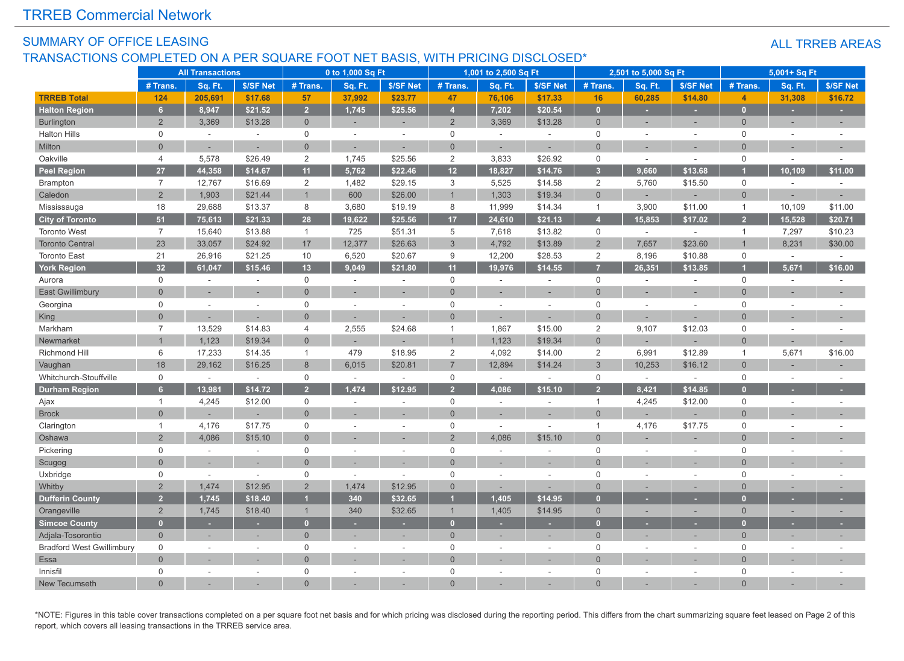#### SUMMARY OF OFFICE LEASING TRANSACTIONS COMPLETED ON A PER SQUARE FOOT NET BASIS, WITH PRICING DISCLOSED\*

#### ALL TRREB AREAS

|                                  |                | <b>All Transactions</b> |                             |                         | 0 to 1,000 Sq Ft |           |                           | 1,001 to 2,500 Sq Ft |                          |                         | 2,501 to 5,000 Sq Ft |                          |                     | 5,001+ Sq Ft             |           |
|----------------------------------|----------------|-------------------------|-----------------------------|-------------------------|------------------|-----------|---------------------------|----------------------|--------------------------|-------------------------|----------------------|--------------------------|---------------------|--------------------------|-----------|
|                                  | # Trans.       | Sq. Ft.                 | \$/SF Net                   | # Trans.                | Sq. Ft.          | \$/SF Net | # Trans.                  | Sq. Ft.              | \$/SF Net                | # Trans.                | Sq. Ft.              | \$/SF Net                | # Trans.            | Sq. Ft.                  | \$/SF Net |
| <b>TRREB Total</b>               | 124            | 205,691                 | \$17.68                     | 57                      | 37,992           | \$23.77   | 47                        | 76,106               | \$17.33                  | 16                      | 60,285               | \$14.80                  | $\overline{4}$      | 31,308                   | \$16.72   |
| <b>Halton Region</b>             | 6 <sup>1</sup> | 8,947                   | \$21.52                     | $\overline{2}$          | 1,745            | \$25.56   | $\overline{4}$            | 7,202                | \$20.54                  | $\overline{0}$          | ٠                    |                          | $\mathbf{0}$        | ٠                        | ×.        |
| <b>Burlington</b>                | $\overline{2}$ | 3,369                   | \$13.28                     | $\overline{0}$          |                  | ×.        | $\overline{2}$            | 3,369                | \$13.28                  | $\overline{0}$          | ÷                    | $\sim$                   | $\mathbf{0}$        |                          | ٠         |
| <b>Halton Hills</b>              | $\mathbf 0$    | $\sim$                  |                             | $\mathbf 0$             | $\sim$           | $\sim$    | $\mathbf 0$               | $\sim$               | $\sim$                   | $\mathbf 0$             | $\overline{a}$       | $\overline{a}$           | $\mathbf 0$         | $\sim$                   |           |
| Milton                           | $\Omega$       | $\overline{a}$          | $\sim$                      | $\overline{0}$          | $\sim$           | ÷.        | $\Omega$                  | ÷                    | ÷,                       | $\Omega$                | $\overline{a}$       | $\overline{\phantom{a}}$ | $\Omega$            | $\sim$                   |           |
| Oakville                         | $\overline{4}$ | 5,578                   | \$26.49                     | $\overline{2}$          | 1,745            | \$25.56   | $\sqrt{2}$                | 3,833                | \$26.92                  | 0                       | $\sim$               | $\sim$                   | $\mathsf{O}\xspace$ | $\sim$                   |           |
| <b>Peel Region</b>               | 27             | 44,358                  | \$14.67                     | 11                      | 5,762            | \$22.46   | 12                        | 18,827               | \$14.76                  | 3 <sup>2</sup>          | 9,660                | \$13.68                  |                     | 10,109                   | \$11.00   |
| <b>Brampton</b>                  | $\overline{7}$ | 12,767                  | \$16.69                     | $\sqrt{2}$              | 1,482            | \$29.15   | $\ensuremath{\mathsf{3}}$ | 5,525                | \$14.58                  | $\overline{2}$          | 5,760                | \$15.50                  | $\mathsf{O}\xspace$ | $\sim$                   |           |
| Caledon                          | $\overline{2}$ | 1,903                   | \$21.44                     | $\overline{1}$          | 600              | \$26.00   | $\overline{1}$            | 1,303                | \$19.34                  | $\overline{0}$          |                      |                          | $\overline{0}$      |                          |           |
| Mississauga                      | 18             | 29,688                  | \$13.37                     | 8                       | 3,680            | \$19.19   | 8                         | 11,999               | \$14.34                  | $\mathbf{1}$            | 3,900                | \$11.00                  | $\mathbf{1}$        | 10,109                   | \$11.00   |
| <b>City of Toronto</b>           | 51             | 75,613                  | \$21.33                     | 28                      | 19,622           | \$25.56   | 17                        | 24,610               | \$21.13                  | $\overline{\mathbf{A}}$ | 15,853               | \$17.02                  | 2 <sup>1</sup>      | 15,528                   | \$20.71   |
| <b>Toronto West</b>              | $\overline{7}$ | 15,640                  | \$13.88                     | $\mathbf{1}$            | 725              | \$51.31   | 5                         | 7,618                | \$13.82                  | 0                       | $\sim$               | $\sim$                   | $\mathbf{1}$        | 7,297                    | \$10.23   |
| <b>Toronto Central</b>           | 23             | 33,057                  | \$24.92                     | 17                      | 12,377           | \$26.63   | 3                         | 4,792                | \$13.89                  | $\overline{2}$          | 7,657                | \$23.60                  |                     | 8,231                    | \$30.00   |
| <b>Toronto East</b>              | 21             | 26,916                  | \$21.25                     | 10                      | 6,520            | \$20.67   | 9                         | 12,200               | \$28.53                  | $\overline{2}$          | 8,196                | \$10.88                  | $\mathsf{O}$        | $\sim$                   | $\sim$    |
| <b>York Region</b>               | 32             | 61,047                  | \$15.46                     | 13                      | 9,049            | \$21.80   | 11                        | 19,976               | \$14.55                  | 7                       | 26,351               | \$13.85                  |                     | 5,671                    | \$16.00   |
| Aurora                           | $\mathbf 0$    | $\sim$                  | $\sim$                      | $\mathsf{O}\xspace$     | $\sim$           | $\sim$    | $\mathbf 0$               | ×.                   | $\sim$                   | $\mathbf 0$             | $\sim$               | $\sim$                   | $\mathbf 0$         | $\sim$                   |           |
| <b>East Gwillimbury</b>          | $\overline{0}$ |                         |                             | $\overline{0}$          |                  |           | $\Omega$                  |                      | ×.                       | $\Omega$                |                      |                          | $\overline{0}$      |                          |           |
| Georgina                         | $\mathbf 0$    | $\overline{a}$          | $\sim$                      | $\mathbf 0$             |                  | $\sim$    | $\Omega$                  | $\sim$               | $\sim$                   | $\mathbf 0$             | $\sim$               | ÷,                       | $\Omega$            | $\sim$                   |           |
| King                             | $\Omega$       |                         |                             | $\Omega$                |                  |           | $\Omega$                  |                      |                          | $\Omega$                |                      |                          | $\Omega$            |                          |           |
| Markham                          | $\overline{7}$ | 13,529                  | \$14.83                     | $\overline{4}$          | 2,555            | \$24.68   | $\overline{1}$            | 1,867                | \$15.00                  | 2                       | 9,107                | \$12.03                  | $\mathbf 0$         | $\overline{\phantom{a}}$ |           |
| Newmarket                        |                | 1,123                   | \$19.34                     | $\overline{0}$          |                  |           | $\overline{1}$            | 1,123                | \$19.34                  | $\overline{0}$          |                      |                          | $\overline{0}$      |                          |           |
| Richmond Hill                    | 6              | 17,233                  | \$14.35                     | $\mathbf{1}$            | 479              | \$18.95   | 2                         | 4,092                | \$14.00                  | 2                       | 6,991                | \$12.89                  | $\mathbf{1}$        | 5,671                    | \$16.00   |
| Vaughan                          | 18             | 29,162                  | \$16.25                     | $\,8\,$                 | 6,015            | \$20.81   | $\overline{7}$            | 12,894               | \$14.24                  | 3                       | 10,253               | \$16.12                  | $\overline{0}$      |                          |           |
| Whitchurch-Stouffville           | $\mathbf 0$    | $\sim$                  | $\sim$                      | $\mathbf 0$             | $\sim$           | $\sim$    | $\mathbf 0$               | $\sim$               | $\sim$                   | $\mathbf 0$             | $\sim$               | $\sim$                   | $\mathbf 0$         | $\sim$                   |           |
| <b>Durham Region</b>             | 6 <sup>1</sup> | 13,981                  | \$14.72                     | $\overline{2}$          | 1,474            | \$12.95   | $\overline{2}$            | 4,086                | \$15.10                  | $\overline{2}$          | 8,421                | \$14.85                  | $\overline{0}$      |                          |           |
| Ajax                             | $\mathbf{1}$   | 4,245                   | \$12.00                     | $\mathsf 0$             |                  |           | $\mathbf 0$               | ÷.                   | $\sim$                   | $\mathbf{1}$            | 4,245                | \$12.00                  | $\mathsf{O}\xspace$ | $\overline{\phantom{a}}$ |           |
| <b>Brock</b>                     | $\Omega$       |                         |                             | $\Omega$                |                  | $\sim$    | $\Omega$                  | $\sim$               | $\overline{\phantom{a}}$ | $\Omega$                | ÷,                   |                          | $\Omega$            |                          |           |
| Clarington                       | $\mathbf{1}$   | 4,176                   | \$17.75                     | $\mathsf{O}\xspace$     |                  |           | $\Omega$                  |                      |                          | $\overline{1}$          | 4,176                | \$17.75                  | $\mathsf 0$         |                          |           |
| Oshawa                           | $\overline{2}$ | 4,086                   | \$15.10                     | $\overline{0}$          |                  |           | $\overline{2}$            | 4,086                | \$15.10                  | $\Omega$                |                      |                          | $\overline{0}$      |                          |           |
| Pickering                        | $\mathbf 0$    | $\overline{a}$          |                             | $\mathbf 0$             |                  |           | $\mathbf 0$               |                      | $\sim$                   | $\mathbf 0$             |                      | $\sim$                   | $\mathbf 0$         | $\sim$                   |           |
| Scugog                           | $\overline{0}$ |                         |                             | $\mathbf 0$             |                  |           | $\Omega$                  |                      |                          | $\Omega$                |                      |                          | $\overline{0}$      |                          |           |
| Uxbridge                         | $\mathbf 0$    | $\sim$                  | $\mathcal{L}_{\mathcal{A}}$ | $\mathsf{O}$            | $\sim$           | $\sim$    | $\mathbf 0$               | $\sim$               | $\sim$                   | 0                       | $\sim$               | $\sim$                   | $\mathbf 0$         | $\sim$                   |           |
| Whitby                           | 2              | 1,474                   | \$12.95                     | $\overline{2}$          | 1,474            | \$12.95   | $\Omega$                  |                      |                          | $\Omega$                |                      |                          | $\Omega$            |                          |           |
| <b>Dufferin County</b>           | $\overline{2}$ | 1,745                   | \$18.40                     | $\overline{\mathbf{1}}$ | 340              | \$32.65   | и                         | 1,405                | \$14.95                  | n                       |                      |                          | $\overline{a}$      |                          |           |
| Orangeville                      | $\overline{2}$ | 1,745                   | \$18.40                     | $\overline{1}$          | 340              | \$32.65   | $\overline{1}$            | 1,405                | \$14.95                  | $\overline{0}$          | ÷,                   | ×.                       | $\overline{0}$      |                          |           |
| <b>Simcoe County</b>             | $\mathbf{0}$   | ٠                       | $\sim$                      | $\overline{0}$          |                  | $\sim$    | $\mathbf{0}$              |                      | ٠                        | $\Omega$                | ٠                    |                          | $\Omega$            |                          |           |
| Adjala-Tosorontio                | $\mathbf{0}$   |                         |                             | $\overline{0}$          |                  |           | $\overline{0}$            |                      | ×.                       | $\overline{0}$          |                      |                          | $\overline{0}$      |                          |           |
| <b>Bradford West Gwillimbury</b> | $\mathbf 0$    | $\overline{a}$          |                             | $\mathsf 0$             |                  | ÷.        | $\mathbf 0$               | ×.                   | $\sim$                   | $\mathbf 0$             | ÷,                   | $\sim$                   | $\mathbf 0$         | $\sim$                   |           |
| Essa                             | $\Omega$       |                         |                             | $\Omega$                |                  |           | $\Omega$                  |                      |                          | $\Omega$                |                      |                          | $\Omega$            |                          |           |
| Innisfil                         | $\mathbf 0$    |                         |                             | $\mathbf 0$             |                  | ÷.        | $\Omega$                  |                      | ×.                       | $\mathbf 0$             |                      | ÷.                       | $\mathbf 0$         | $\sim$                   |           |
| New Tecumseth                    | $\Omega$       |                         |                             | $\Omega$                |                  |           | $\Omega$                  |                      |                          | $\Omega$                |                      |                          | $\Omega$            |                          |           |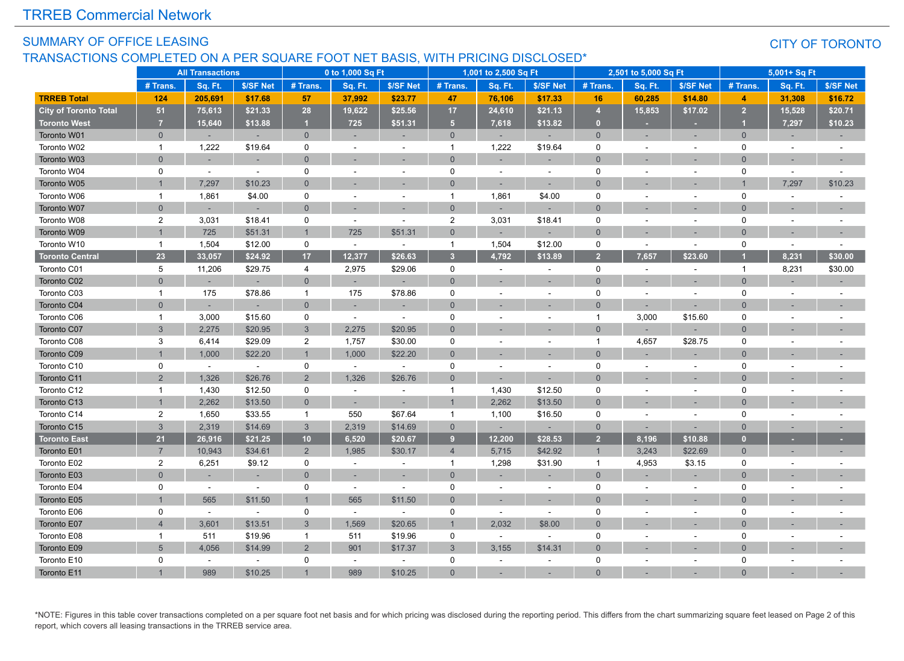#### SUMMARY OF OFFICE LEASING TRANSACTIONS COMPLETED ON A PER SQUARE FOOT NET BASIS, WITH PRICING DISCLOSED\*

#### CITY OF TORONTO

|                              |                | <b>All Transactions</b> |           |                | 0 to 1,000 Sq Ft |                          |                         | 1,001 to 2,500 Sq Ft |                          |                | 2,501 to 5,000 Sq Ft |                          |                | 5,001+ Sq Ft             |                          |
|------------------------------|----------------|-------------------------|-----------|----------------|------------------|--------------------------|-------------------------|----------------------|--------------------------|----------------|----------------------|--------------------------|----------------|--------------------------|--------------------------|
|                              | # Trans.       | Sq. Ft.                 | \$/SF Net | # Trans.       | Sq. Ft.          | \$/SF Net                | # Trans.                | Sq. Ft.              | \$/SF Net                | # Trans.       | Sq. Ft.              | \$/SF Net                | # Trans.       | Sq. Ft.                  | \$/SF Net                |
| <b>TRREB Total</b>           | 124            | 205.691                 | \$17.68   | 57             | 37,992           | \$23.77                  | 47                      | 76,106               | \$17.33                  | 16             | 60,285               | \$14.80                  | 4              | 31,308                   | \$16.72                  |
| <b>City of Toronto Total</b> | 51             | 75,613                  | \$21.33   | 28             | 19,622           | \$25.56                  | 17                      | 24,610               | \$21.13                  | $\overline{4}$ | 15,853               | \$17.02                  | $\overline{2}$ | 15,528                   | \$20.71                  |
| <b>Toronto West</b>          | $\overline{7}$ | 15,640                  | \$13.88   | $\mathbf{1}$   | 725              | \$51.31                  | 5 <sub>5</sub>          | 7,618                | \$13.82                  | $\mathbf{0}$   | ×                    | $\overline{\phantom{a}}$ |                | 7,297                    | \$10.23                  |
| Toronto W01                  | $\overline{0}$ |                         | $\sim$    | $\overline{0}$ |                  | $\overline{a}$           | $\overline{0}$          |                      |                          | $\overline{0}$ |                      |                          | $\overline{0}$ |                          |                          |
| Toronto W02                  | $\overline{1}$ | 1,222                   | \$19.64   | 0              | $\sim$           | $\sim$                   | $\mathbf{1}$            | 1,222                | \$19.64                  | $\Omega$       |                      | $\overline{a}$           | $\Omega$       | $\sim$                   | $\sim$                   |
| Toronto W03                  | $\Omega$       |                         |           | $\overline{0}$ |                  |                          | $\overline{0}$          |                      |                          | $\Omega$       |                      |                          | $\Omega$       |                          |                          |
| Toronto W04                  | $\mathbf 0$    | $\sim$                  | $\sim$    | $\mathbf 0$    |                  |                          | 0                       | ٠                    | $\sim$                   | $\mathbf 0$    |                      |                          | 0              | $\overline{\phantom{a}}$ |                          |
| Toronto W05                  | $\mathbf{1}$   | 7,297                   | \$10.23   | $\Omega$       |                  |                          | $\mathbf{0}$            | ×.                   | ÷.                       | $\Omega$       |                      |                          |                | 7,297                    | \$10.23                  |
| Toronto W06                  | $\overline{1}$ | 1,861                   | \$4.00    | 0              |                  | $\ddot{\phantom{1}}$     | $\mathbf{1}$            | 1,861                | \$4.00                   | 0              |                      | $\ddot{\phantom{1}}$     | 0              | $\sim$                   |                          |
| Toronto W07                  | $\Omega$       |                         |           | $\mathbf{0}$   |                  |                          | $\overline{0}$          |                      |                          | $\Omega$       |                      |                          | $\Omega$       |                          |                          |
| Toronto W08                  | $\overline{2}$ | 3,031                   | \$18.41   | $\mathbf 0$    | ÷.               | ÷.                       | $\overline{2}$          | 3,031                | \$18.41                  | $\mathbf 0$    |                      | ٠                        | 0              | ÷.                       | ÷.                       |
| Toronto W09                  | $\mathbf{1}$   | 725                     | \$51.31   | $\mathbf{1}$   | 725              | \$51.31                  | $\mathbf{0}$            |                      |                          | $\Omega$       |                      |                          | $\Omega$       |                          |                          |
| Toronto W10                  | $\overline{1}$ | 1,504                   | \$12.00   | 0              | $\sim$           | $\sim$                   | $\mathbf{1}$            | 1,504                | \$12.00                  | $\mathbf 0$    | $\sim$               | $\sim$                   | 0              | $\sim$                   |                          |
| <b>Toronto Central</b>       | 23             | 33,057                  | \$24.92   | 17             | 12,377           | \$26.63                  | $\overline{\mathbf{3}}$ | 4,792                | \$13.89                  | $\overline{2}$ | 7,657                | \$23.60                  |                | 8.231                    | \$30.00                  |
| Toronto C01                  | 5              | 11,206                  | \$29.75   | 4              | 2,975            | \$29.06                  | $\mathbf 0$             | ÷.                   | $\overline{a}$           | $\mathbf 0$    |                      | $\overline{a}$           | $\mathbf 1$    | 8,231                    | \$30.00                  |
| Toronto C02                  | $\overline{0}$ |                         |           | $\overline{0}$ |                  |                          | $\overline{0}$          |                      |                          | $\overline{0}$ |                      |                          | $\Omega$       |                          |                          |
| Toronto C03                  | $\mathbf{1}$   | 175                     | \$78.86   | $\mathbf{1}$   | 175              | \$78.86                  | 0                       |                      | $\sim$                   | $\mathbf 0$    | ÷.                   | ÷.                       | 0              | ÷                        |                          |
| Toronto C04                  | $\Omega$       |                         |           | $\overline{0}$ |                  |                          | $\Omega$                |                      |                          | $\Omega$       |                      |                          | $\Omega$       |                          |                          |
| Toronto C06                  | $\overline{1}$ | 3,000                   | \$15.60   | $\mathbf 0$    | $\sim$           | $\sim$                   | 0                       |                      | $\overline{a}$           | $\mathbf{1}$   | 3,000                | \$15.60                  | 0              |                          |                          |
| Toronto C07                  | 3              | 2,275                   | \$20.95   | $\mathbf{3}$   | 2,275            | \$20.95                  | $\mathbf{0}$            |                      |                          | $\overline{0}$ |                      |                          | $\Omega$       |                          |                          |
| Toronto C08                  | 3              | 6,414                   | \$29.09   | $\overline{2}$ | 1,757            | \$30.00                  | 0                       |                      | $\blacksquare$           | $\mathbf{1}$   | 4,657                | \$28.75                  | 0              |                          |                          |
| Toronto C09                  | $\overline{1}$ | 1,000                   | \$22.20   | $\mathbf{1}$   | 1,000            | \$22.20                  | $\Omega$                |                      | $\overline{\phantom{a}}$ | $\Omega$       |                      | ÷                        | $\Omega$       |                          |                          |
| Toronto C10                  | $\mathbf 0$    | $\sim$                  | $\sim$    | $\mathbf 0$    | $\omega$         | $\sim$                   | 0                       |                      | $\sim$                   | $\mathbf 0$    |                      |                          | 0              |                          |                          |
| Toronto C11                  | $\overline{2}$ | 1,326                   | \$26.76   | $\overline{2}$ | 1,326            | \$26.76                  | $\Omega$                |                      | $\sim$                   | $\Omega$       |                      |                          | $\Omega$       |                          |                          |
| Toronto C12                  | $\mathbf{1}$   | 1,430                   | \$12.50   | $\mathbf 0$    | $\sim$           | $\overline{a}$           | $\overline{1}$          | 1,430                | \$12.50                  | $\mathbf 0$    |                      |                          | $\Omega$       |                          |                          |
| Toronto C13                  | $\mathbf{1}$   | 2,262                   | \$13.50   | $\overline{0}$ | $\sim$           | $\overline{\phantom{a}}$ | $\overline{1}$          | 2,262                | \$13.50                  | $\overline{0}$ |                      |                          | $\Omega$       |                          |                          |
| Toronto C14                  | $\overline{2}$ | 1,650                   | \$33.55   | $\overline{1}$ | 550              | \$67.64                  | $\mathbf{1}$            | 1,100                | \$16.50                  | $\mathbf 0$    | $\overline{a}$       | ÷.                       | 0              | $\overline{a}$           |                          |
| Toronto C15                  | $\mathbf{3}$   | 2,319                   | \$14.69   | $\mathbf{3}$   | 2,319            | \$14.69                  | $\overline{0}$          | н.                   |                          | $\overline{0}$ | ÷.                   | ÷.                       | $\mathbf{0}$   | $\overline{\phantom{a}}$ | $\overline{\phantom{a}}$ |
| <b>Toronto East</b>          | 21             | 26,916                  | \$21.25   | 10             | 6,520            | \$20.67                  | 9                       | 12,200               | \$28.53                  | $\overline{2}$ | 8,196                | \$10.88                  | n              |                          |                          |
| Toronto E01                  | $\overline{7}$ | 10,943                  | \$34.61   | $\overline{2}$ | 1,985            | \$30.17                  | $\overline{4}$          | 5,715                | \$42.92                  | $\mathbf 1$    | 3,243                | \$22.69                  | $\mathbf{0}$   |                          |                          |
| Toronto E02                  | $\overline{c}$ | 6,251                   | \$9.12    | $\mathbf 0$    | $\blacksquare$   | $\sim$                   | $\mathbf{1}$            | 1,298                | \$31.90                  | $\mathbf{1}$   | 4,953                | \$3.15                   | 0              | $\sim$                   |                          |
| Toronto E03                  | $\Omega$       |                         |           | $\overline{0}$ |                  |                          | $\overline{0}$          |                      |                          | $\Omega$       |                      |                          | $\Omega$       |                          |                          |
| Toronto E04                  | 0              | $\sim$                  |           | 0              | $\blacksquare$   |                          | 0                       |                      | $\overline{\phantom{a}}$ | $\mathbf 0$    |                      |                          | $\mathbf{0}$   |                          |                          |
| Toronto E05                  | $\overline{1}$ | 565                     | \$11.50   | $\overline{1}$ | 565              | \$11.50                  | $\overline{0}$          |                      |                          | $\Omega$       |                      |                          | $\Omega$       |                          |                          |
| Toronto E06                  | $\mathbf 0$    | $\sim$                  | $\sim$    | $\pmb{0}$      | $\sim$           |                          | 0                       |                      | $\sim$                   | $\Omega$       |                      |                          | $\Omega$       |                          |                          |
| Toronto E07                  | $\overline{4}$ | 3.601                   | \$13.51   | $\mathbf{3}$   | 1.569            | \$20.65                  | $\overline{1}$          | 2,032                | \$8.00                   | $\Omega$       |                      |                          | $\Omega$       |                          |                          |
| Toronto E08                  | $\mathbf{1}$   | 511                     | \$19.96   | $\mathbf{1}$   | 511              | \$19.96                  | 0                       | $\sim$               | $\sim$                   | $\mathbf 0$    |                      | $\overline{a}$           | $\Omega$       |                          |                          |
| Toronto E09                  | 5              | 4,056                   | \$14.99   | 2              | 901              | \$17.37                  | $\mathfrak{S}$          | 3,155                | \$14.31                  | $\Omega$       |                      |                          | $\Omega$       |                          |                          |
| Toronto E10                  | 0              | $\sim$                  | $\sim$    | $\Omega$       | $\sim$           | $\sim$                   | $\Omega$                | ÷.                   | $\sim$                   | $\Omega$       |                      | ٠                        | $\Omega$       |                          |                          |
| Toronto E11                  |                | 989                     | \$10.25   |                | 989              | \$10.25                  | $\Omega$                |                      |                          | $\Omega$       |                      |                          |                |                          |                          |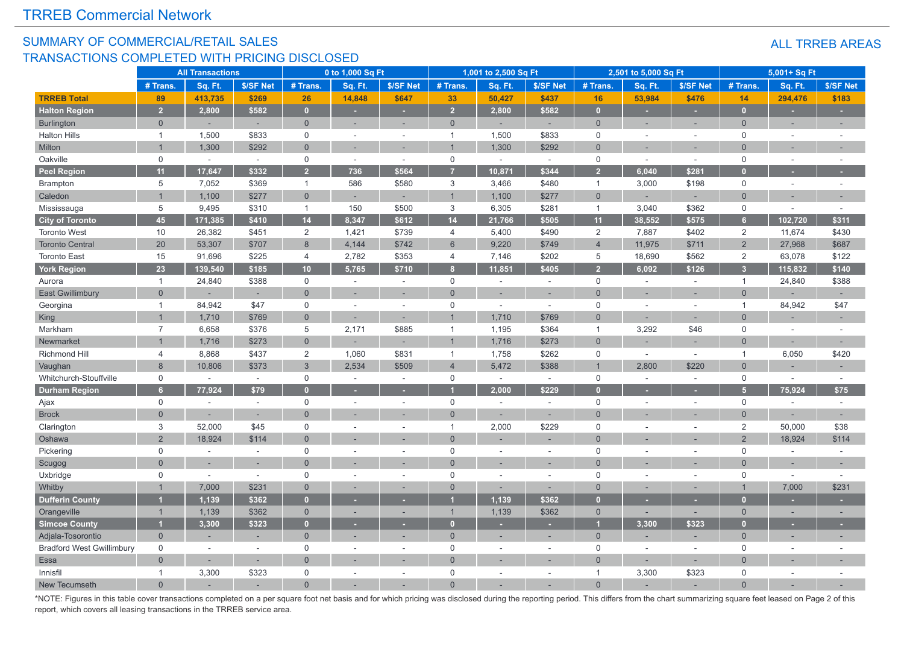#### SUMMARY OF COMMERCIAL/RETAIL SALES TRANSACTIONS COMPLETED WITH PRICING DISCLOSED

| <b>ALL TRREB AREAS</b> |  |
|------------------------|--|
|------------------------|--|

|                                  |                | <b>All Transactions</b> |                |                     | 0 to 1,000 Sq Ft |           |                  | 1,001 to 2,500 Sq Ft |                          |                | 2,501 to 5,000 Sq Ft |                |                      | 5,001+ Sq Ft             |           |
|----------------------------------|----------------|-------------------------|----------------|---------------------|------------------|-----------|------------------|----------------------|--------------------------|----------------|----------------------|----------------|----------------------|--------------------------|-----------|
|                                  | # Trans.       | Sq. Ft.                 | \$/SF Net      | # Trans.            | Sq. Ft.          | \$/SF Net | # Trans.         | Sq. Ft.              | \$/SF Net                | # Trans.       | Sq. Ft.              | \$/SF Net      | # Trans.             | Sq. Ft.                  | \$/SF Net |
| <b>TRREB Total</b>               | 89             | 413,735                 | \$269          | 26                  | 14,848           | \$647     | 33               | 50,427               | \$437                    | 16             | 53,984               | \$476          | 14                   | 294,476                  | \$183     |
| <b>Halton Region</b>             | $\overline{2}$ | 2,800                   | \$582          | $\mathbf{0}$        | ×.               | ٠         | $\overline{2}$   | 2,800                | \$582                    | $\mathbf{0}$   | ٠                    | ×.             | $\mathbf{0}$         | ×.                       |           |
| Burlington                       | $\overline{0}$ |                         | ÷,             | $\overline{0}$      | ÷,               |           | $\overline{0}$   |                      | ÷                        | $\Omega$       | ÷                    | ×,             | $\Omega$             | $\overline{\phantom{a}}$ | ÷.        |
| <b>Halton Hills</b>              | $\overline{1}$ | 1,500                   | \$833          | $\mathsf 0$         | $\sim$           | $\sim$    | -1               | 1,500                | \$833                    | $\mathsf 0$    | $\sim$               | $\sim$         | $\mathbf 0$          | $\sim$                   |           |
| Milton                           | $\overline{1}$ | 1,300                   | \$292          | $\overline{0}$      |                  |           |                  | 1,300                | \$292                    | $\mathbf{0}$   |                      |                | $\Omega$             |                          |           |
| Oakville                         | $\mathsf{O}$   | $\sim$                  | $\omega$       | $\mathsf{O}$        | $\sim$           | $\sim$    | $\mathbf 0$      | $\sim$               | $\sim$                   | $\mathbf 0$    | $\sim$               | $\sim$         | $\mathsf 0$          | $\sim$                   |           |
| <b>Peel Region</b>               | 11             | 17,647                  | \$332          | $\overline{2}$      | 736              | \$564     |                  | 10,871               | \$344                    | $\overline{2}$ | 6,040                | \$281          | $\overline{0}$       |                          |           |
| <b>Brampton</b>                  | 5              | 7,052                   | \$369          | $\mathbf{1}$        | 586              | \$580     | $\mathbf{3}$     | 3,466                | \$480                    | $\mathbf{1}$   | 3,000                | \$198          | $\mathsf{O}\xspace$  | $\sim$                   | $\sim$    |
| Caledon                          | $\overline{1}$ | 1,100                   | \$277          | $\overline{0}$      |                  |           | $\overline{1}$   | 1,100                | \$277                    | $\overline{0}$ |                      |                | $\overline{0}$       |                          |           |
| Mississauga                      | 5              | 9,495                   | \$310          | $\mathbf{1}$        | 150              | \$500     | 3                | 6,305                | \$281                    | $\mathbf{1}$   | 3,040                | \$362          | $\mathbf 0$          | $\sim$                   |           |
| <b>City of Toronto</b>           | 45             | 171,385                 | \$410          | 14                  | 8,347            | \$612     | 14               | 21,766               | \$505                    | 11             | 38,552               | \$575          | 6 <sup>1</sup>       | 102,720                  | \$311     |
| <b>Toronto West</b>              | 10             | 26,382                  | \$451          | 2                   | 1,421            | \$739     | $\overline{4}$   | 5,400                | \$490                    | $\overline{2}$ | 7,887                | \$402          | $\overline{2}$       | 11,674                   | \$430     |
| <b>Toronto Central</b>           | 20             | 53,307                  | \$707          | 8                   | 4,144            | \$742     | 6                | 9,220                | \$749                    | $\overline{4}$ | 11,975               | \$711          | $2^{\circ}$          | 27,968                   | \$687     |
| <b>Toronto East</b>              | 15             | 91,696                  | \$225          | 4                   | 2,782            | \$353     | $\overline{4}$   | 7,146                | \$202                    | 5              | 18,690               | \$562          | $\overline{2}$       | 63,078                   | \$122     |
| <b>York Region</b>               | 23             | 139,540                 | \$185          | 10                  | 5,765            | \$710     | $\boldsymbol{8}$ | 11,851               | \$405                    | $\overline{2}$ | 6,092                | \$126          | $\overline{3}$       | 115,832                  | \$140     |
| Aurora                           | $\overline{1}$ | 24,840                  | \$388          | $\mathsf{O}\xspace$ | $\sim$           | $\sim$    | $\mathbf 0$      | $\sim$               | $\sim$                   | $\mathbf 0$    | $\sim$               | $\sim$         | $\mathbf{1}$         | 24,840                   | \$388     |
| <b>East Gwillimbury</b>          | $\overline{0}$ |                         | ÷,             | $\Omega$            | ÷,               |           | $\Omega$         |                      | $\sim$                   | $\Omega$       |                      | $\sim$         | $\Omega$             |                          |           |
| Georgina                         | $\overline{1}$ | 84,942                  | \$47           | $\mathsf{O}\xspace$ | ÷.               | $\sim$    | $\mathbf 0$      | $\sim$               | $\sim$                   | $\mathbf 0$    | $\sim$               | $\sim$         | $\blacktriangleleft$ | 84,942                   | \$47      |
| King                             | $\overline{1}$ | 1,710                   | \$769          | $\overline{0}$      |                  |           |                  | 1,710                | \$769                    | $\Omega$       |                      |                | $\Omega$             |                          |           |
| Markham                          | $\overline{7}$ | 6,658                   | \$376          | 5                   | 2,171            | \$885     | $\overline{1}$   | 1,195                | \$364                    | $\overline{1}$ | 3,292                | \$46           | $\mathbf 0$          | $\sim$                   |           |
| Newmarket                        |                | 1,716                   | \$273          | $\mathbf 0$         |                  |           |                  | 1,716                | \$273                    | $\Omega$       |                      |                | $\Omega$             |                          |           |
| Richmond Hill                    | 4              | 8,868                   | \$437          | $\overline{c}$      | 1,060            | \$831     | $\overline{1}$   | 1,758                | \$262                    | $\mathbf 0$    | $\sim$               | $\sim$         | $\mathbf{1}$         | 6,050                    | \$420     |
| Vaughan                          | 8              | 10,806                  | \$373          | $\mathbf{3}$        | 2,534            | \$509     | $\overline{4}$   | 5,472                | \$388                    |                | 2,800                | \$220          | $\overline{0}$       |                          |           |
| Whitchurch-Stouffville           | $\mathbf 0$    |                         | $\sim$         | $\mathbf 0$         | $\sim$           | $\sim$    | $\mathbf 0$      |                      | $\sim$                   | $\mathbf 0$    | $\sim$               | $\sim$         | $\mathbf 0$          | $\sim$                   |           |
| <b>Durham Region</b>             | 6 <sup>1</sup> | 77,924                  | \$79           | $\overline{0}$      |                  |           |                  | 2,000                | \$229                    |                |                      |                | 5 <sup>1</sup>       | 75,924                   | \$75      |
| Ajax                             | $\mathsf{O}$   |                         | $\sim$         | $\mathsf{O}$        | ÷.               | $\sim$    | $\mathbf 0$      | $\sim$               | $\sim$                   | $\mathbf 0$    | ÷,                   | $\sim$         | $\mathbf 0$          | $\sim$                   | $\sim$    |
| <b>Brock</b>                     | $\Omega$       |                         | ÷,             | $\Omega$            |                  |           | $\Omega$         |                      |                          | $\Omega$       |                      |                | $\Omega$             |                          | $\sim$    |
| Clarington                       | $\mathbf 3$    | 52,000                  | \$45           | $\mathsf 0$         |                  |           | $\overline{1}$   | 2,000                | \$229                    | $\Omega$       |                      |                | 2                    | 50,000                   | \$38      |
| Oshawa                           | 2              | 18,924                  | \$114          | $\overline{0}$      |                  |           | $\Omega$         |                      |                          | $\Omega$       |                      |                | $\overline{2}$       | 18,924                   | \$114     |
| Pickering                        | $\mathsf{O}$   | $\sim$                  | $\sim$         | $\mathsf 0$         | $\sim$           | ÷.        | $\mathbf 0$      | $\sim$               | $\sim$                   | $\mathbf 0$    | $\overline{a}$       | $\sim$         | $\mathbf 0$          | $\sim$                   |           |
| Scugog                           | $\Omega$       |                         | $\overline{a}$ | $\overline{0}$      |                  |           | $\Omega$         | ÷.                   | $\overline{a}$           | $\Omega$       |                      | $\sim$         | $\Omega$             | $\sim$                   |           |
| Uxbridge                         | $\mathsf{O}$   |                         | $\sim$         | $\mathsf 0$         |                  | $\sim$    | $\mathbf 0$      |                      | $\sim$                   | $\mathbf 0$    | ÷,                   | $\overline{a}$ | $\mathbf 0$          | $\sim$                   |           |
| Whitby                           |                | 7,000                   | \$231          | $\overline{0}$      |                  |           | $\overline{0}$   |                      |                          | $\Omega$       |                      |                |                      | 7,000                    | \$231     |
| <b>Dufferin County</b>           |                | 1,139                   | \$362          | $\overline{0}$      |                  |           |                  | 1,139                | \$362                    | n              |                      |                | $\mathbf{0}$         |                          |           |
| Orangeville                      | $\overline{1}$ | 1,139                   | \$362          | $\mathbf 0$         |                  |           | $\overline{1}$   | 1,139                | \$362                    | $\mathbf 0$    | ÷                    | ×.             | $\Omega$             |                          |           |
| <b>Simcoe County</b>             |                | 3,300                   | \$323          | $\mathbf{0}$        |                  |           | $\overline{0}$   |                      |                          |                | 3,300                | \$323          | $\mathbf{0}$         |                          |           |
| Adjala-Tosorontio                | $\overline{0}$ |                         | ÷              | $\mathbf{0}$        |                  |           | $\overline{0}$   |                      | ÷,                       | $\mathbf{0}$   |                      | ×,             | $\overline{0}$       |                          |           |
| <b>Bradford West Gwillimbury</b> | $\mathbf 0$    | $\sim$                  | $\sim$         | $\mathbf 0$         | ÷.               | $\sim$    | $\mathbf 0$      | $\sim$               | $\sim$                   | $\mathbf 0$    | ÷,                   | $\sim$         | $\mathbf 0$          | $\sim$                   |           |
| Essa                             | $\overline{0}$ |                         | ÷,             | $\overline{0}$      |                  |           | $\overline{0}$   |                      |                          | $\Omega$       | ÷,                   |                | $\Omega$             |                          |           |
| Innisfil                         | $\mathbf{1}$   | 3,300                   | \$323          | $\mathbf 0$         |                  | $\sim$    | $\mathbf 0$      |                      | $\overline{\phantom{a}}$ | $\overline{1}$ | 3,300                | \$323          | $\mathbf 0$          | $\sim$                   |           |
| New Tecumseth                    | $\Omega$       |                         |                | $\Omega$            |                  |           | $\Omega$         |                      |                          | $\Omega$       |                      |                | $\Omega$             |                          |           |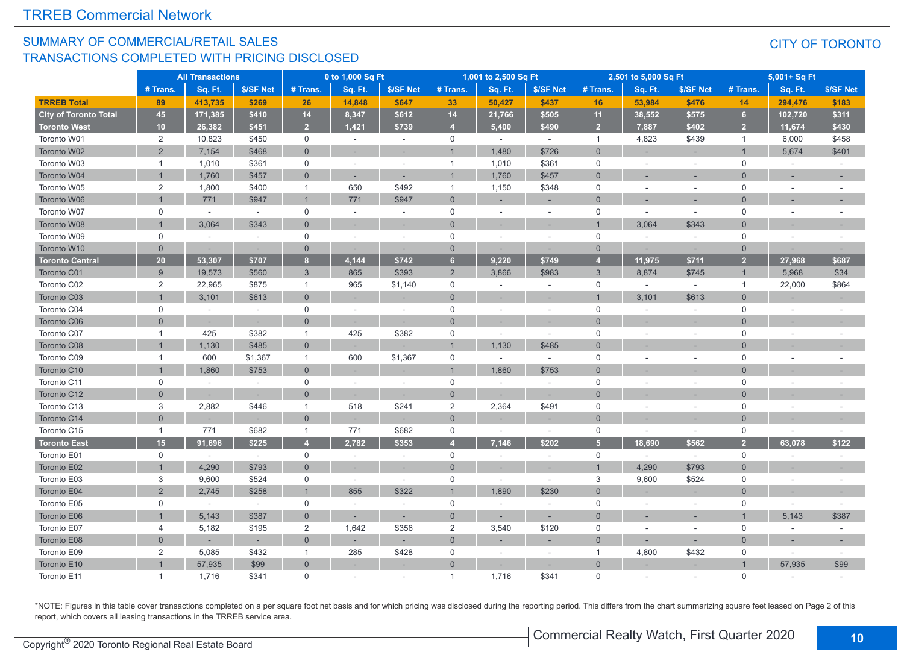#### SUMMARY OF COMMERCIAL/RETAIL SALES TRANSACTIONS COMPLETED WITH PRICING DISCLOSED

#### CITY OF TORONTO

|                              | <b>All Transactions</b>   |                          |           | 0 to 1,000 Sq Ft |         |           | 1,001 to 2,500 Sq Ft |                          |           | 2,501 to 5,000 Sq Ft |                          |           | 5,001+ Sq Ft   |                          |           |
|------------------------------|---------------------------|--------------------------|-----------|------------------|---------|-----------|----------------------|--------------------------|-----------|----------------------|--------------------------|-----------|----------------|--------------------------|-----------|
|                              | # Trans.                  | Sq. Ft.                  | \$/SF Net | # Trans.         | Sq. Ft. | \$/SF Net | # Trans.             | Sq. Ft.                  | \$/SF Net | # Trans.             | Sq. Ft.                  | \$/SF Net | # Trans.       | Sq. Ft.                  | \$/SF Net |
| <b>TRREB Total</b>           | 89                        | 413,735                  | \$269     | 26               | 14,848  | \$647     | 33                   | 50,427                   | \$437     | 16                   | 53,984                   | \$476     | 14             | 294,476                  | \$183     |
| <b>City of Toronto Total</b> | 45                        | 171,385                  | \$410     | 14               | 8,347   | \$612     | 14                   | 21,766                   | \$505     | 11                   | 38,552                   | \$575     | 6              | 102,720                  | \$311     |
| <b>Toronto West</b>          | 10                        | 26,382                   | \$451     | $\overline{2}$   | 1.421   | \$739     | $\overline{4}$       | 5,400                    | \$490     | 2 <sup>1</sup>       | 7,887                    | \$402     | 2 <sup>2</sup> | 11,674                   | \$430     |
| Toronto W01                  | $\overline{2}$            | 10,823                   | \$450     | $\mathbf 0$      | $\sim$  | $\sim$    | $\mathbf 0$          | $\overline{\phantom{a}}$ | $\sim$    | $\overline{1}$       | 4,823                    | \$439     | $\mathbf{1}$   | 6,000                    | \$458     |
| Toronto W02                  | $\overline{2}$            | 7,154                    | \$468     | $\mathbf{0}$     |         |           |                      | 1,480                    | \$726     | $\Omega$             |                          |           |                | 5,674                    | \$401     |
| Toronto W03                  | $\mathbf{1}$              | 1,010                    | \$361     | $\mathsf{O}$     |         | $\sim$    | $\overline{1}$       | 1,010                    | \$361     | $\mathsf 0$          | $\overline{\phantom{a}}$ |           | $\mathbf 0$    |                          |           |
| Toronto W04                  | $\overline{1}$            | 1,760                    | \$457     | $\mathbf{0}$     |         |           |                      | 1,760                    | \$457     | $\Omega$             |                          |           | $\Omega$       |                          |           |
| Toronto W05                  | 2                         | 1,800                    | \$400     | $\overline{1}$   | 650     | \$492     | $\overline{1}$       | 1,150                    | \$348     | $\Omega$             | ÷                        | $\sim$    | $\Omega$       | $\sim$                   |           |
| Toronto W06                  | $\mathbf{1}$              | 771                      | \$947     | $\overline{1}$   | 771     | \$947     | $\Omega$             |                          |           | $\Omega$             |                          |           | $\Omega$       |                          |           |
| Toronto W07                  | $\mathsf 0$               | $\sim$                   | $\sim$    | 0                | $\sim$  | $\sim$    | $\mathbf 0$          | ÷.                       | $\sim$    | $\mathsf 0$          | $\sim$                   | $\sim$    | $\mathbf 0$    | $\sim$                   |           |
| Toronto W08                  | $\overline{1}$            | 3,064                    | \$343     | $\mathbf{0}$     |         |           | $\Omega$             |                          | $\sim$    |                      | 3,064                    | \$343     | $\Omega$       |                          |           |
| Toronto W09                  | $\mathbf 0$               | ÷.                       | i.        | $\mathbf 0$      | ÷.      | $\sim$    | $\mathbf 0$          | $\sim$                   | $\sim$    | $\mathbf 0$          | $\sim$                   | $\sim$    | $\Omega$       | $\sim$                   |           |
| Toronto W10                  | $\overline{0}$            |                          | ×.        | $\overline{0}$   |         | ÷.        | $\overline{0}$       |                          | ÷         | $\mathbf{0}$         |                          |           | $\overline{0}$ |                          |           |
| <b>Toronto Central</b>       | 20                        | 53,307                   | \$707     | $\bf{8}$         | 4,144   | \$742     | 6                    | 9,220                    | \$749     | A                    | 11,975                   | \$711     | 2 <sup>2</sup> | 27,968                   | \$687     |
| Toronto C01                  | 9                         | 19,573                   | \$560     | 3                | 865     | \$393     | $\overline{2}$       | 3,866                    | \$983     | 3                    | 8,874                    | \$745     | $\mathbf 1$    | 5,968                    | \$34      |
| Toronto C02                  | $\overline{2}$            | 22,965                   | \$875     | $\overline{1}$   | 965     | \$1,140   | $\mathbf 0$          | $\sim$                   | $\sim$    | $\mathbf 0$          | $\sim$                   | $\sim$    | $\mathbf{1}$   | 22,000                   | \$864     |
| Toronto C03                  | $\overline{1}$            | 3,101                    | \$613     | $\mathbf 0$      |         |           | $\Omega$             |                          | ٠         |                      | 3,101                    | \$613     | $\overline{0}$ |                          |           |
| Toronto C04                  | $\mathsf{O}$              | ÷.                       | $\sim$    | $\mathsf 0$      | ÷.      | ÷.        | $\mathbf 0$          | ÷                        | $\sim$    | $\mathbf 0$          | $\sim$                   | $\sim$    | $\mathbf 0$    | $\sim$                   |           |
| Toronto C06                  | $\overline{0}$            |                          | $\sim$    | $\overline{0}$   |         | ÷.        | $\Omega$             |                          |           | $\Omega$             |                          |           | $\Omega$       | ٠                        |           |
| Toronto C07                  | $\mathbf{1}$              | 425                      | \$382     | $\overline{1}$   | 425     | \$382     | $\mathbf 0$          | $\sim$                   | $\sim$    | $\mathbf 0$          | $\sim$                   | $\sim$    | $\mathbf 0$    | $\overline{\phantom{a}}$ |           |
| Toronto C08                  | $\overline{1}$            | 1,130                    | \$485     | $\mathbf{0}$     |         | ٠         |                      | 1,130                    | \$485     | $\Omega$             |                          |           | $\Omega$       |                          |           |
| Toronto C09                  | $\mathbf{1}$              | 600                      | \$1,367   | $\overline{1}$   | 600     | \$1,367   | $\mathbf 0$          |                          | $\sim$    | 0                    |                          | ÷,        | $\mathbf 0$    | $\overline{\phantom{a}}$ |           |
| Toronto C10                  | $\overline{1}$            | 1,860                    | \$753     | $\mathbf{0}$     |         |           |                      | 1,860                    | \$753     | $\Omega$             |                          |           | $\Omega$       | $\sim$                   |           |
| Toronto C11                  | $\mathbf 0$               |                          |           | $\mathbf 0$      |         |           | $\mathbf 0$          |                          | $\sim$    | $\mathbf 0$          |                          |           | $\Omega$       |                          |           |
| Toronto C12                  | $\Omega$                  | $\overline{\phantom{a}}$ | $\sim$    | $\overline{0}$   |         | $\sim$    | $\overline{0}$       | ÷.                       | ×,        | $\Omega$             |                          |           | $\Omega$       |                          |           |
| Toronto C13                  | 3                         | 2,882                    | \$446     | $\overline{1}$   | 518     | \$241     | $\overline{2}$       | 2,364                    | \$491     | $\mathbf 0$          |                          | $\sim$    | $\mathbf 0$    | $\overline{\phantom{a}}$ |           |
| Toronto C14                  | $\Omega$                  |                          |           | $\overline{0}$   |         | $\sim$    | $\overline{0}$       |                          |           | $\Omega$             |                          |           | $\Omega$       |                          |           |
| Toronto C15                  | $\mathbf{1}$              | 771                      | \$682     | $\overline{1}$   | 771     | \$682     | $\mathbf 0$          |                          | $\sim$    | $\mathbf 0$          | ÷,                       | $\sim$    | $\mathbf 0$    | $\sim$                   |           |
| <b>Toronto East</b>          | 15                        | 91,696                   | \$225     | $\overline{4}$   | 2,782   | \$353     | $\overline{4}$       | 7,146                    | \$202     | 5 <sup>5</sup>       | 18,690                   | \$562     | $\overline{2}$ | 63,078                   | \$122     |
| Toronto E01                  | $\mathsf{O}$              | $\sim$                   | $\sim$    | $\mathsf{O}$     | $\sim$  | $\sim$    | $\mathbf 0$          | $\overline{\phantom{a}}$ | $\sim$    | $\mathbf 0$          | $\sim$                   | $\sim$    | $\mathbf 0$    | $\sim$                   | $\sim$    |
| Toronto E02                  | $\overline{1}$            | 4,290                    | \$793     | $\mathbf{0}$     |         |           | $\Omega$             |                          |           |                      | 4,290                    | \$793     | $\Omega$       |                          |           |
| Toronto E03                  | $\ensuremath{\mathsf{3}}$ | 9,600                    | \$524     | 0                | $\sim$  | $\omega$  | $\mathsf 0$          | $\overline{\phantom{a}}$ | $\sim$    | 3                    | 9,600                    | \$524     | $\mathbf 0$    | $\overline{\phantom{a}}$ |           |
| Toronto E04                  | $\overline{2}$            | 2,745                    | \$258     | $\overline{1}$   | 855     | \$322     | $\overline{1}$       | 1,890                    | \$230     | $\Omega$             |                          |           | $\Omega$       |                          |           |
| Toronto E05                  | $\mathbf 0$               | $\sim$                   | $\sim$    | $\mathsf{O}$     |         | $\sim$    | $\mathbf 0$          |                          | $\sim$    | $\mathbf 0$          | ÷,                       | $\sim$    | $\Omega$       | $\sim$                   |           |
| Toronto E06                  | $\overline{1}$            | 5,143                    | \$387     | $\mathbf{0}$     | ÷.      | $\sim$    | $\overline{0}$       |                          |           | $\Omega$             |                          |           |                | 5,143                    | \$387     |
| Toronto E07                  | $\overline{4}$            | 5,182                    | \$195     | $\overline{2}$   | 1,642   | \$356     | $\sqrt{2}$           | 3,540                    | \$120     | $\mathbf 0$          | $\overline{a}$           | $\sim$    | $\mathbf 0$    | $\sim$                   |           |
| Toronto E08                  | $\overline{0}$            |                          | ٠         | $\mathbf 0$      |         | ÷         | $\Omega$             |                          |           | $\mathbf{0}$         | ÷                        |           | $\overline{0}$ |                          |           |
| Toronto E09                  | 2                         | 5,085                    | \$432     | $\mathbf{1}$     | 285     | \$428     | $\mathbf 0$          | $\sim$                   | $\sim$    | $\mathbf{1}$         | 4,800                    | \$432     | $\mathbf 0$    | $\sim$                   | $\sim$    |
| Toronto E10                  |                           | 57,935                   | \$99      | $\overline{0}$   |         |           | $\Omega$             |                          |           | $\Omega$             |                          |           |                | 57,935                   | \$99      |
| Toronto E11                  | $\overline{1}$            | 1,716                    | \$341     | $\mathbf 0$      |         |           | $\overline{1}$       | 1,716                    | \$341     | $\Omega$             |                          |           | $\Omega$       |                          |           |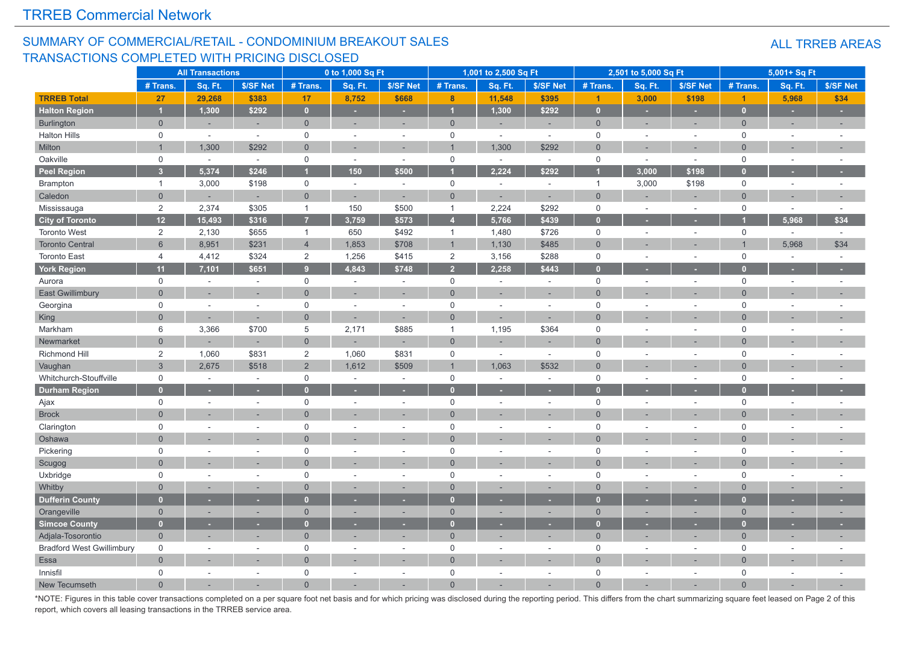#### SUMMARY OF COMMERCIAL/RETAIL - CONDOMINIUM BREAKOUT SALES TRANSACTIONS COMPLETED WITH PRICING DISCLOSED

#### ALL TRREB AREAS

|                                  |                     | <b>All Transactions</b>  |                          |                     | 0 to 1,000 Sq Ft |                |                | 1,001 to 2,500 Sq Ft |            |                      | 2,501 to 5,000 Sq Ft        |           |                      | 5,001+ Sq Ft |                          |
|----------------------------------|---------------------|--------------------------|--------------------------|---------------------|------------------|----------------|----------------|----------------------|------------|----------------------|-----------------------------|-----------|----------------------|--------------|--------------------------|
|                                  | # Trans.            | Sq. Ft.                  | \$/SF Net                | # Trans.            | Sq. Ft.          | \$/SF Net      | # Trans.       | Sq. Ft.              | \$/SF Net  | # Trans.             | Sq. Ft.                     | \$/SF Net | # Trans.             | Sq. Ft.      | \$/SF Net                |
| <b>TRREB Total</b>               | 27                  | 29,268                   | \$383                    | 17                  | 8,752            | \$668          | $\bf{8}$       | 11,548               | \$395      | $\blacktriangleleft$ | 3,000                       | \$198     | $\blacktriangleleft$ | 5,968        | \$34                     |
| <b>Halton Region</b>             | $\overline{1}$      | 1,300                    | \$292                    | $\overline{0}$      | ÷.               | ×              | $\overline{1}$ | 1,300                | \$292      | $\mathbf{0}$         | ٠                           | ٠         | $\overline{0}$       | ٠            | u,                       |
| Burlington                       | $\mathbf 0$         | ÷                        | $\sim$                   | $\overline{0}$      | ÷.               | ÷.             | $\mathbf 0$    | ÷,                   | $\sim$     | $\overline{0}$       | ÷.                          | $\sim$    | $\overline{0}$       | $\sim$       | $\sim$                   |
| <b>Halton Hills</b>              | $\mathsf{O}\xspace$ | ÷.                       | $\sim$                   | $\mathsf{O}$        | $\sim$           | ÷.             | $\mathsf 0$    | $\sim$               | $\sim$     | $\mathbf 0$          | ÷.                          |           | $\mathbf 0$          | $\sim$       |                          |
| Milton                           | $\overline{1}$      | 1,300                    | \$292                    | $\overline{0}$      |                  | ×,             |                | 1,300                | \$292      | $\Omega$             | ×,                          |           | $\Omega$             |              |                          |
| Oakville                         | $\mathsf{O}$        | $\sim$                   | $\omega$                 | $\mathbf 0$         | $\sim$           | $\sim$         | $\mathsf 0$    | $\sim$               | $\omega$ . | $\mathsf 0$          | $\mathcal{L}^{\mathcal{L}}$ | $\sim$    | $\mathsf 0$          | $\sim$       |                          |
| Peel Region                      | $\overline{3}$      | 5,374                    | \$246                    |                     | 150              | \$500          |                | 2,224                | \$292      |                      | 3,000                       | \$198     | $\Gamma$             |              |                          |
| Brampton                         | $\overline{1}$      | 3,000                    | \$198                    | $\mathsf{O}$        | $\sim$           | $\sim$         | $\mathsf 0$    | $\sim$               | $\sim$     | $\overline{1}$       | 3,000                       | \$198     | $\mathbf 0$          | $\sim$       | $\overline{\phantom{a}}$ |
| Caledon                          | $\overline{0}$      |                          |                          | $\overline{0}$      |                  |                | $\overline{0}$ |                      |            | $\overline{0}$       |                             |           | $\Omega$             |              |                          |
| Mississauga                      | $\overline{2}$      | 2,374                    | \$305                    | $\mathbf{1}$        | 150              | \$500          | $\mathbf{1}$   | 2,224                | \$292      | $\mathbf 0$          | $\sim$                      | $\sim$    | $\mathbf 0$          | $\sim$       | $\sim$                   |
| <b>City of Toronto</b>           | 12                  | 15,493                   | \$316                    | $\overline{7}$      | 3,759            | \$573          | $\overline{A}$ | 5,766                | \$439      | $\mathbf{0}$         |                             |           |                      | 5,968        | \$34                     |
| <b>Toronto West</b>              | $\overline{2}$      | 2,130                    | \$655                    | $\mathbf{1}$        | 650              | \$492          | $\mathbf{1}$   | 1,480                | \$726      | $\mathbf 0$          |                             |           | $\mathbf 0$          |              | ÷.                       |
| <b>Toronto Central</b>           | $6\phantom{1}$      | 8,951                    | \$231                    | $\overline{4}$      | 1,853            | \$708          | $\mathbf{1}$   | 1,130                | \$485      | $\Omega$             |                             |           |                      | 5,968        | \$34                     |
| <b>Toronto East</b>              | $\overline{4}$      | 4,412                    | \$324                    | $\overline{2}$      | 1,256            | \$415          | $\overline{2}$ | 3,156                | \$288      | $\mathbf 0$          | ÷.                          | $\sim$    | $\mathsf 0$          | $\sim$       | $\sim$                   |
| <b>York Region</b>               | 11                  | 7,101                    | \$651                    | $\overline{9}$      | 4,843            | \$748          | $\overline{2}$ | 2,258                | \$443      | $\overline{0}$       |                             |           | о                    |              |                          |
| Aurora                           | $\mathbf 0$         | ÷.                       | $\sim$                   | $\mathbf 0$         | $\sim$           | $\sim$         | $\mathsf 0$    | ÷,                   | $\sim$     | $\mathbf 0$          |                             | $\sim$    | $\mathsf 0$          | $\sim$       |                          |
| <b>East Gwillimbury</b>          | $\Omega$            |                          | $\overline{\phantom{a}}$ | $\overline{0}$      |                  | ц.             | $\overline{0}$ | ۰                    | ÷.         | $\Omega$             |                             |           | $\Omega$             |              |                          |
| Georgina                         | $\mathsf 0$         | ÷.                       | $\sim$                   | $\mathsf 0$         | $\sim$           | $\sim$         | $\mathsf 0$    | $\sim$               | $\sim$     | $\mathbf 0$          |                             | $\sim$    | $\mathbf 0$          |              |                          |
| King                             | $\overline{0}$      |                          |                          | $\overline{0}$      |                  |                | $\overline{0}$ |                      |            | $\Omega$             |                             |           | $\Omega$             |              |                          |
| Markham                          | 6                   | 3,366                    | \$700                    | 5                   | 2,171            | \$885          | $\mathbf{1}$   | 1,195                | \$364      | $\mathbf 0$          |                             |           | $\mathbf 0$          |              |                          |
| Newmarket                        | $\Omega$            |                          |                          | $\mathsf{O}\xspace$ |                  |                | $\mathbf 0$    |                      |            | $\Omega$             |                             |           | $\Omega$             |              |                          |
| Richmond Hill                    | $\overline{2}$      | 1,060                    | \$831                    | $\sqrt{2}$          | 1,060            | \$831          | 0              | $\sim$               | $\sim$     | $\mathbf 0$          |                             | $\sim$    | $\mathbf 0$          |              |                          |
| Vaughan                          | $\overline{3}$      | 2,675                    | \$518                    | $\overline{2}$      | 1,612            | \$509          | $\overline{1}$ | 1,063                | \$532      | $\Omega$             |                             |           | $\Omega$             |              |                          |
| Whitchurch-Stouffville           | $\mathbf 0$         | $\sim$                   | $\sim$                   | $\mathbf 0$         | $\sim$           | $\sim$         | $\mathbf 0$    | $\overline{a}$       | $\sim$     | $\Omega$             |                             | $\sim$    | $\mathbf 0$          |              |                          |
| <b>Durham Region</b>             | $\mathbf{0}$        |                          | ٠                        | $\overline{0}$      |                  | ٠              | $\overline{0}$ |                      | ×          | $\sqrt{ }$           |                             |           | $\sqrt{ }$           |              |                          |
| Ajax                             | $\mathsf{O}$        | $\overline{\phantom{a}}$ | $\sim$                   | $\mathbf 0$         | $\sim$           | $\sim$         | 0              | $\sim$               | $\sim$     | $\mathbf 0$          | ÷.                          | $\sim$    | $\mathbf 0$          |              | ÷,                       |
| <b>Brock</b>                     | $\Omega$            |                          |                          | $\overline{0}$      |                  |                | $\Omega$       |                      |            | $\Omega$             |                             |           | $\Omega$             |              |                          |
| Clarington                       | $\mathsf 0$         |                          |                          | $\mathsf 0$         |                  | ä,             | $\mathsf 0$    |                      | $\sim$     | $\Omega$             |                             |           | $\Omega$             |              |                          |
| Oshawa                           | $\mathbf{0}$        |                          | $\overline{\phantom{a}}$ | $\overline{0}$      |                  | ÷,             | $\overline{0}$ |                      | $\sim$     | $\Omega$             |                             |           | $\Omega$             |              |                          |
| Pickering                        | $\mathbf 0$         | ÷.                       | $\sim$                   | $\mathbf 0$         | $\sim$           | ÷,             | $\mathsf 0$    | $\sim$               | $\sim$     | $\mathbf 0$          | $\sim$                      | $\sim$    | $\mathbf 0$          | $\sim$       |                          |
| Scugog                           | $\Omega$            |                          | $\sim$                   | $\overline{0}$      |                  | $\overline{a}$ | $\overline{0}$ |                      | $\sim$     | $\Omega$             |                             | $\sim$    | $\Omega$             |              |                          |
| Uxbridge                         | $\mathsf 0$         |                          | $\sim$                   | $\mathbf 0$         |                  | $\sim$         | $\mathbf 0$    | ÷                    | $\sim$     | $\mathbf 0$          |                             | $\sim$    | $\mathbf 0$          |              |                          |
| Whitby                           | $\overline{0}$      |                          |                          | $\mathbf 0$         |                  | ÷.             | $\overline{0}$ |                      | ٠          | $\Omega$             | ÷,                          |           | $\Omega$             |              |                          |
| <b>Dufferin County</b>           | $\mathbf{0}$        |                          |                          | $\mathbf{0}$        |                  |                | $\mathbf{0}$   |                      |            | $\Omega$             |                             |           | n                    |              |                          |
| Orangeville                      | $\mathbf 0$         |                          |                          | $\mathsf{O}\xspace$ |                  | ×.             | $\mathbf 0$    |                      | ٠          | $\overline{0}$       |                             | $\sim$    | $\Omega$             |              |                          |
| <b>Simcoe County</b>             | $\mathbf{0}$        |                          |                          | $\bullet$           |                  | ٥              | $\overline{0}$ |                      |            | $\mathbf{0}$         |                             |           | $\overline{0}$       |              |                          |
| Adjala-Tosorontio                | $\mathbf{0}$        |                          |                          | $\overline{0}$      |                  |                | $\mathbf{0}$   | ÷,                   | ÷.         | $\mathbf{0}$         |                             |           | $\Omega$             |              |                          |
| <b>Bradford West Gwillimbury</b> | $\mathbf 0$         | ÷.                       | $\sim$                   | $\mathbf 0$         | $\sim$           | $\sim$         | $\mathbf 0$    | $\sim$               | $\sim$     | $\mathbf 0$          | ÷.                          | $\sim$    | $\mathbf 0$          | $\sim$       |                          |
| Essa                             | $\mathbf{0}$        |                          |                          | $\overline{0}$      |                  |                | $\overline{0}$ |                      |            | $\Omega$             |                             |           | $\overline{0}$       |              |                          |
| Innisfil                         | $\mathbf 0$         |                          |                          | $\mathbf 0$         |                  | $\sim$         | $\mathbf 0$    | ÷                    | ÷          | $\Omega$             |                             | $\sim$    | $\mathbf 0$          |              |                          |
| New Tecumseth                    | $\Omega$            |                          |                          | $\Omega$            |                  |                | $\Omega$       |                      |            | $\Omega$             |                             |           |                      |              |                          |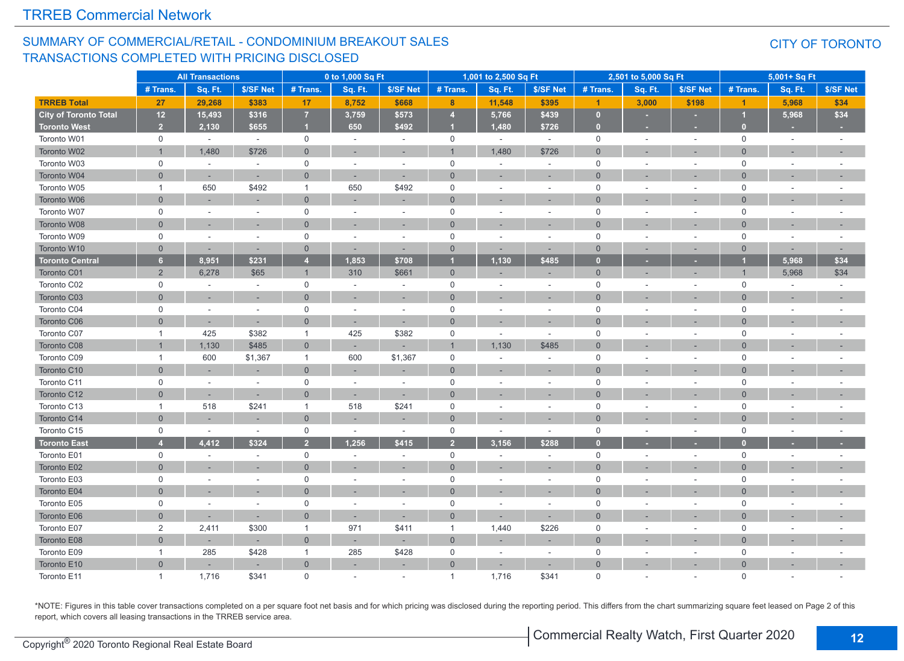#### SUMMARY OF COMMERCIAL/RETAIL - CONDOMINIUM BREAKOUT SALES TRANSACTIONS COMPLETED WITH PRICING DISCLOSED

#### CITY OF TORONTO

|                              | <b>All Transactions</b> |         |                | 0 to 1,000 Sq Ft |                          |           | 1,001 to 2,500 Sq Ft |                    |                          | 2,501 to 5,000 Sq Ft |         |           | 5,001+ Sq Ft         |         |           |
|------------------------------|-------------------------|---------|----------------|------------------|--------------------------|-----------|----------------------|--------------------|--------------------------|----------------------|---------|-----------|----------------------|---------|-----------|
|                              | # Trans.                | Sq. Ft. | \$/SF Net      | # Trans.         | Sq. Ft.                  | \$/SF Net | # Trans.             | Sq. Ft.            | \$/SF Net                | # Trans.             | Sq. Ft. | \$/SF Net | # Trans.             | Sq. Ft. | \$/SF Net |
| <b>TRREB Total</b>           | 27                      | 29,268  | \$383          | 17               | 8,752                    | \$668     | 8                    | 11,548             | \$395                    | $\mathbf{1}$         | 3,000   | \$198     | $\blacktriangleleft$ | 5,968   | \$34      |
| <b>City of Toronto Total</b> | 12                      | 15,493  | \$316          | $\overline{7}$   | 3,759                    | \$573     | $\overline{4}$       | $\overline{5,766}$ | \$439                    | $\overline{0}$       |         |           |                      | 5,968   | \$34      |
| <b>Toronto West</b>          | $\overline{2}$          | 2,130   | \$655          | и                | 650                      | \$492     |                      | 1,480              | \$726                    | $\mathbf{0}$         |         |           | $\mathbf{0}$         |         |           |
| Toronto W01                  | $\mathsf{O}$            | $\sim$  | $\sim$         | 0                | $\sim$                   | $\sim$    | $\mathbf 0$          | $\sim$             | $\sim$                   | $\mathbf 0$          | $\sim$  | $\sim$    | $\mathbf 0$          | $\sim$  |           |
| Toronto W02                  | $\overline{1}$          | 1,480   | \$726          | $\mathbf{0}$     |                          |           | $\overline{1}$       | 1,480              | \$726                    | $\mathbf{0}$         |         |           | $\overline{0}$       |         |           |
| Toronto W03                  | $\mathsf 0$             | $\sim$  | ÷,             | $\mathbf 0$      | $\overline{\phantom{a}}$ |           | $\mathsf 0$          | $\sim$             | $\overline{\phantom{a}}$ | $\mathsf 0$          |         | $\sim$    | $\mathsf 0$          |         |           |
| Toronto W04                  | $\Omega$                |         | ÷.             | $\overline{0}$   | ÷                        |           | $\Omega$             |                    | ÷.                       | $\Omega$             |         |           | $\Omega$             |         |           |
| Toronto W05                  | $\mathbf{1}$            | 650     | \$492          | $\mathbf{1}$     | 650                      | \$492     | $\mathsf 0$          |                    | $\sim$                   | $\mathbf 0$          |         | $\sim$    | $\mathbf 0$          |         |           |
| Toronto W06                  | $\overline{0}$          |         |                | $\mathbf{0}$     |                          |           | $\mathbf{0}$         |                    |                          | $\mathbf{0}$         |         |           | $\overline{0}$       |         |           |
| Toronto W07                  | $\mathbf 0$             |         | $\overline{a}$ | $\mathbf 0$      | $\sim$                   |           | $\mathbf 0$          |                    | $\sim$                   | $\mathbf 0$          |         | $\sim$    | $\mathbf 0$          |         |           |
| Toronto W08                  | $\overline{0}$          |         |                | $\overline{0}$   |                          |           | $\overline{0}$       |                    |                          | $\mathbf{0}$         |         |           | $\overline{0}$       |         |           |
| Toronto W09                  | $\mathbf 0$             |         | $\sim$         | $\mathbf 0$      | ÷.                       | $\sim$    | $\mathbf 0$          |                    | $\overline{\phantom{a}}$ | $\mathbf 0$          | ÷       | $\sim$    | $\mathbf 0$          | $\sim$  |           |
| Toronto W10                  | $\overline{0}$          |         | ۰              | $\overline{0}$   |                          |           | $\mathbf{0}$         |                    | ÷                        | $\mathbf{0}$         |         |           | $\overline{0}$       |         |           |
| <b>Toronto Central</b>       | 6                       | 8,951   | \$231          | $\overline{4}$   | 1,853                    | \$708     | $\overline{1}$       | 1,130              | \$485                    | $\overline{0}$       |         |           |                      | 5,968   | \$34      |
| Toronto C01                  | $\overline{2}$          | 6,278   | \$65           | $\mathbf{1}$     | 310                      | \$661     | $\overline{0}$       |                    | ٠                        | $\mathbf 0$          |         |           | $\overline{1}$       | 5,968   | \$34      |
| Toronto C02                  | $\mathbf 0$             |         | $\sim$         | $\mathbf 0$      | ÷,                       | $\sim$    | $\mathsf{O}$         |                    | $\sim$                   | $\mathbf 0$          |         | $\sim$    | $\mathbf 0$          |         |           |
| Toronto C03                  | $\mathbf{0}$            |         | ٠              | $\mathbf 0$      | ٠                        |           | $\mathbf{0}$         |                    | ٠                        | $\mathbf{0}$         |         |           | $\overline{0}$       |         | ٠         |
| Toronto C04                  | $\mathbf 0$             | $\sim$  | $\omega$       | $\mathbf 0$      | $\sim$                   | $\sim$    | $\mathsf 0$          | $\sim$             | $\sim$                   | $\mathsf 0$          |         | $\sim$    | $\mathbf 0$          | ÷       |           |
| Toronto C06                  | $\mathbf{0}$            | $\sim$  | $\sim$         | $\overline{0}$   | ٠                        |           | $\overline{0}$       |                    | ×.                       | $\mathbf{0}$         |         |           | $\overline{0}$       |         |           |
| Toronto C07                  | $\mathbf{1}$            | 425     | \$382          | $\mathbf{1}$     | 425                      | \$382     | $\mathsf 0$          | $\sim$             | $\sim$                   | $\mathbf 0$          |         | $\sim$    | $\mathbf 0$          |         |           |
| Toronto C08                  |                         | 1,130   | \$485          | $\overline{0}$   |                          |           | $\overline{1}$       | 1,130              | \$485                    | $\mathbf{0}$         |         |           | $\Omega$             |         |           |
| Toronto C09                  | $\mathbf{1}$            | 600     | \$1,367        | $\mathbf{1}$     | 600                      | \$1,367   | $\mathbf 0$          |                    | $\overline{\phantom{a}}$ | 0                    |         |           | $\mathbf 0$          |         |           |
| Toronto C10                  | $\Omega$                |         |                | $\Omega$         |                          |           | $\Omega$             |                    | ×.                       | $\Omega$             |         |           | $\Omega$             |         |           |
| Toronto C11                  | $\mathsf 0$             |         |                | $\mathbf 0$      | $\sim$                   |           | $\mathsf 0$          |                    | $\sim$                   | $\mathbf 0$          |         |           | $\mathbf 0$          |         |           |
| Toronto C12                  | $\overline{0}$          |         |                | $\overline{0}$   |                          |           | $\overline{0}$       |                    |                          | $\mathbf{0}$         |         |           | $\overline{0}$       |         |           |
| Toronto C13                  | $\mathbf{1}$            | 518     | \$241          | $\mathbf{1}$     | 518                      | \$241     | $\mathbf 0$          |                    | $\overline{\phantom{a}}$ | $\mathbf 0$          |         | $\sim$    | $\mathbf 0$          |         |           |
| Toronto C14                  | $\overline{0}$          |         |                | $\overline{0}$   |                          |           | $\overline{0}$       |                    |                          | $\Omega$             |         |           | $\Omega$             |         |           |
| Toronto C15                  | $\mathsf 0$             | $\sim$  | $\sim$         | $\mathbf 0$      | $\overline{\phantom{a}}$ | $\sim$    | $\mathsf 0$          | $\sim$             | $\sim$                   | $\mathsf 0$          |         | $\sim$    | $\mathsf 0$          |         |           |
| <b>Toronto East</b>          | $\overline{4}$          | 4.412   | \$324          | $\overline{2}$   | 1.256                    | \$415     | $\overline{2}$       | 3,156              | \$288                    | $\Omega$             |         |           | $\Omega$             |         |           |
| Toronto E01                  | $\mathsf{O}$            | $\sim$  | $\sim$         | $\mathbf 0$      | $\sim$                   | $\sim$    | $\mathsf{O}$         | $\sim$             | $\sim$                   | $\mathbf 0$          |         | $\sim$    | $\mathbf 0$          | $\sim$  |           |
| Toronto E02                  | $\mathbf{0}$            |         |                | $\overline{0}$   |                          |           | $\mathbf{0}$         |                    | ×.                       | $\mathbf{0}$         |         |           | $\overline{0}$       |         |           |
| Toronto E03                  | $\mathbf 0$             |         | $\overline{a}$ | $\mathbf 0$      | $\sim$                   |           | $\mathbf 0$          |                    | $\sim$                   | $\mathbf 0$          |         |           | $\mathbf 0$          |         |           |
| Toronto E04                  | $\overline{0}$          |         |                | $\Omega$         |                          |           | $\overline{0}$       |                    |                          | $\mathbf{0}$         |         |           | $\overline{0}$       |         |           |
| Toronto E05                  | $\mathbf 0$             |         | $\sim$         | $\mathbf 0$      | ÷.                       | $\sim$    | $\mathbf 0$          |                    | $\sim$                   | $\mathbf 0$          |         | $\sim$    | $\mathbf 0$          |         |           |
| Toronto E06                  | $\overline{0}$          |         |                | $\overline{0}$   |                          |           | $\overline{0}$       |                    |                          | $\overline{0}$       |         |           | $\Omega$             |         |           |
| Toronto E07                  | 2                       | 2,411   | \$300          | $\mathbf{1}$     | 971                      | \$411     | $\overline{1}$       | 1,440              | \$226                    | $\mathbf 0$          |         | $\sim$    | $\mathbf 0$          |         |           |
| Toronto E08                  | $\overline{0}$          |         | ٠              | $\overline{0}$   |                          |           | $\overline{0}$       |                    | ٠                        | $\overline{0}$       |         |           | $\Omega$             |         |           |
| Toronto E09                  | $\mathbf{1}$            | 285     | \$428          | $\mathbf{1}$     | 285                      | \$428     | $\mathsf{O}$         |                    | $\sim$                   | $\mathbf 0$          |         | $\sim$    | $\mathbf 0$          |         |           |
| Toronto E10                  | $\Omega$                |         |                | $\mathbf 0$      |                          |           | $\mathbf{0}$         |                    | $\overline{\phantom{a}}$ | $\overline{0}$       |         |           | $\Omega$             |         |           |
| Toronto E11                  | $\overline{1}$          | 1,716   | \$341          | $\Omega$         |                          |           | $\overline{1}$       | 1,716              | \$341                    | $\Omega$             |         |           | $\Omega$             |         |           |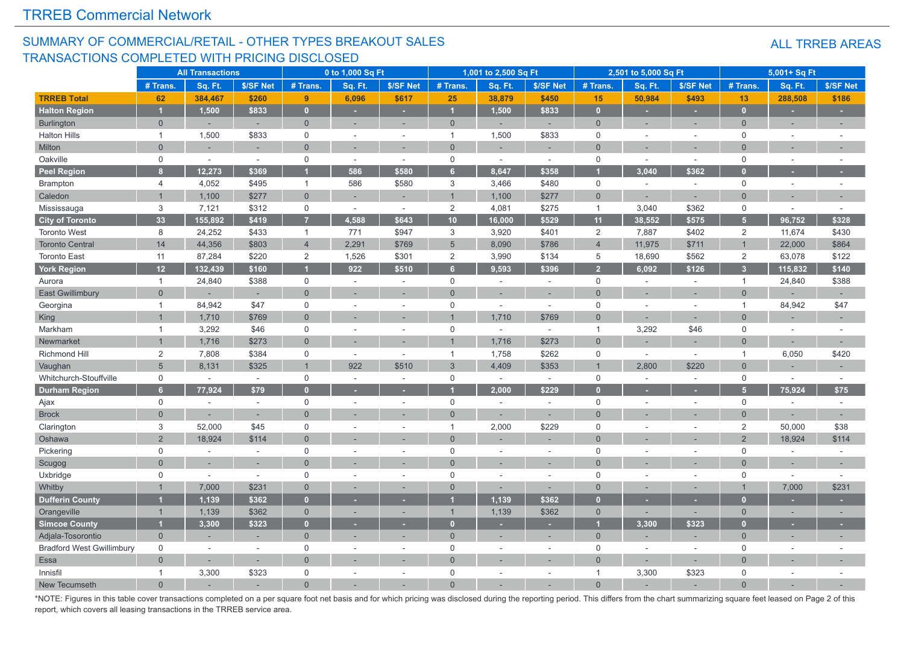#### SUMMARY OF COMMERCIAL/RETAIL - OTHER TYPES BREAKOUT SALES TRANSACTIONS COMPLETED WITH PRICING DISCLOSED

|                                  |                | <b>All Transactions</b> |                          |                     | 0 to 1,000 Sq Ft         |                          |                | 1,001 to 2,500 Sq Ft     |           |                | 2,501 to 5,000 Sq Ft |                |                | 5,001+ Sq Ft             |           |
|----------------------------------|----------------|-------------------------|--------------------------|---------------------|--------------------------|--------------------------|----------------|--------------------------|-----------|----------------|----------------------|----------------|----------------|--------------------------|-----------|
|                                  | # Trans.       | Sq. Ft.                 | \$/SF Net                | # Trans.            | Sq. Ft.                  | \$/SF Net                | # Trans.       | Sq. Ft.                  | \$/SF Net | # Trans.       | Sq. Ft.              | \$/SF Net      | # Trans.       | Sq. Ft.                  | \$/SF Net |
| <b>TRREB Total</b>               | 62             | 384,467                 | \$260                    | 9                   | 6,096                    | \$617                    | 25             | 38,879                   | \$450     | 15             | 50,984               | \$493          | 13             | 288,508                  | \$186     |
| <b>Halton Region</b>             |                | 1,500                   | \$833                    | $\mathbf{0}$        | ٠                        | ÷                        | $\overline{1}$ | 1,500                    | \$833     | $\mathbf{0}$   | ٠                    | ٠              | $\mathbf{0}$   | ×.                       | ٠         |
| <b>Burlington</b>                | $\overline{0}$ |                         | ÷,                       | $\overline{0}$      | ÷,                       | $\sim$                   | $\overline{0}$ |                          |           | $\Omega$       | ÷.                   | ٠              | $\Omega$       | ÷,                       |           |
| <b>Halton Hills</b>              | $\mathbf{1}$   | 1,500                   | \$833                    | $\mathsf 0$         | $\sim$                   | $\sim$                   | -1             | 1,500                    | \$833     | $\mathsf 0$    |                      | ÷.             | $\mathbf 0$    | $\sim$                   |           |
| Milton                           | $\overline{0}$ |                         | ٠                        | $\overline{0}$      | ÷                        |                          | $\overline{0}$ |                          |           | $\Omega$       |                      | ÷,             | $\Omega$       |                          |           |
| Oakville                         | $\mathbf 0$    |                         | $\sim$                   | $\mathsf{O}$        | $\sim$                   | $\sim$                   | $\mathsf 0$    | $\sim$                   | $\sim$    | $\mathbf 0$    | $\sim$               | $\sim$         | $\mathbf 0$    | $\sim$                   |           |
| <b>Peel Region</b>               | 8              | 12,273                  | \$369                    |                     | 586                      | \$580                    | 6              | 8,647                    | \$358     |                | 3,040                | \$362          |                |                          |           |
| <b>Brampton</b>                  | 4              | 4,052                   | \$495                    | $\mathbf{1}$        | 586                      | \$580                    | $\sqrt{3}$     | 3,466                    | \$480     | 0              | $\sim$               | $\sim$         | $\mathbf 0$    | $\sim$                   | $\sim$    |
| Caledon                          | $\overline{1}$ | 1,100                   | \$277                    | $\overline{0}$      |                          |                          | $\overline{1}$ | 1,100                    | \$277     | $\overline{0}$ |                      |                | $\Omega$       |                          |           |
| Mississauga                      | 3              | 7,121                   | \$312                    | $\mathbf 0$         | $\sim$                   | $\omega$                 | 2              | 4,081                    | \$275     | $\overline{1}$ | 3,040                | \$362          | $\Omega$       | $\sim$                   |           |
| <b>City of Toronto</b>           | 33             | 155,892                 | \$419                    | $\overline{7}$      | 4,588                    | \$643                    | 10             | 16,000                   | \$529     | 11             | 38,552               | \$575          | 5 <sup>1</sup> | 96,752                   | \$328     |
| <b>Toronto West</b>              | 8              | 24,252                  | \$433                    | $\mathbf{1}$        | 771                      | \$947                    | 3              | 3,920                    | \$401     | $\overline{2}$ | 7,887                | \$402          | $\overline{2}$ | 11,674                   | \$430     |
| <b>Toronto Central</b>           | 14             | 44,356                  | \$803                    | $\overline{4}$      | 2,291                    | \$769                    | 5              | 8,090                    | \$786     | $\overline{4}$ | 11,975               | \$711          |                | 22,000                   | \$864     |
| <b>Toronto East</b>              | 11             | 87,284                  | \$220                    | $\overline{2}$      | 1,526                    | \$301                    | $\overline{2}$ | 3,990                    | \$134     | 5              | 18,690               | \$562          | 2              | 63,078                   | \$122     |
| <b>York Region</b>               | 12             | 132,439                 | \$160                    |                     | 922                      | \$510                    | 6              | 9,593                    | \$396     | $\overline{2}$ | 6,092                | \$126          | $\overline{3}$ | 115,832                  | \$140     |
| Aurora                           | $\mathbf{1}$   | 24,840                  | \$388                    | $\mathsf{O}$        | $\sim$                   | $\sim$                   | $\mathsf 0$    | ÷                        | $\sim$    | $\mathbf 0$    | ×.                   | $\overline{a}$ | $\mathbf 1$    | 24,840                   | \$388     |
| <b>East Gwillimbury</b>          | $\overline{0}$ |                         | $\overline{a}$           | $\Omega$            |                          |                          | $\Omega$       |                          | ÷.        | $\Omega$       |                      | ÷              | $\Omega$       |                          |           |
| Georgina                         | $\mathbf{1}$   | 84,942                  | \$47                     | $\mathsf{O}\xspace$ | ٠                        | $\sim$                   | $\mathbf 0$    | ÷                        | $\sim$    | $\mathbf 0$    |                      | ÷,             | $\mathbf{1}$   | 84,942                   | \$47      |
| King                             | $\overline{1}$ | 1,710                   | \$769                    | $\overline{0}$      |                          |                          |                | 1,710                    | \$769     | $\Omega$       |                      |                | $\Omega$       |                          |           |
| Markham                          | $\overline{1}$ | 3,292                   | \$46                     | $\mathsf 0$         |                          | $\sim$                   | $\mathsf 0$    | ÷                        | $\sim$    | $\overline{1}$ | 3,292                | \$46           | $\Omega$       | ÷                        |           |
| Newmarket                        | $\overline{1}$ | 1,716                   | \$273                    | $\Omega$            |                          |                          |                | 1,716                    | \$273     | $\Omega$       |                      |                | $\Omega$       |                          |           |
| Richmond Hill                    | $\overline{2}$ | 7,808                   | \$384                    | 0                   | $\overline{\phantom{a}}$ | $\sim$                   | $\mathbf{1}$   | 1,758                    | \$262     | $\mathbf 0$    | $\sim$               | $\sim$         | $\overline{1}$ | 6,050                    | \$420     |
| Vaughan                          | 5              | 8,131                   | \$325                    | $\overline{1}$      | 922                      | \$510                    | $\mathbf{3}$   | 4,409                    | \$353     | $\overline{1}$ | 2,800                | \$220          | $\Omega$       |                          |           |
| Whitchurch-Stouffville           | $\mathbf 0$    |                         | $\sim$                   | $\mathbf 0$         |                          | $\sim$                   | $\mathbf 0$    |                          | $\sim$    | $\mathbf 0$    |                      | ÷,             | $\mathbf 0$    | $\overline{\phantom{a}}$ |           |
| <b>Durham Region</b>             | 6 <sup>1</sup> | 77,924                  | \$79                     | $\overline{0}$      |                          |                          |                | 2,000                    | \$229     | г              |                      | ٠              | 5 <sup>1</sup> | 75,924                   | \$75      |
| Ajax                             | $\mathbf 0$    |                         | $\overline{\phantom{a}}$ | $\mathsf{O}$        | $\overline{\phantom{a}}$ | $\sim$                   | $\mathsf 0$    | $\overline{\phantom{a}}$ | $\sim$    | $\mathbf 0$    |                      | $\sim$         | $\mathbf 0$    | $\overline{\phantom{a}}$ | $\sim$    |
| <b>Brock</b>                     | $\Omega$       |                         | ÷.                       | $\Omega$            |                          |                          | $\Omega$       |                          |           | $\Omega$       |                      |                | $\Omega$       |                          | $\sim$    |
| Clarington                       | 3              | 52,000                  | \$45                     | $\mathsf 0$         |                          |                          | $\overline{1}$ | 2,000                    | \$229     | $\Omega$       |                      |                | $\overline{2}$ | 50,000                   | \$38      |
| Oshawa                           | $\overline{2}$ | 18,924                  | \$114                    | $\overline{0}$      |                          |                          | $\Omega$       |                          |           | $\Omega$       |                      |                | $\overline{2}$ | 18,924                   | \$114     |
| Pickering                        | $\mathbf 0$    | $\sim$                  | $\sim$                   | $\mathsf 0$         | $\sim$                   | $\sim$                   | $\mathbf 0$    | $\sim$                   | $\sim$    | $\mathbf 0$    |                      | $\sim$         | $\mathbf 0$    | $\sim$                   | $\sim$    |
| Scugog                           | $\Omega$       |                         | ÷                        | $\overline{0}$      |                          | $\sim$                   | $\Omega$       | ÷.                       | $\sim$    | $\Omega$       |                      | $\overline{a}$ | $\Omega$       | ÷.                       | $\sim$    |
| Uxbridge                         | $\mathsf{O}$   | $\sim$                  | $\sim$                   | $\mathsf 0$         | ä,                       | $\sim$                   | $\mathsf 0$    |                          | $\sim$    | $\mathbf 0$    |                      | ä,             | $\mathbf 0$    | $\sim$                   |           |
| Whitby                           |                | 7,000                   | \$231                    | $\overline{0}$      |                          |                          | $\overline{0}$ |                          |           | $\Omega$       |                      | ÷,             |                | 7,000                    | \$231     |
| <b>Dufferin County</b>           |                | 1,139                   | \$362                    | $\mathbf{0}$        |                          |                          |                | 1,139                    | \$362     | n              |                      |                | $\mathbf{u}$   |                          |           |
| Orangeville                      | $\mathbf{1}$   | 1,139                   | \$362                    | $\mathbf 0$         |                          | $\overline{\phantom{a}}$ | $\overline{1}$ | 1,139                    | \$362     | $\mathbf{0}$   |                      | ۰              | $\Omega$       |                          |           |
| <b>Simcoe County</b>             | и              | 3,300                   | \$323                    | $\mathbf{0}$        |                          |                          | $\mathbf{0}$   |                          |           |                | 3,300                | \$323          | n              |                          |           |
| Adjala-Tosorontio                | $\overline{0}$ |                         | ÷,                       | $\mathbf{0}$        |                          |                          | $\overline{0}$ |                          | ÷         | $\mathbf{0}$   |                      | ÷,             | $\Omega$       | ÷,                       |           |
| <b>Bradford West Gwillimbury</b> | $\mathbf 0$    | $\sim$                  | $\sim$                   | $\mathbf 0$         | ÷.                       | $\sim$                   | $\mathbf 0$    | $\sim$                   | $\sim$    | $\mathbf 0$    |                      | ÷,             | $\Omega$       | $\sim$                   |           |
| Essa                             | $\overline{0}$ |                         | ÷,                       | $\overline{0}$      |                          |                          | $\Omega$       |                          |           | $\Omega$       |                      |                | $\Omega$       |                          |           |
| Innisfil                         | $\mathbf{1}$   | 3,300                   | \$323                    | $\mathbf 0$         |                          | $\sim$                   | $\mathbf 0$    |                          | ÷         | $\mathbf{1}$   | 3,300                | \$323          | $\Omega$       | ÷                        |           |
| New Tecumseth                    | $\Omega$       |                         |                          | $\Omega$            |                          |                          | $\Omega$       |                          |           | $\Omega$       |                      |                | $\Omega$       |                          |           |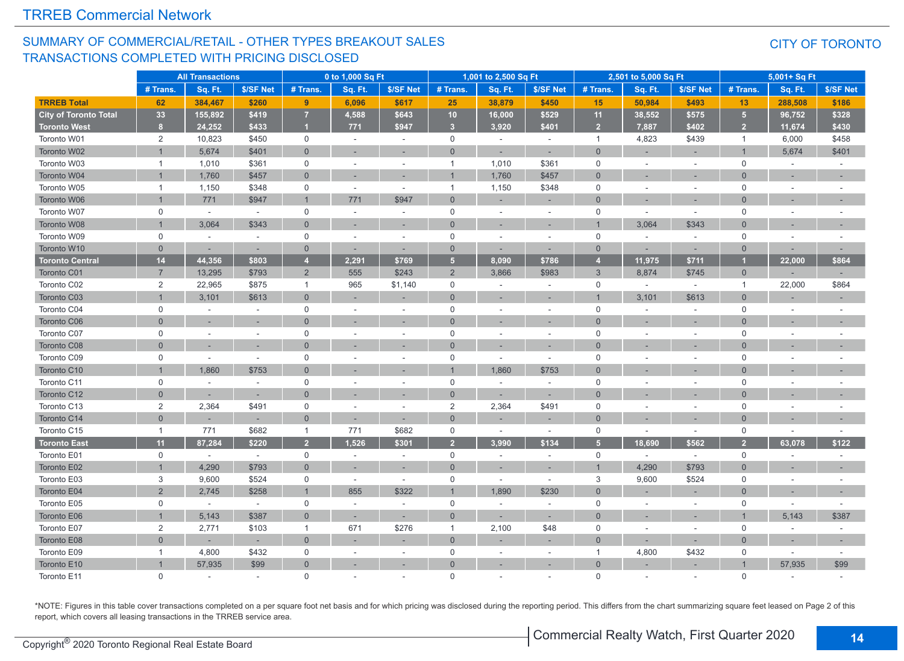#### SUMMARY OF COMMERCIAL/RETAIL - OTHER TYPES BREAKOUT SALES TRANSACTIONS COMPLETED WITH PRICING DISCLOSED

#### CITY OF TORONTO

|                              |                | <b>All Transactions</b> |           |                | 0 to 1,000 Sq Ft |                          |                | 1,001 to 2,500 Sq Ft |                          |                | 2,501 to 5,000 Sq Ft |           |                | 5,001+ Sq Ft   |                          |
|------------------------------|----------------|-------------------------|-----------|----------------|------------------|--------------------------|----------------|----------------------|--------------------------|----------------|----------------------|-----------|----------------|----------------|--------------------------|
|                              | # Trans.       | Sq. Ft.                 | \$/SF Net | # Trans.       | Sq. Ft.          | \$/SF Net                | # Trans.       | Sq. Ft.              | \$/SF Net                | # Trans.       | Sq. Ft.              | \$/SF Net | # Trans.       | Sq. Ft.        | \$/SF Net                |
| <b>TRREB Total</b>           | 62             | 384,467                 | \$260     | 9              | 6,096            | \$617                    | 25             | 38,879               | \$450                    | 15             | 50,984               | \$493     | 13             | 288,508        | \$186                    |
| <b>City of Toronto Total</b> | 33             | 155,892                 | \$419     | $\overline{7}$ | 4,588            | \$643                    | 10             | 16,000               | \$529                    | 11             | 38,552               | \$575     | 5 <sup>1</sup> | 96,752         | \$328                    |
| <b>Toronto West</b>          | 8 <sup>1</sup> | 24,252                  | \$433     | $\blacksquare$ | 771              | \$947                    | 3 <sup>2</sup> | 3,920                | \$401                    | 2 <sup>2</sup> | 7,887                | \$402     | 2 <sup>2</sup> | 11,674         | \$430                    |
| Toronto W01                  | 2              | 10,823                  | \$450     | $\mathbf 0$    | $\sim$           | $\sim$                   | $\mathbf 0$    | $\sim$               | $\sim$                   | $\mathbf{1}$   | 4,823                | \$439     | $\mathbf{1}$   | 6,000          | \$458                    |
| Toronto W02                  | $\overline{1}$ | 5,674                   | \$401     | $\overline{0}$ |                  |                          | $\overline{0}$ |                      |                          | $\Omega$       |                      |           |                | 5,674          | \$401                    |
| Toronto W03                  | $\mathbf{1}$   | 1,010                   | \$361     | $\mathsf 0$    | $\sim$           | ÷.                       | $\mathbf{1}$   | 1,010                | \$361                    | $\mathbf 0$    |                      | ÷,        | $\mathbf 0$    | ÷.             |                          |
| Toronto W04                  |                | 1,760                   | \$457     | $\overline{0}$ |                  |                          |                | 1,760                | \$457                    | $\Omega$       |                      |           | $\Omega$       |                |                          |
| Toronto W05                  | $\mathbf{1}$   | 1,150                   | \$348     | $\mathsf{O}$   | $\sim$           | $\sim$                   | $\mathbf{1}$   | 1,150                | \$348                    | $\mathbf 0$    |                      | $\sim$    | $\Omega$       | $\sim$         |                          |
| Toronto W06                  |                | 771                     | \$947     | $\overline{1}$ | 771              | \$947                    | $\overline{0}$ |                      |                          | $\overline{0}$ |                      |           | $\Omega$       |                |                          |
| Toronto W07                  | $\mathbf 0$    | $\sim$                  | $\sim$    | $\mathbf 0$    | $\sim$           | ÷.                       | $\mathbf 0$    | $\sim$               | $\sim$                   | $\mathbf 0$    | $\sim$               | $\sim$    | $\Omega$       | $\overline{a}$ |                          |
| Toronto W08                  | $\overline{1}$ | 3,064                   | \$343     | $\overline{0}$ |                  |                          | $\overline{0}$ |                      |                          |                | 3,064                | \$343     | $\Omega$       |                |                          |
| Toronto W09                  | 0              | $\sim$                  | $\sim$    | $\mathbf 0$    | $\sim$           | $\sim$                   | $\mathbf 0$    | ÷                    | $\sim$                   | $\mathbf 0$    | $\sim$               | $\sim$    | $\mathbf 0$    | $\sim$         |                          |
| Toronto W10                  | $\mathbf{0}$   |                         |           | $\overline{0}$ |                  | $\overline{\phantom{a}}$ | $\overline{0}$ |                      |                          | $\overline{0}$ |                      |           | $\Omega$       |                |                          |
| <b>Toronto Central</b>       | $14$           | 44,356                  | \$803     | $\overline{4}$ | 2,291            | \$769                    | 5 <sup>5</sup> | 8,090                | \$786                    | $\overline{4}$ | 11,975               | \$711     |                | 22,000         | \$864                    |
| Toronto C01                  | $\overline{7}$ | 13,295                  | \$793     | $\overline{2}$ | 555              | \$243                    | $\overline{2}$ | 3,866                | \$983                    | $\mathbf{3}$   | 8,874                | \$745     | $\mathbf 0$    |                |                          |
| Toronto C02                  | 2              | 22,965                  | \$875     | $\overline{1}$ | 965              | \$1,140                  | $\mathbf 0$    |                      | $\sim$                   | $\mathbf 0$    | $\sim$               | $\sim$    | $\overline{1}$ | 22,000         | \$864                    |
| Toronto C03                  | $\overline{1}$ | 3,101                   | \$613     | $\overline{0}$ |                  |                          | $\overline{0}$ | ۰                    | $\overline{\phantom{a}}$ |                | 3,101                | \$613     | $\Omega$       |                |                          |
| Toronto C04                  | $\mathsf{O}$   | $\sim$                  | $\sim$    | $\mathsf 0$    | $\sim$           | ÷.                       | $\mathbf 0$    | $\sim$               | $\sim$                   | $\mathbf 0$    |                      | $\sim$    | $\mathbf 0$    |                | $\sim$                   |
| Toronto C06                  | $\Omega$       |                         |           | $\overline{0}$ |                  |                          | $\overline{0}$ |                      |                          | $\Omega$       |                      |           | $\Omega$       |                |                          |
| Toronto C07                  | $\mathbf 0$    | ÷.                      |           | $\mathsf 0$    | $\sim$           | ÷.                       | $\mathbf 0$    | $\overline{a}$       | $\sim$                   | $\mathbf 0$    |                      | $\sim$    | $\mathbf 0$    |                |                          |
| Toronto C08                  | $\Omega$       |                         |           | $\overline{0}$ |                  |                          | $\Omega$       |                      | $\sim$                   | $\Omega$       |                      |           | $\Omega$       |                |                          |
| Toronto C09                  | 0              | ÷.                      |           | $\mathsf 0$    |                  | ÷.                       | $\mathbf 0$    | ÷,                   | $\sim$                   | $\mathbf 0$    |                      | ÷,        | $\mathbf 0$    | ÷,             |                          |
| Toronto C10                  | $\overline{1}$ | 1,860                   | \$753     | $\Omega$       |                  |                          | $\overline{1}$ | 1,860                | \$753                    | $\Omega$       |                      |           | $\Omega$       |                |                          |
| Toronto C11                  | $\mathsf{O}$   |                         |           | $\mathbf 0$    |                  |                          | $\mathbf 0$    |                      | $\overline{\phantom{a}}$ | $\mathbf 0$    |                      |           | $\Omega$       |                |                          |
| Toronto C12                  | $\overline{0}$ |                         |           | $\overline{0}$ |                  |                          | $\overline{0}$ |                      |                          | $\Omega$       |                      |           | $\Omega$       |                |                          |
| Toronto C13                  | $\overline{c}$ | 2,364                   | \$491     | $\mathbf 0$    | $\sim$           | ÷.                       | $\overline{2}$ | 2,364                | \$491                    | $\mathbf 0$    |                      | ÷.        | $\Omega$       | $\sim$         |                          |
| Toronto C14                  | $\Omega$       |                         |           | $\overline{0}$ |                  |                          | $\overline{0}$ |                      |                          | $\Omega$       |                      |           | $\Omega$       |                |                          |
| Toronto C15                  | $\mathbf{1}$   | 771                     | \$682     | $\overline{1}$ | 771              | \$682                    | $\mathsf 0$    | $\sim$               | $\sim$                   | $\mathbf 0$    | $\sim$               | $\sim$    | $\mathbf 0$    | ÷,             | $\sim$                   |
| <b>Toronto East</b>          | 11             | 87,284                  | \$220     | $\overline{2}$ | 1.526            | \$301                    | $\overline{2}$ | 3.990                | \$134                    | 5 <sub>5</sub> | 18.690               | \$562     | $\overline{2}$ | 63.078         | \$122                    |
| Toronto E01                  | $\mathsf 0$    | $\sim$                  | $\sim$    | $\mathsf{O}$   | $\sim$           | $\sim$                   | $\mathsf 0$    | ÷.                   | $\sim$                   | $\mathsf 0$    | $\sim$               | $\sim$    | $\mathbf 0$    | $\sim$         | $\sim$                   |
| Toronto E02                  | $\overline{1}$ | 4,290                   | \$793     | $\overline{0}$ |                  |                          | $\mathbf{0}$   |                      |                          |                | 4,290                | \$793     | $\Omega$       |                |                          |
| Toronto E03                  | 3              | 9,600                   | \$524     | $\mathsf{O}$   | $\sim$           | ÷.                       | $\mathbf 0$    | $\overline{a}$       | $\sim$                   | 3              | 9,600                | \$524     | $\mathbf 0$    | ٠              | $\overline{\phantom{a}}$ |
| Toronto E04                  | 2              | 2,745                   | \$258     | $\overline{1}$ | 855              | \$322                    | $\overline{1}$ | 1,890                | \$230                    | $\Omega$       |                      |           | $\Omega$       |                |                          |
| Toronto E05                  | $\mathbf 0$    | $\sim$                  | $\sim$    | $\mathbf 0$    |                  | $\sim$                   | $\mathbf 0$    | ۳                    | $\sim$                   | $\mathbf 0$    |                      | $\sim$    | $\Omega$       | ÷.             | $\sim$                   |
| Toronto E06                  |                | 5,143                   | \$387     | $\overline{0}$ |                  | ÷,                       | $\overline{0}$ |                      |                          | $\Omega$       |                      |           |                | 5,143          | \$387                    |
| Toronto E07                  | $\overline{2}$ | 2,771                   | \$103     | $\overline{1}$ | 671              | \$276                    | $\mathbf{1}$   | 2,100                | \$48                     | $\mathbf 0$    |                      | $\sim$    | $\mathbf 0$    | ÷,             | $\sim$                   |
| Toronto E08                  | $\Omega$       |                         |           | $\overline{0}$ |                  |                          | $\overline{0}$ |                      |                          | $\overline{0}$ |                      |           | $\Omega$       |                |                          |
| Toronto E09                  | $\mathbf{1}$   | 4,800                   | \$432     | $\mathsf{O}$   | ÷.               | $\sim$                   | $\mathbf 0$    |                      | $\sim$                   | $\mathbf{1}$   | 4,800                | \$432     | $\mathbf 0$    | $\sim$         | $\sim$                   |
| Toronto E10                  |                | 57,935                  | \$99      | $\overline{0}$ |                  |                          | $\overline{0}$ |                      |                          | $\overline{0}$ |                      |           |                | 57,935         | \$99                     |
| Toronto E11                  | $\Omega$       |                         |           | $\mathbf{0}$   |                  |                          | $\Omega$       |                      |                          | $\Omega$       |                      |           | $\Omega$       |                |                          |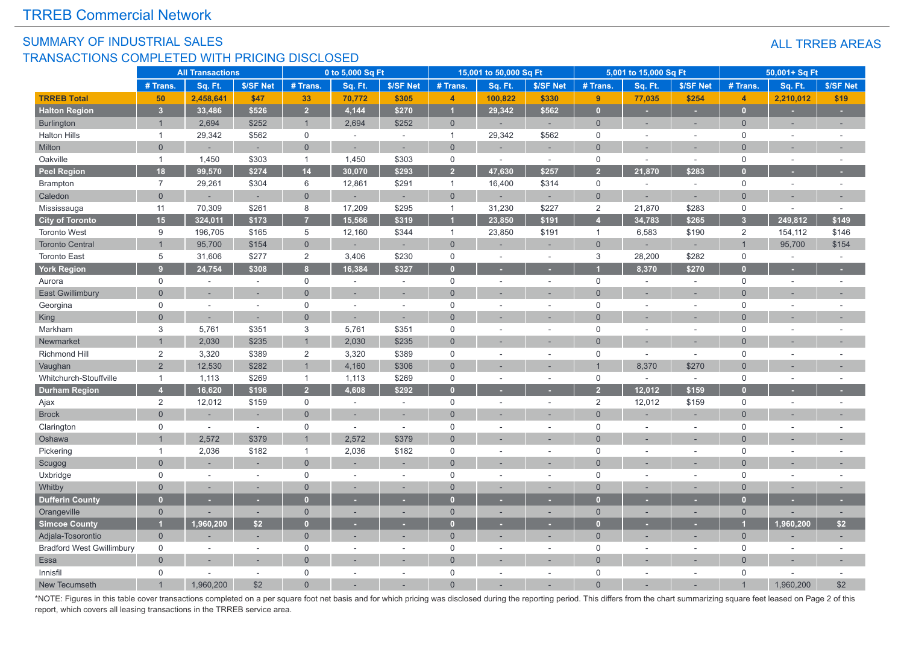#### SUMMARY OF INDUSTRIAL SALES TRANSACTIONS COMPLETED WITH PRICING DISCLOSED

|                                  |                | <b>All Transactions</b> |           |                | 0 to 5,000 Sq Ft |           |                | 15,001 to 50,000 Sq Ft |                          |                | 5,001 to 15,000 Sq Ft |                          |                | 50,001+ Sq Ft            |           |
|----------------------------------|----------------|-------------------------|-----------|----------------|------------------|-----------|----------------|------------------------|--------------------------|----------------|-----------------------|--------------------------|----------------|--------------------------|-----------|
|                                  | # Trans.       | Sq. Ft.                 | \$/SF Net | # Trans.       | Sq. Ft.          | \$/SF Net | # Trans        | Sq. Ft.                | \$/SF Net                | # Trans.       | Sq. Ft.               | \$/SF Net                | # Trans.       | Sq. Ft.                  | \$/SF Net |
| <b>TRREB Total</b>               | 50             | 2,458,641               | \$47      | 33             | 70,772           | \$305     | $\overline{4}$ | 100,822                | \$330                    | 9 <sup>°</sup> | 77,035                | \$254                    | $\overline{4}$ | 2,210,012                | \$19      |
| <b>Halton Region</b>             | $\overline{3}$ | 33,486                  | \$526     | $\overline{2}$ | 4,144            | \$270     | $\overline{1}$ | 29,342                 | \$562                    | $\mathbf{0}$   | ٠                     | н                        | $\mathbf{0}$   | ×.                       | н         |
| <b>Burlington</b>                | $\overline{1}$ | 2,694                   | \$252     | $\overline{1}$ | 2,694            | \$252     | $\overline{0}$ |                        | ÷                        | $\overline{0}$ | ÷                     | ÷                        | $\Omega$       | ×,                       | $\sim$    |
| <b>Halton Hills</b>              | $\mathbf{1}$   | 29,342                  | \$562     | $\mathsf 0$    | $\sim$           | $\sim$    | $\overline{1}$ | 29,342                 | \$562                    | $\mathbf 0$    | $\sim$                | ÷.                       | $\mathbf 0$    | $\overline{a}$           |           |
| Milton                           | $\overline{0}$ |                         | ÷.        | $\overline{0}$ | ÷.               | $\sim$    | $\Omega$       |                        | ٠                        | $\overline{0}$ |                       | $\overline{\phantom{a}}$ | $\Omega$       | $\overline{\phantom{a}}$ |           |
| Oakville                         | $\mathbf{1}$   | 1,450                   | \$303     | $\mathbf{1}$   | 1,450            | \$303     | $\mathsf 0$    |                        | $\sim$                   | 0              | $\sim$                | $\sim$                   | $\mathbf 0$    | $\sim$                   |           |
| <b>Peel Region</b>               | 18             | 99,570                  | \$274     | 14             | 30,070           | \$293     | $\overline{2}$ | 47,630                 | \$257                    | $\overline{2}$ | 21,870                | \$283                    |                |                          |           |
| Brampton                         | $\overline{7}$ | 29,261                  | \$304     | $\,6\,$        | 12,861           | \$291     | $\overline{1}$ | 16,400                 | \$314                    | 0              | $\sim$                | $\sim$                   | $\mathbf 0$    | $\sim$                   | $\sim$    |
| Caledon                          | $\overline{0}$ |                         | ٠         | $\overline{0}$ |                  | ÷,        | $\overline{0}$ |                        |                          | $\overline{0}$ |                       |                          | $\mathbf{0}$   |                          |           |
| Mississauga                      | 11             | 70,309                  | \$261     | 8              | 17,209           | \$295     | $\overline{1}$ | 31,230                 | \$227                    | 2              | 21,870                | \$283                    | $\Omega$       | $\overline{a}$           |           |
| <b>City of Toronto</b>           | 15             | 324,011                 | \$173     | $\overline{7}$ | 15,566           | \$319     |                | 23,850                 | \$191                    | $\overline{4}$ | 34,783                | \$265                    | 3 <sup>1</sup> | 249,812                  | \$149     |
| <b>Toronto West</b>              | 9              | 196,705                 | \$165     | 5              | 12,160           | \$344     | $\overline{1}$ | 23,850                 | \$191                    | $\overline{1}$ | 6,583                 | \$190                    | $\overline{2}$ | 154,112                  | \$146     |
| <b>Toronto Central</b>           | $\overline{1}$ | 95,700                  | \$154     | $\overline{0}$ | ÷                | ÷         | $\overline{0}$ |                        |                          | $\overline{0}$ |                       | ٠                        |                | 95,700                   | \$154     |
| <b>Toronto East</b>              | 5              | 31,606                  | \$277     | 2              | 3,406            | \$230     | $\mathsf 0$    | $\sim$                 | $\sim$                   | 3              | 28,200                | \$282                    | $\Omega$       | ÷.                       | $\sim$    |
| <b>York Region</b>               | $\overline{9}$ | 24,754                  | \$308     | 8              | 16,384           | \$327     | $\mathbf{0}$   |                        |                          |                | 8,370                 | \$270                    |                |                          |           |
| Aurora                           | 0              | ÷.                      | $\sim$    | $\mathsf 0$    | ÷,               | $\sim$    | $\mathbf 0$    | $\sim$                 | $\sim$                   | $\mathsf 0$    | $\sim$                | $\sim$                   | $\Omega$       | $\sim$                   |           |
| <b>East Gwillimbury</b>          | $\Omega$       |                         | $\sim$    | $\Omega$       | $\overline{a}$   |           | $\Omega$       |                        |                          | $\Omega$       |                       | ÷,                       | $\Omega$       |                          |           |
| Georgina                         | $\mathsf 0$    | $\sim$                  | $\sim$    | $\mathsf 0$    | ٠                | $\sim$    | $\mathbf 0$    |                        | $\sim$                   | $\mathbf 0$    | ÷.                    | $\sim$                   | $\Omega$       | ÷.                       |           |
| King                             | $\overline{0}$ |                         |           | $\overline{0}$ |                  |           | $\Omega$       |                        |                          | $\Omega$       |                       |                          | $\Omega$       |                          |           |
| Markham                          | 3              | 5,761                   | \$351     | 3              | 5,761            | \$351     | $\mathbf 0$    |                        | ÷,                       | $\mathbf 0$    |                       |                          | $\Omega$       | ÷,                       |           |
| Newmarket                        | $\overline{1}$ | 2,030                   | \$235     | $\overline{1}$ | 2,030            | \$235     | $\Omega$       |                        |                          | $\Omega$       |                       |                          | $\Omega$       |                          |           |
| Richmond Hill                    | 2              | 3,320                   | \$389     | $\sqrt{2}$     | 3,320            | \$389     | $\mathbf 0$    |                        | $\sim$                   | $\mathbf 0$    | $\sim$                | $\sim$                   | $\Omega$       | $\sim$                   |           |
| Vaughan                          | $\overline{2}$ | 12,530                  | \$282     | $\overline{1}$ | 4,160            | \$306     | $\overline{0}$ |                        |                          |                | 8,370                 | \$270                    | $\Omega$       |                          |           |
| Whitchurch-Stouffville           | $\mathbf{1}$   | 1,113                   | \$269     | $\mathbf{1}$   | 1,113            | \$269     | $\mathbf 0$    |                        | $\overline{\phantom{a}}$ | $\mathbf 0$    | $\sim$                | $\sim$                   | $\Omega$       | $\overline{a}$           |           |
| <b>Durham Region</b>             | $\overline{4}$ | 16,620                  | \$196     | $\overline{2}$ | 4,608            | \$292     | $\overline{0}$ |                        |                          | $\overline{2}$ | 12,012                | \$159                    |                |                          |           |
| Ajax                             | 2              | 12,012                  | \$159     | $\mathbf 0$    | $\overline{a}$   | $\sim$    | $\mathbf 0$    |                        | $\sim$                   | 2              | 12,012                | \$159                    | $\mathbf 0$    | $\sim$                   |           |
| <b>Brock</b>                     | $\Omega$       |                         | н.        | $\overline{0}$ |                  |           | $\Omega$       |                        |                          | $\Omega$       |                       |                          | $\Omega$       |                          |           |
| Clarington                       | 0              | $\sim$                  | ÷,        | $\mathsf 0$    | L.               | ÷.        | $\mathbf 0$    |                        | ÷.                       | $\Omega$       |                       | ÷.                       | $\Omega$       |                          |           |
| Oshawa                           |                | 2,572                   | \$379     | $\overline{1}$ | 2,572            | \$379     | $\Omega$       |                        | ÷,                       | $\Omega$       |                       | ÷.                       | $\Omega$       |                          |           |
| Pickering                        | $\mathbf{1}$   | 2,036                   | \$182     | $\mathbf{1}$   | 2,036            | \$182     | $\mathbf 0$    | $\sim$                 | $\sim$                   | $\mathbf 0$    | $\sim$                | $\sim$                   | $\mathbf 0$    | $\sim$                   |           |
| Scugog                           | $\Omega$       |                         | $\sim$    | $\overline{0}$ |                  |           | $\overline{0}$ |                        | ÷,                       | $\Omega$       |                       | $\overline{a}$           | $\Omega$       | $\overline{\phantom{a}}$ |           |
| Uxbridge                         | $\mathsf 0$    | $\sim$                  | $\sim$    | $\mathbf 0$    |                  | $\sim$    | $\mathbf 0$    |                        | $\sim$                   | $\mathbf 0$    |                       | ÷,                       | $\Omega$       | ä,                       |           |
| Whitby                           | $\overline{0}$ |                         | ٠         | $\overline{0}$ | ÷                |           | $\overline{0}$ |                        | ä,                       | $\Omega$       |                       |                          | $\Omega$       | ٠                        |           |
| <b>Dufferin County</b>           | $\overline{0}$ |                         |           | $\Omega$       |                  |           | $\mathbf{0}$   |                        |                          | n              |                       |                          | n              |                          |           |
| Orangeville                      | $\mathbf 0$    |                         | ×.        | $\mathbf 0$    |                  |           | $\mathbf 0$    |                        | ÷                        | $\mathbf 0$    |                       | ×,                       | $\Omega$       |                          |           |
| <b>Simcoe County</b>             | и              | 1,960,200               | \$2       | $\mathbf{0}$   |                  |           | $\mathbf{0}$   |                        |                          | $\bf{0}$       |                       |                          |                | 1,960,200                | \$2       |
| Adjala-Tosorontio                | $\mathbf 0$    |                         |           | $\overline{0}$ |                  |           | $\overline{0}$ |                        | ÷                        | $\overline{0}$ |                       |                          | $\mathbf{0}$   |                          |           |
| <b>Bradford West Gwillimbury</b> | $\mathbf 0$    | ÷.                      | $\sim$    | $\mathbf 0$    | ÷.               | $\sim$    | $\mathbf 0$    | $\sim$                 | $\sim$                   | $\mathbf 0$    | ÷.                    | $\sim$                   | $\Omega$       | $\overline{a}$           |           |
| Essa                             | $\mathbf 0$    |                         |           | $\overline{0}$ |                  |           | $\Omega$       |                        |                          | $\Omega$       |                       |                          | $\Omega$       |                          |           |
| Innisfil                         | $\mathbf 0$    |                         | $\sim$    | $\Omega$       |                  |           | $\mathbf 0$    |                        | $\overline{\phantom{a}}$ | $\mathbf 0$    |                       | ÷.                       | $\Omega$       |                          |           |
| New Tecumseth                    |                | 1.960.200               | \$2       | $\Omega$       |                  |           |                |                        |                          |                |                       |                          |                | 1.960.200                | \$2       |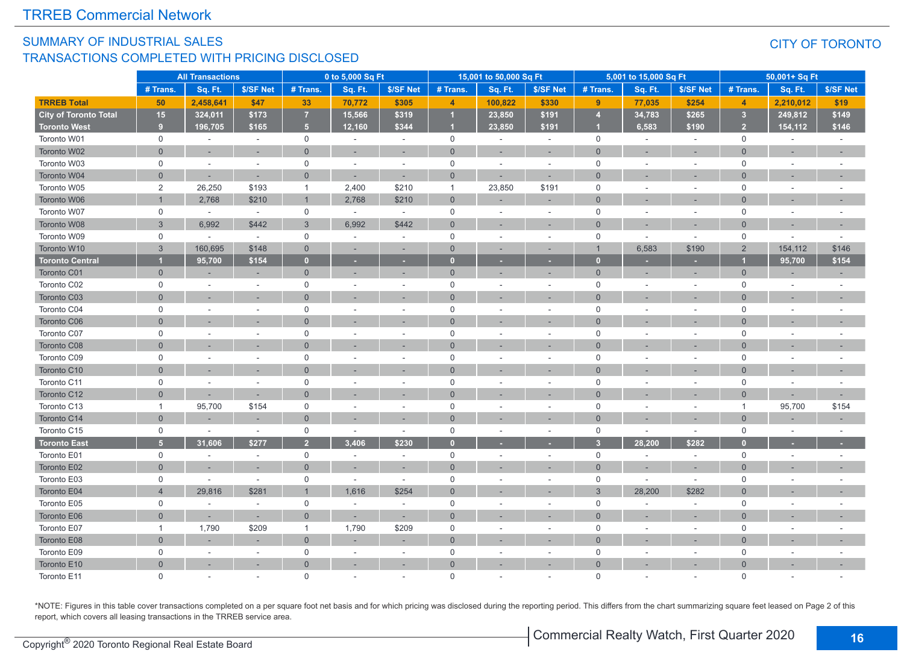#### SUMMARY OF INDUSTRIAL SALES TRANSACTIONS COMPLETED WITH PRICING DISCLOSED

#### CITY OF TORONTO

|                        |                     | <b>All Transactions</b> |           |                | 0 to 5,000 Sq Ft |                          |                | 15,001 to 50,000 Sq Ft |           |                | 5,001 to 15,000 Sq Ft |                |                | 50,001+ Sq Ft            |           |
|------------------------|---------------------|-------------------------|-----------|----------------|------------------|--------------------------|----------------|------------------------|-----------|----------------|-----------------------|----------------|----------------|--------------------------|-----------|
|                        | # Trans.            | Sq. Ft.                 | \$/SF Net | # Trans.       | Sq. Ft.          | \$/SF Net                | # Trans.       | Sq. Ft.                | \$/SF Net | # Trans        | Sq. Ft.               | \$/SF Net      | # Trans.       | Sq. Ft.                  | \$/SF Net |
| <b>TRREB Total</b>     | 50                  | 2,458,641               | \$47      | 33             | 70,772           | \$305                    | $\overline{4}$ | 100,822                | \$330     | 9              | 77,035                | \$254          | $\overline{4}$ | 2,210,012                | \$19      |
| City of Toronto Total  | 15                  | 324,011                 | \$173     | $\overline{7}$ | 15,566           | \$319                    |                | 23,850                 | \$191     | $\overline{4}$ | 34,783                | \$265          | 3 <sup>2</sup> | 249,812                  | \$149     |
| <b>Toronto West</b>    | 9                   | 196,705                 | \$165     | 5 <sub>5</sub> | 12,160           | \$344                    |                | 23,850                 | \$191     |                | 6,583                 | \$190          | 2 <sup>2</sup> | 154,112                  | \$146     |
| Toronto W01            | $\mathsf{O}$        | $\sim$                  | $\sim$    | $\mathsf{O}$   | $\sim$           | $\sim$                   | $\mathbf 0$    | $\sim$                 | $\sim$    | $\mathbf 0$    | $\sim$                | $\sim$         | $\mathbf 0$    | $\sim$                   | $\sim$    |
| Toronto W02            | $\overline{0}$      |                         |           | $\overline{0}$ |                  |                          | $\overline{0}$ | ٠                      | $\sim$    | $\Omega$       |                       |                | $\Omega$       |                          |           |
| Toronto W03            | $\mathbf 0$         | ÷.                      | $\sim$    | $\mathsf{O}$   | $\sim$           | ÷.                       | $\mathbf 0$    | ÷.                     | $\sim$    | $\mathbf 0$    |                       | ٠              | $\Omega$       | ÷.                       |           |
| Toronto W04            | $\overline{0}$      | ٠                       |           | $\overline{0}$ |                  | ÷.                       | $\Omega$       |                        |           | $\Omega$       |                       |                | $\Omega$       |                          |           |
| Toronto W05            | 2                   | 26,250                  | \$193     | $\overline{1}$ | 2,400            | \$210                    | $\mathbf{1}$   | 23,850                 | \$191     | $\mathbf 0$    |                       | $\sim$         | $\Omega$       | ÷,                       |           |
| Toronto W06            |                     | 2,768                   | \$210     | $\mathbf{1}$   | 2,768            | \$210                    | $\overline{0}$ |                        |           | $\Omega$       |                       |                | $\Omega$       |                          |           |
| Toronto W07            | $\mathbf 0$         | $\sim$                  | $\sim$    | $\mathbf 0$    | $\sim$           | $\sim$                   | $\mathbf 0$    |                        | $\sim$    | $\mathbf 0$    |                       | $\sim$         | $\mathbf 0$    | $\sim$                   |           |
| Toronto W08            | 3                   | 6,992                   | \$442     | $\mathbf{3}$   | 6,992            | \$442                    | $\overline{0}$ |                        |           | $\Omega$       |                       |                | $\Omega$       |                          |           |
| Toronto W09            | $\mathbf 0$         | $\sim$                  | $\sim$    | $\mathbf 0$    | $\sim$           | $\bar{a}$                | $\mathbf 0$    |                        | $\sim$    | $\mathbf 0$    |                       | ÷,             | $\mathbf 0$    |                          |           |
| Toronto W10            | $\mathbf{3}$        | 160,695                 | \$148     | $\mathbf 0$    |                  | ÷,                       | $\overline{0}$ |                        |           |                | 6,583                 | \$190          | $\overline{2}$ | 154,112                  | \$146     |
| <b>Toronto Central</b> |                     | 95,700                  | \$154     | $\mathbf{0}$   |                  | ٠                        | $\Omega$       |                        |           | п              |                       |                |                | 95,700                   | \$154     |
| Toronto C01            | $\overline{0}$      | ×.                      | $\sim$    | $\mathbf{0}$   |                  | ×.                       | $\mathbf{0}$   | ۰                      |           | $\overline{0}$ |                       | ٠              | $\mathbf{0}$   | ۰                        | $\sim$    |
| Toronto C02            | $\mathbf 0$         | ÷.                      |           | $\mathbf 0$    |                  |                          | $\mathbf 0$    |                        |           | $\mathbf 0$    |                       |                | $\mathbf 0$    |                          |           |
| Toronto C03            | $\Omega$            |                         | $\sim$    | $\overline{0}$ |                  | ÷                        | $\overline{0}$ |                        |           | $\Omega$       |                       |                | $\Omega$       | ÷                        |           |
| Toronto C04            | $\mathbf 0$         | ÷.                      | $\sim$    | $\mathbf 0$    |                  | ÷.                       | $\mathbf 0$    | ÷.                     | $\sim$    | $\mathbf 0$    |                       | $\sim$         | $\mathbf 0$    | $\sim$                   |           |
| Toronto C06            | $\overline{0}$      |                         |           | $\Omega$       |                  |                          | $\overline{0}$ |                        |           | $\Omega$       |                       |                |                |                          |           |
| Toronto C07            | $\mathbf 0$         | ÷.                      |           | $\mathbf 0$    |                  | $\overline{\phantom{a}}$ | $\mathbf 0$    |                        | $\sim$    | $\overline{0}$ |                       | $\sim$         | $\Omega$       | $\overline{\phantom{a}}$ |           |
| Toronto C08            | $\overline{0}$      |                         |           | $\overline{0}$ |                  |                          | $\overline{0}$ |                        |           | $\Omega$       |                       |                |                |                          |           |
| Toronto C09            | $\mathbf 0$         |                         |           | $\mathsf{O}$   |                  | ÷.                       | $\mathbf 0$    |                        | $\sim$    | $\mathbf 0$    |                       | ÷,             | $\mathbf 0$    | ÷.                       |           |
| Toronto C10            | $\Omega$            |                         |           | $\overline{0}$ |                  |                          | $\Omega$       |                        |           | $\Omega$       |                       |                | $\Omega$       |                          |           |
| Toronto C11            | $\mathsf{O}\xspace$ | ä,                      |           | $\mathbf 0$    |                  | ÷.                       | $\mathsf 0$    |                        | $\sim$    | $\mathsf 0$    |                       | ÷,             | $\Omega$       | ÷,                       |           |
| Toronto C12            | $\Omega$            | ×.                      | $\sim$    | $\Omega$       |                  |                          | $\Omega$       |                        |           | $\Omega$       |                       | ۰              | $\Omega$       | ÷                        |           |
| Toronto C13            | $\mathbf{1}$        | 95,700                  | \$154     | $\mathsf{O}$   |                  | $\sim$                   | $\mathbf 0$    |                        | $\sim$    | $\mathbf 0$    |                       | ÷,             | $\overline{1}$ | 95,700                   | \$154     |
| Toronto C14            | $\overline{0}$      |                         |           | $\overline{0}$ |                  |                          | $\mathbf{0}$   |                        |           | $\Omega$       |                       | ÷,             | $\Omega$       |                          |           |
| Toronto C15            | $\mathbf 0$         | $\sim$                  | $\sim$    | $\mathbf 0$    | $\sim$           | $\sim$                   | $\mathbf 0$    | $\overline{a}$         | $\sim$    | $\mathbf 0$    |                       | $\overline{a}$ | $\Omega$       | $\overline{a}$           |           |
| <b>Toronto East</b>    | 5 <sup>5</sup>      | 31,606                  | \$277     | $\overline{2}$ | 3.406            | \$230                    | $\Omega$       |                        |           | 3              | 28,200                | \$282          |                |                          |           |
| Toronto E01            | $\mathsf{O}$        | ÷.                      | $\sim$    | $\mathsf{O}$   | $\sim$           | $\omega$                 | $\mathbf 0$    | ÷,                     | $\sim$    | $\mathbf 0$    | $\sim$                | $\sim$         | $\mathbf 0$    | $\sim$                   |           |
| Toronto E02            | $\overline{0}$      |                         |           | $\overline{0}$ |                  |                          | $\overline{0}$ |                        |           | $\Omega$       |                       |                | $\Omega$       |                          |           |
| Toronto E03            | $\mathbf 0$         | $\sim$                  | $\sim$    | $\mathsf{O}$   | $\sim$           | $\sim$                   | $\mathbf 0$    |                        | $\sim$    | $\mathbf 0$    | $\sim$                | $\sim$         | $\Omega$       | ÷,                       |           |
| Toronto E04            | $\overline{4}$      | 29,816                  | \$281     | $\overline{1}$ | 1,616            | \$254                    | $\overline{0}$ |                        |           | 3              | 28,200                | \$282          | $\Omega$       |                          |           |
| Toronto E05            | $\mathbf 0$         |                         | $\sim$    | $\mathsf{O}$   |                  | ÷                        | $\mathbf 0$    |                        |           | $\Omega$       |                       | $\sim$         | $\Omega$       |                          |           |
| Toronto E06            | $\overline{0}$      |                         | ٠         | $\mathbf 0$    |                  | ÷,                       | $\overline{0}$ |                        |           | $\Omega$       |                       | ÷,             | $\Omega$       |                          |           |
| Toronto E07            | $\mathbf{1}$        | 1,790                   | \$209     | $\overline{1}$ | 1,790            | \$209                    | $\mathbf 0$    | ÷,                     | $\sim$    | $\mathbf 0$    |                       | $\sim$         | $\mathbf 0$    | ÷,                       |           |
| Toronto E08            | $\Omega$            |                         |           | $\overline{0}$ |                  | ×.                       | $\overline{0}$ |                        |           | $\Omega$       |                       | ۰              | $\Omega$       | $\overline{\phantom{a}}$ |           |
| Toronto E09            | $\mathbf 0$         |                         |           | $\mathsf{O}$   | $\sim$           | $\sim$                   | $\mathsf 0$    |                        | $\sim$    | $\mathbf 0$    |                       | ÷,             | $\mathbf 0$    |                          |           |
| Toronto E10            | $\overline{0}$      |                         |           | $\overline{0}$ |                  |                          | $\Omega$       |                        |           | $\Omega$       |                       |                | $\Omega$       |                          |           |
| Toronto E11            | $\Omega$            |                         |           | $\Omega$       |                  |                          | $\Omega$       |                        |           | $\Omega$       |                       |                | $\Omega$       |                          |           |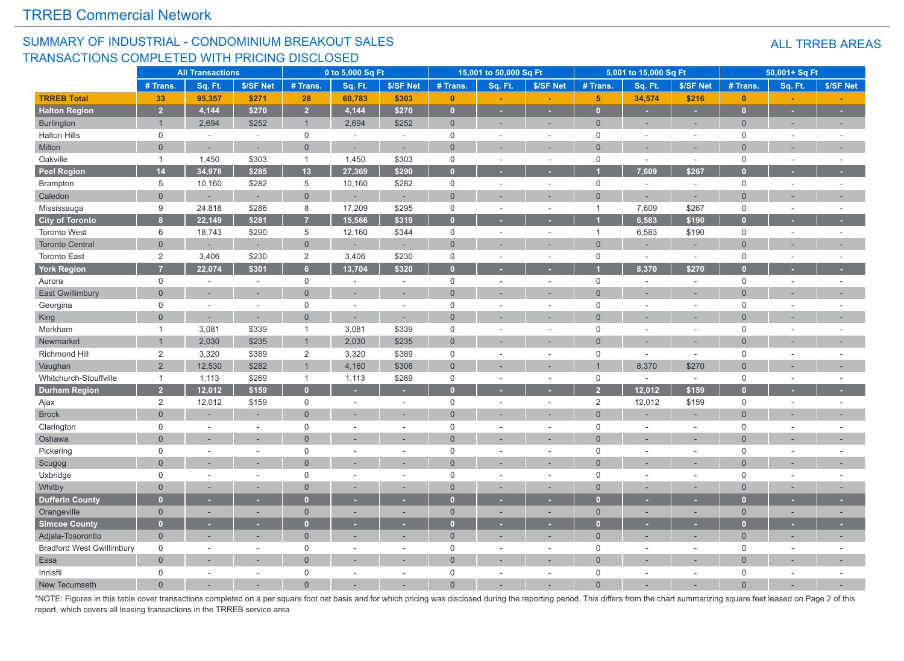#### SUMMARY OF INDUSTRIAL - CONDOMINIUM BREAKOUT SALES TRANSACTIONS COMPLETED WITH PRICING DISCLOSED

|                                  |                | <b>All Transactions</b> |           |                         | 0 to 5,000 Sq Ft |                          |                | 15,001 to 50,000 Sq Ft |                          |                | 5,001 to 15,000 Sq Ft |                |              | 50,001+ Sq Ft            |                          |
|----------------------------------|----------------|-------------------------|-----------|-------------------------|------------------|--------------------------|----------------|------------------------|--------------------------|----------------|-----------------------|----------------|--------------|--------------------------|--------------------------|
|                                  | # Trans.       | Sq. Ft.                 | \$/SF Net | # Trans.                | Sq. Ft.          | \$/SF Net                | # Trans.       | Sq. Ft.                | \$/SF Net                | # Trans.       | Sq. Ft.               | \$/SF Net      | # Trans.     | Sq. Ft.                  | \$/SF Net                |
| <b>TRREB Total</b>               | 33             | 95,357                  | \$271     | 28                      | 60,783           | \$303                    | $\mathbf{0}$   |                        |                          | 5 <sup>1</sup> | 34,574                | \$216          | $\mathbf{0}$ | $\blacksquare$           |                          |
| <b>Halton Region</b>             | $\overline{2}$ | 4,144                   | \$270     | $\overline{2}$          | 4,144            | \$270                    | $\overline{0}$ |                        |                          | $\overline{0}$ | ٠                     | u              | $\Omega$     | н                        |                          |
| Burlington                       | $\mathbf{1}$   | 2,694                   | \$252     | $\mathbf{1}$            | 2,694            | \$252                    | $\mathbf 0$    | ٠                      | $\sim$                   | $\mathbf{0}$   |                       | ٠              | $\Omega$     | ٠                        | $\sim$                   |
| <b>Halton Hills</b>              | $\mathsf 0$    | $\sim$                  | $\sim$    | $\mathsf{O}$            | $\sim$           | $\sim$                   | $\mathbf 0$    | $\sim$                 | $\sim$                   | $\mathbf 0$    | $\sim$                | $\sim$         | 0            | $\sim$                   | ÷,                       |
| Milton                           | $\Omega$       | $\sim$                  | $\sim$    | $\overline{0}$          | ÷,               | $\sim$                   | $\Omega$       |                        |                          | $\Omega$       |                       | $\overline{a}$ | $\Omega$     | $\overline{\phantom{a}}$ |                          |
| Oakville                         | $\mathbf{1}$   | 1,450                   | \$303     | $\mathbf{1}$            | 1,450            | \$303                    | $\mathbf 0$    | ÷.                     | $\sim$                   | $\mathbf 0$    | $\sim$                | $\sim$         | $\mathbf 0$  | $\sim$                   |                          |
| <b>Peel Region</b>               | 14             | 34,978                  | \$285     | 13                      | 27,369           | \$290                    | $\mathbf{0}$   |                        |                          |                | 7,609                 | \$267          |              | ٠                        |                          |
| Brampton                         | 5              | 10,160                  | \$282     | 5                       | 10,160           | \$282                    | $\mathsf 0$    | $\sim$                 | $\sim$                   | $\mathbf 0$    | $\sim$                | $\sim$         | $\mathbf 0$  | $\sim$                   | $\sim$                   |
| Caledon                          | $\overline{0}$ |                         | $\sim$    | $\overline{0}$          |                  | $\sim$                   | $\Omega$       |                        |                          | $\Omega$       |                       |                | $\Omega$     |                          |                          |
| Mississauga                      | $9\,$          | 24,818                  | \$286     | 8                       | 17,209           | \$295                    | $\mathbf 0$    | ÷,                     | $\sim$                   | $\mathbf{1}$   | 7,609                 | \$267          | $\mathbf 0$  | $\sim$                   | $\sim$                   |
| <b>City of Toronto</b>           | 8 <sup>1</sup> | 22,149                  | \$281     | $\overline{7}$          | 15,566           | \$319                    | $\mathbf{0}$   |                        |                          |                | 6,583                 | \$190          | $\mathbf{0}$ |                          |                          |
| <b>Toronto West</b>              | 6              | 18,743                  | \$290     | 5                       | 12,160           | \$344                    | $\mathbf 0$    | ÷,                     | $\sim$                   | $\overline{1}$ | 6,583                 | \$190          | $\mathbf 0$  | $\sim$                   | ÷,                       |
| <b>Toronto Central</b>           | $\mathbf 0$    |                         | ٠         | $\mathbf 0$             | ÷.               | ÷                        | $\Omega$       |                        |                          | $\overline{0}$ |                       |                | $\Omega$     |                          |                          |
| <b>Toronto East</b>              | 2              | 3,406                   | \$230     | 2                       | 3,406            | \$230                    | $\mathbf 0$    | $\sim$                 | $\sim$                   | $\mathbf 0$    | $\sim$                | $\sim$         | $\mathbf 0$  | $\sim$                   |                          |
| <b>York Region</b>               | $\overline{7}$ | 22,074                  | \$301     | 6 <sup>1</sup>          | 13,704           | \$320                    | $\Omega$       |                        |                          |                | 8,370                 | \$270          |              |                          |                          |
| Aurora                           | $\mathsf 0$    | $\sim$                  | $\sim$    | 0                       | $\sim$           | $\sim$                   | $\mathsf 0$    | $\overline{a}$         | $\overline{a}$           | $\mathsf 0$    | $\sim$                | $\sim$         | $\mathbf 0$  | ÷                        | $\overline{a}$           |
| <b>East Gwillimbury</b>          | $\mathbf{0}$   |                         |           | $\overline{0}$          |                  | $\sim$                   | $\Omega$       |                        |                          | $\Omega$       |                       | ÷.             | $\Omega$     |                          |                          |
| Georgina                         | $\mathsf 0$    | $\sim$                  | $\sim$    | $\mathbf 0$             | $\sim$           | $\sim$                   | $\mathbf 0$    | ٠                      | $\sim$                   | $\mathbf 0$    |                       | ÷,             | $\Omega$     | ÷                        |                          |
| King                             | $\overline{0}$ |                         |           | $\mathbf 0$             |                  |                          | $\Omega$       |                        |                          | $\Omega$       |                       |                | $\Omega$     |                          |                          |
| Markham                          | $\mathbf{1}$   | 3,081                   | \$339     | $\mathbf{1}$            | 3,081            | \$339                    | $\mathsf 0$    |                        |                          | $\mathbf 0$    |                       | ä,             | $\mathbf 0$  | ÷                        |                          |
| Newmarket                        | $\overline{1}$ | 2,030                   | \$235     | $\overline{1}$          | 2,030            | \$235                    | $\Omega$       |                        |                          | $\Omega$       |                       | ÷,             | $\Omega$     |                          |                          |
| Richmond Hill                    | $\overline{2}$ | 3,320                   | \$389     | $\overline{\mathbf{c}}$ | 3,320            | \$389                    | $\mathbf 0$    | ÷,                     | $\sim$                   | $\mathbf 0$    | $\sim$                | $\sim$         | $\Omega$     | $\sim$                   | $\overline{\phantom{a}}$ |
| Vaughan                          | $\overline{2}$ | 12,530                  | \$282     | $\overline{1}$          | 4,160            | \$306                    | $\overline{0}$ |                        |                          |                | 8,370                 | \$270          | $\Omega$     |                          |                          |
| Whitchurch-Stouffville           | $\overline{1}$ | 1,113                   | \$269     | $\mathbf{1}$            | 1,113            | \$269                    | $\mathbf 0$    |                        | $\sim$                   | $\mathbf 0$    | $\sim$                | $\sim$         | $\mathbf 0$  | $\overline{\phantom{a}}$ |                          |
| <b>Durham Region</b>             | $\overline{2}$ | 12,012                  | \$159     | $\overline{0}$          |                  | ×                        | $\Omega$       |                        |                          | $\overline{2}$ | 12,012                | \$159          |              |                          |                          |
| Ajax                             | 2              | 12,012                  | \$159     | $\mathsf{O}$            | $\sim$           | $\overline{\phantom{a}}$ | $\mathsf 0$    | ÷,                     | $\sim$                   | $\overline{2}$ | 12,012                | \$159          | $\mathbf 0$  | $\overline{\phantom{a}}$ |                          |
| <b>Brock</b>                     | $\Omega$       |                         | ÷         | $\overline{0}$          |                  |                          | $\Omega$       |                        |                          | $\overline{0}$ |                       | ۰              | $\Omega$     | ÷.                       |                          |
| Clarington                       | $\mathbf 0$    |                         | $\sim$    | $\mathbf 0$             |                  | ÷.                       | $\Omega$       |                        |                          | $\mathbf 0$    |                       | $\sim$         | $\mathbf 0$  |                          |                          |
| Oshawa                           | $\Omega$       |                         | $\sim$    | $\Omega$                |                  | $\sim$                   | $\Omega$       | ÷                      | $\sim$                   | $\Omega$       |                       | ۰              | $\Omega$     | ÷                        |                          |
| Pickering                        | $\mathsf 0$    | $\sim$                  | $\sim$    | $\mathsf 0$             | $\sim$           | $\sim$                   | $\mathbf 0$    | $\sim$                 | $\sim$                   | $\mathbf 0$    | $\sim$                | $\sim$         | 0            | $\sim$                   | $\sim$                   |
| Scugog                           | $\Omega$       |                         | $\sim$    | $\overline{0}$          |                  | $\sim$                   | $\Omega$       | ×.                     | $\sim$                   | $\Omega$       |                       | $\overline{a}$ | $\Omega$     | ÷.                       |                          |
| Uxbridge                         | $\mathsf 0$    |                         | $\sim$    | $\mathsf 0$             | ÷.               | $\sim$                   | $\Omega$       |                        | ÷.                       | $\mathbf 0$    |                       | L.             | $\Omega$     | $\sim$                   |                          |
| Whitby                           | $\mathbf 0$    |                         | ٠         | $\overline{0}$          |                  | ×.                       | $\Omega$       | ۰                      | $\sim$                   | $\overline{0}$ |                       | Ē.             | $\Omega$     | ٠                        |                          |
| <b>Dufferin County</b>           | $\overline{0}$ |                         |           | $\overline{0}$          |                  |                          | $\Omega$       |                        |                          | п              |                       |                | n            |                          |                          |
| Orangeville                      | $\mathbf 0$    |                         | ٠         | $\mathsf{O}\xspace$     |                  | ÷                        | $\overline{0}$ |                        | $\overline{\phantom{a}}$ | $\overline{0}$ |                       | ÷.             | $\Omega$     | ۰                        |                          |
| <b>Simcoe County</b>             | $\overline{0}$ |                         |           | $\overline{0}$          |                  |                          | $\Omega$       |                        |                          | п              |                       |                | n            |                          |                          |
| Adjala-Tosorontio                | $\overline{0}$ |                         | ٠         | $\mathbf{0}$            |                  |                          | $\overline{0}$ |                        |                          | $\overline{0}$ |                       | Ē.             | $\mathbf{0}$ | ٠                        |                          |
| <b>Bradford West Gwillimbury</b> | $\mathsf{O}$   | $\sim$                  | $\sim$    | $\mathbf 0$             | $\sim$           | $\sim$                   | $\mathbf 0$    | $\sim$                 | $\sim$                   | $\mathbf 0$    | $\sim$                | $\sim$         | $\mathbf 0$  | $\sim$                   | ÷.                       |
| Essa                             | $\mathbf 0$    |                         |           | $\mathbf 0$             |                  |                          | $\Omega$       |                        |                          | $\overline{0}$ |                       |                | $\Omega$     |                          |                          |
| Innisfil                         | $\mathbf 0$    |                         | $\sim$    | 0                       | ÷                | ÷                        | $\Omega$       | ÷                      | $\sim$                   | $\mathbf 0$    |                       | $\sim$         | $\mathbf 0$  | ÷                        |                          |
| New Tecumseth                    | $\Omega$       |                         |           | $\Omega$                |                  |                          | $\Omega$       |                        |                          |                |                       |                | $\Omega$     |                          |                          |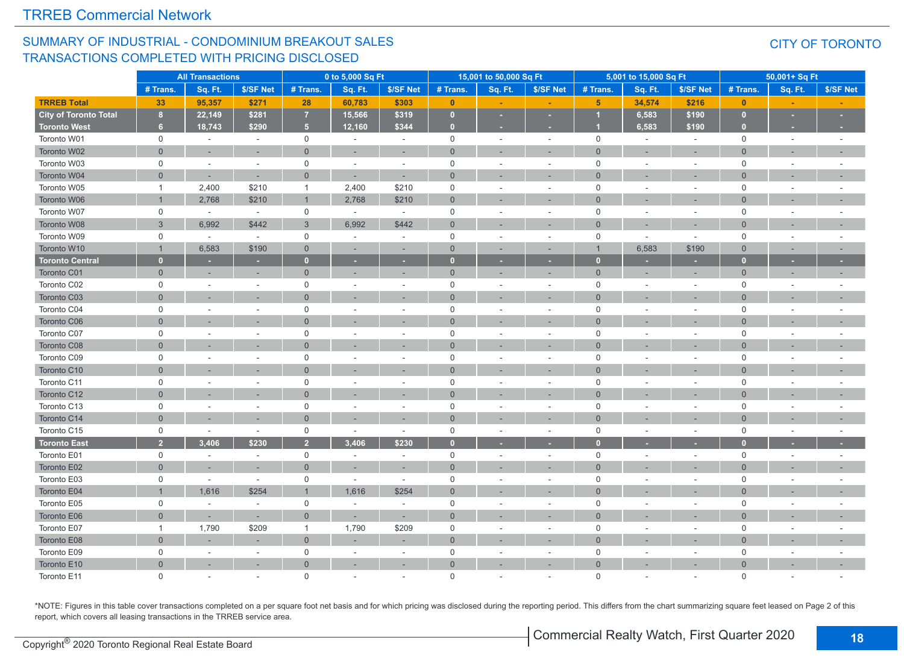#### SUMMARY OF INDUSTRIAL - CONDOMINIUM BREAKOUT SALES TRANSACTIONS COMPLETED WITH PRICING DISCLOSED

#### CITY OF TORONTO

|                        |                     | <b>All Transactions</b>  |                          |                | 0 to 5,000 Sq Ft         |                          |                | 15,001 to 50,000 Sq Ft |                          |                | 5,001 to 15,000 Sq Ft |           |                | 50,001+ Sq Ft  |           |
|------------------------|---------------------|--------------------------|--------------------------|----------------|--------------------------|--------------------------|----------------|------------------------|--------------------------|----------------|-----------------------|-----------|----------------|----------------|-----------|
|                        | # Trans.            | Sq. Ft.                  | \$/SF Net                | # Trans.       | Sq. Ft.                  | \$/SF Net                | # Trans.       | Sq. Ft.                | \$/SF Net                | # Trans.       | Sq. Ft.               | \$/SF Net | # Trans.       | Sq. Ft.        | \$/SF Net |
| <b>TRREB Total</b>     | 33                  | 95,357                   | \$271                    | 28             | 60,783                   | \$303                    | $\mathbf{0}$   |                        |                          | 5 <sup>5</sup> | 34,574                | \$216     | $\mathbf{0}$   |                |           |
| City of Toronto Total  | 8                   | 22,149                   | \$281                    | $\overline{7}$ | 15,566                   | \$319                    | $\bullet$      |                        |                          | и              | 6,583                 | \$190     | $\mathbf{0}$   | ×              |           |
| <b>Toronto West</b>    | 6 <sup>1</sup>      | 18,743                   | \$290                    | 5 <sup>1</sup> | 12,160                   | \$344                    | $\bullet$      | ×                      | ٠                        |                | 6,583                 | \$190     | $\mathbf{0}$   | ×              |           |
| Toronto W01            | $\mathbf 0$         | $\sim$                   | $\sim$                   | $\mathsf{O}$   | $\sim$                   | $\sim$                   | $\mathbf 0$    | $\sim$                 | $\sim$                   | $\mathbf 0$    | $\sim$                | $\sim$    | $\mathbf 0$    | $\sim$         | $\sim$    |
| Toronto W02            | $\overline{0}$      |                          | ٠                        | $\mathbf{0}$   |                          |                          | $\mathbf{0}$   |                        |                          | $\mathbf{0}$   |                       |           | $\overline{0}$ |                |           |
| Toronto W03            | $\mathbf 0$         | $\sim$                   | $\sim$                   | $\mathbf 0$    | $\overline{a}$           | $\sim$                   | $\mathbf 0$    |                        | $\sim$                   | $\mathbf 0$    |                       | $\sim$    | $\mathbf 0$    |                |           |
| Toronto W04            | $\mathbf{0}$        |                          | ٠                        | $\overline{0}$ | ÷.                       | $\sim$                   | $\Omega$       |                        |                          | $\overline{0}$ |                       |           | $\overline{0}$ |                |           |
| Toronto W05            | $\mathbf{1}$        | 2,400                    | \$210                    | $\overline{1}$ | 2,400                    | \$210                    | $\mathbf 0$    | in 1919.               | ÷                        | $\mathbf 0$    | ÷.                    | $\sim$    | $\mathbf 0$    | in 1919.       |           |
| Toronto W06            | $\mathbf{1}$        | 2,768                    | \$210                    | $\mathbf{1}$   | 2,768                    | \$210                    | $\mathbf 0$    |                        |                          | $\overline{0}$ |                       |           | $\overline{0}$ |                |           |
| Toronto W07            | $\mathbf 0$         | $\sim$                   | $\sim$                   | $\mathbf 0$    | $\sim$                   | $\sim$                   | $\mathbf 0$    |                        | $\sim$                   | $\mathbf 0$    | $\sim$                | $\sim$    | $\mathbf 0$    |                |           |
| Toronto W08            | $\mathbf{3}$        | 6,992                    | \$442                    | $\mathbf{3}$   | 6,992                    | \$442                    | $\mathbf 0$    |                        |                          | $\overline{0}$ |                       |           | $\overline{0}$ |                |           |
| Toronto W09            | $\mathbf 0$         | $\sim$                   | $\sim$                   | $\mathbf 0$    | $\overline{\phantom{a}}$ | $\sim$                   | $\mathbf 0$    |                        | $\sim$                   | $\mathbf 0$    | $\sim$                | $\sim$    | $\mathbf 0$    | $\sim$         |           |
| Toronto W10            | $\mathbf{1}$        | 6,583                    | \$190                    | $\overline{0}$ | ×,                       |                          | $\overline{0}$ |                        | ٠                        | $\overline{1}$ | 6,583                 | \$190     | $\overline{0}$ |                |           |
| <b>Toronto Central</b> | $\mathbf{0}$        |                          |                          | $\mathbf{0}$   | ٠                        |                          | $\overline{0}$ |                        | ٠                        | $\mathbf{0}$   |                       |           | $\bf{0}$       |                |           |
| Toronto C01            | $\overline{0}$      | $\overline{\phantom{a}}$ | ٠.                       | $\overline{0}$ | $\overline{\phantom{a}}$ | $\overline{\phantom{a}}$ | $\mathbf 0$    |                        | ٠                        | $\overline{0}$ | ×.                    | $\sim$    | $\overline{0}$ |                |           |
| Toronto C02            | $\mathbf 0$         | $\overline{a}$           | $\sim$                   | $\mathbf 0$    | ÷.                       |                          | $\mathsf 0$    |                        | $\sim$                   | $\mathsf 0$    | $\sim$                | $\sim$    | $\mathbf 0$    |                |           |
| Toronto C03            | $\mathbf{0}$        |                          | ٠.                       | $\overline{0}$ |                          |                          | $\mathbf{0}$   |                        | ٠                        | $\Omega$       |                       | $\sim$    | $\overline{0}$ |                |           |
| Toronto C04            | 0                   | $\overline{a}$           | $\sim$                   | $\mathbf 0$    | $\sim$                   |                          | $\mathbf 0$    |                        | $\overline{\phantom{a}}$ | $\mathbf 0$    | $\sim$                | $\sim$    | $\mathbf 0$    | $\sim$         |           |
| Toronto C06            | $\Omega$            |                          |                          | $\Omega$       |                          |                          | $\Omega$       |                        | ÷.                       | $\Omega$       |                       |           | $\Omega$       |                |           |
| Toronto C07            | $\mathbf 0$         | $\sim$                   |                          | $\mathbf 0$    | $\overline{\phantom{a}}$ |                          | $\mathbf 0$    |                        | $\overline{\phantom{a}}$ | $\mathbf 0$    |                       | $\sim$    | $\mathbf 0$    |                |           |
| Toronto C08            | $\Omega$            |                          |                          | $\Omega$       |                          |                          | $\overline{0}$ |                        | ٠                        | $\Omega$       |                       |           | $\Omega$       |                |           |
| Toronto C09            | $\mathbf 0$         | ÷,                       |                          | $\mathbf 0$    |                          |                          | $\mathbf 0$    |                        | $\sim$                   | $\mathbf 0$    |                       | $\sim$    | $\mathbf 0$    |                |           |
| Toronto C10            | $\overline{0}$      |                          |                          | $\overline{0}$ |                          |                          | $\overline{0}$ |                        |                          | $\overline{0}$ |                       |           | $\overline{0}$ |                |           |
| Toronto C11            | 0                   | $\sim$                   |                          | $\Omega$       |                          |                          | $\mathbf 0$    |                        | ÷.                       | $\mathbf 0$    |                       | $\sim$    | $\mathbf 0$    |                |           |
| Toronto C12            | $\Omega$            |                          |                          | $\Omega$       |                          |                          | $\overline{0}$ |                        | ÷.                       | $\Omega$       |                       |           | $\Omega$       |                |           |
| Toronto C13            | $\mathsf{O}\xspace$ | $\sim$                   | $\overline{\phantom{a}}$ | $\mathbf 0$    | ÷.                       |                          | $\mathbf 0$    |                        | $\sim$                   | $\mathsf 0$    |                       | $\sim$    | $\mathbf 0$    |                |           |
| Toronto C14            | $\Omega$            |                          |                          | $\Omega$       |                          |                          | $\Omega$       |                        | ×.                       | $\Omega$       |                       |           | $\Omega$       |                |           |
| Toronto C15            | $\mathbf 0$         | $\sim$                   | $\sim$                   | $\mathbf 0$    | $\sim$                   | $\sim$                   | $\mathsf 0$    |                        | $\sim$                   | $\mathsf 0$    |                       | $\sim$    | $\mathbf 0$    | $\overline{a}$ |           |
| <b>Toronto East</b>    | $\overline{2}$      | 3.406                    | \$230                    | $\overline{2}$ | 3,406                    | \$230                    | $\bf{0}$       |                        | ٠                        | $\Omega$       |                       |           | $\bf{0}$       |                |           |
| Toronto E01            | 0                   | $\sim$                   | $\sim$                   | $\mathsf{O}$   | $\sim$                   | $\sim$                   | $\mathbf 0$    |                        | ÷                        | $\mathbf 0$    | $\sim$                | $\sim$    | $\mathbf 0$    | $\sim$         | $\sim$    |
| Toronto E02            | $\overline{0}$      |                          | ٠                        | $\overline{0}$ |                          |                          | $\overline{0}$ |                        | ٠                        | $\overline{0}$ |                       |           | $\overline{0}$ |                |           |
| Toronto E03            | 0                   | $\sim$                   | $\overline{\phantom{a}}$ | $\mathbf 0$    | ÷.                       | $\sim$                   | $\mathbf 0$    |                        | ÷.                       | $\mathbf 0$    |                       |           | $\mathbf 0$    |                |           |
| Toronto E04            | $\mathbf{1}$        | 1,616                    | \$254                    | $\mathbf{1}$   | 1,616                    | \$254                    | $\mathbf{0}$   |                        |                          | $\Omega$       |                       |           | $\Omega$       |                |           |
| Toronto E05            | $\mathbf 0$         | $\sim$                   | $\sim$                   | $\mathbf 0$    | $\sim$                   | i.                       | $\mathbf 0$    |                        | $\sim$                   | $\mathbf 0$    | ä,                    | $\sim$    | $\mathbf 0$    |                |           |
| Toronto E06            | $\overline{0}$      |                          |                          | $\overline{0}$ |                          |                          | $\overline{0}$ |                        | ÷                        | $\overline{0}$ |                       |           | $\overline{0}$ |                |           |
| Toronto E07            | $\mathbf{1}$        | 1,790                    | \$209                    | $\overline{1}$ | 1,790                    | \$209                    | $\mathbf 0$    |                        | $\sim$                   | $\mathbf 0$    |                       | $\sim$    | $\mathbf 0$    |                |           |
| Toronto E08            | $\overline{0}$      |                          |                          | $\overline{0}$ |                          |                          | $\mathbf 0$    |                        | ٠                        | $\overline{0}$ |                       |           | $\Omega$       |                |           |
| Toronto E09            | $\mathbf 0$         | $\overline{a}$           | $\sim$                   | $\mathsf 0$    | $\sim$                   |                          | $\mathbf 0$    |                        | $\sim$                   | $\mathbf 0$    |                       | $\sim$    | $\mathbf 0$    |                |           |
| Toronto E10            | $\overline{0}$      |                          |                          | $\mathbf 0$    |                          |                          | $\overline{0}$ |                        | ۰                        | $\overline{0}$ |                       |           | $\Omega$       |                |           |
| Toronto E11            | $\Omega$            |                          |                          | $\Omega$       |                          |                          | $\Omega$       |                        |                          | $\Omega$       | ÷.                    |           | $\Omega$       |                |           |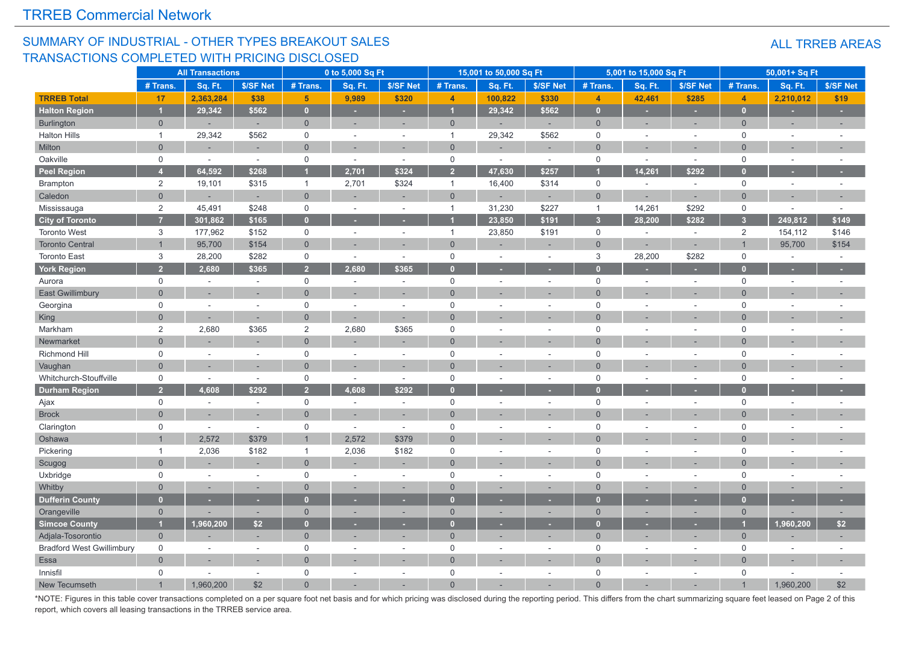#### SUMMARY OF INDUSTRIAL - OTHER TYPES BREAKOUT SALES TRANSACTIONS COMPLETED WITH PRICING DISCLOSED

|                                  |                | <b>All Transactions</b> |                          |                | 0 to 5,000 Sq Ft         |           |                | 15,001 to 50,000 Sq Ft   |                          |                         | 5,001 to 15,000 Sq Ft |                          |                | 50,001+ Sq Ft            |           |
|----------------------------------|----------------|-------------------------|--------------------------|----------------|--------------------------|-----------|----------------|--------------------------|--------------------------|-------------------------|-----------------------|--------------------------|----------------|--------------------------|-----------|
|                                  | # Trans.       | Sq. Ft.                 | \$/SF Net                | # Trans.       | Sq. Ft.                  | \$/SF Net | # Trans.       | Sq. Ft.                  | \$/SF Net                | # Trans.                | Sq. Ft.               | \$/SF Net                | # Trans.       | Sq. Ft.                  | \$/SF Net |
| <b>TRREB Total</b>               | 17             | 2,363,284               | \$38                     | 5 <sup>5</sup> | 9,989                    | \$320     | $\overline{4}$ | 100,822                  | \$330                    | $\overline{4}$          | 42,461                | \$285                    | $\overline{4}$ | 2,210,012                | \$19      |
| <b>Halton Region</b>             |                | 29,342                  | \$562                    | $\bullet$      | ٠                        | ٠         | $\overline{1}$ | 29,342                   | \$562                    | $\overline{0}$          | ٠                     | ٠                        | $\mathbf{0}$   | ×                        | ٠         |
| <b>Burlington</b>                | $\overline{0}$ |                         | ÷,                       | $\overline{0}$ | ÷,                       | $\sim$    | $\mathbf 0$    |                          | ÷.                       | $\mathbf{0}$            | $\sim$                | ÷,                       | $\Omega$       | ٠                        | $\sim$    |
| Halton Hills                     | $\overline{1}$ | 29,342                  | \$562                    | $\mathsf 0$    | $\sim$                   | $\sim$    | $\overline{1}$ | 29,342                   | \$562                    | $\mathbf 0$             | $\sim$                | $\sim$                   | $\mathbf 0$    | $\sim$                   |           |
| Milton                           | $\overline{0}$ |                         | ٠                        | $\overline{0}$ | ÷,                       |           | $\Omega$       |                          | $\overline{\phantom{a}}$ | $\Omega$                |                       | ÷,                       | $\Omega$       | ٠                        |           |
| Oakville                         | $\mathbf 0$    | $\sim$                  | $\sim$                   | $\mathbf 0$    | $\sim$                   | $\sim$    | $\mathsf 0$    | $\sim$                   | $\sim$                   | $\mathbf 0$             | $\sim$                | $\sim$                   | $\mathbf 0$    | ÷,                       |           |
| <b>Peel Region</b>               | $\overline{A}$ | 64,592                  | \$268                    | г              | 2,701                    | \$324     | $\overline{2}$ | 47,630                   | \$257                    |                         | 14,261                | \$292                    |                |                          |           |
| Brampton                         | $\sqrt{2}$     | 19,101                  | \$315                    | $\mathbf{1}$   | 2,701                    | \$324     | $\overline{1}$ | 16,400                   | \$314                    | $\mathsf{O}$            | $\sim$                | $\sim$                   | $\mathbf 0$    | $\sim$                   | $\sim$    |
| Caledon                          | $\overline{0}$ |                         | ÷                        | $\overline{0}$ |                          |           | $\overline{0}$ |                          |                          | $\overline{0}$          |                       |                          | $\Omega$       |                          |           |
| Mississauga                      | $\overline{c}$ | 45,491                  | \$248                    | $\mathbf 0$    | $\sim$                   | $\sim$    | $\overline{1}$ | 31,230                   | \$227                    | $\mathbf{1}$            | 14,261                | \$292                    | $\mathbf 0$    | $\sim$                   | $\sim$    |
| <b>City of Toronto</b>           | $\overline{7}$ | 301,862                 | \$165                    | $\overline{0}$ |                          |           |                | 23,850                   | \$191                    | $\overline{\mathbf{3}}$ | 28,200                | \$282                    | 3 <sup>2</sup> | 249,812                  | \$149     |
| <b>Toronto West</b>              | 3              | 177,962                 | \$152                    | $\mathbf 0$    | ÷.                       | ÷.        | $\overline{1}$ | 23,850                   | \$191                    | $\mathbf 0$             |                       | $\sim$                   | 2              | 154,112                  | \$146     |
| <b>Toronto Central</b>           | $\overline{1}$ | 95,700                  | \$154                    | $\overline{0}$ | ÷                        |           | $\Omega$       |                          |                          | $\overline{0}$          | i.                    | ×,                       |                | 95,700                   | \$154     |
| <b>Toronto East</b>              | 3              | 28,200                  | \$282                    | $\mathbf 0$    | $\sim$                   | $\sim$    | $\mathsf 0$    | $\sim$                   | $\sim$                   | 3                       | 28,200                | \$282                    | $\mathbf 0$    | $\sim$                   | $\sim$    |
| <b>York Region</b>               | $\overline{2}$ | 2,680                   | \$365                    | $\overline{2}$ | 2,680                    | \$365     | $\overline{0}$ |                          |                          | п                       |                       |                          |                |                          |           |
| Aurora                           | $\mathbf 0$    | $\sim$                  | $\sim$                   | $\mathsf 0$    | $\sim$                   | $\sim$    | $\mathbf 0$    | $\sim$                   | $\sim$                   | $\mathbf 0$             |                       | $\sim$                   | $\mathbf 0$    | $\sim$                   | $\sim$    |
| <b>East Gwillimbury</b>          | $\overline{0}$ |                         | ÷,                       | $\overline{0}$ |                          |           | $\Omega$       |                          |                          | $\Omega$                |                       | $\overline{a}$           | $\Omega$       |                          |           |
| Georgina                         | $\mathsf 0$    | $\sim$                  | $\sim$                   | $\mathbf 0$    | ÷.                       | $\sim$    | $\mathbf 0$    | ÷.                       | $\sim$                   | $\mathbf 0$             |                       | $\sim$                   | $\mathbf 0$    | ÷.                       |           |
| King                             | $\overline{0}$ |                         |                          | $\overline{0}$ |                          |           | $\Omega$       |                          |                          | $\Omega$                |                       |                          | $\Omega$       |                          |           |
| Markham                          | $\overline{2}$ | 2,680                   | \$365                    | $\sqrt{2}$     | 2,680                    | \$365     | $\mathbf 0$    |                          | ÷.                       | $\overline{0}$          |                       | ÷                        | $\Omega$       | ÷.                       |           |
| Newmarket                        | $\Omega$       |                         |                          | $\Omega$       |                          |           | $\Omega$       |                          |                          | $\Omega$                |                       |                          | $\Omega$       |                          |           |
| Richmond Hill                    | $\mathsf 0$    |                         | $\overline{\phantom{a}}$ | $\mathsf{O}$   |                          | $\sim$    | $\mathbf 0$    | $\overline{\phantom{a}}$ | $\sim$                   | $\mathbf 0$             |                       | $\sim$                   | $\mathbf 0$    | $\overline{\phantom{a}}$ |           |
| Vaughan                          | $\overline{0}$ |                         |                          | $\overline{0}$ |                          |           | $\Omega$       |                          |                          | $\Omega$                |                       |                          | $\Omega$       |                          |           |
| Whitchurch-Stouffville           | $\mathbf 0$    | $\sim$                  | $\sim$                   | $\mathbf 0$    | ÷,                       | $\sim$    | $\mathbf 0$    |                          | $\sim$                   | $\mathbf 0$             |                       | $\sim$                   | $\mathbf 0$    | $\sim$                   |           |
| <b>Durham Region</b>             | $\overline{2}$ | 4,608                   | \$292                    | $\overline{2}$ | 4,608                    | \$292     | $\sqrt{ }$     |                          |                          | n                       |                       |                          |                | ٠                        |           |
| Ajax                             | $\mathbf 0$    | $\sim$                  | $\overline{\phantom{a}}$ | $\mathbf 0$    | $\sim$                   | $\sim$    | $\mathbf 0$    | $\overline{\phantom{a}}$ | $\sim$                   | $\mathbf 0$             |                       | ÷,                       | $\mathbf 0$    | $\overline{\phantom{a}}$ |           |
| <b>Brock</b>                     | $\Omega$       |                         | ÷,                       | $\overline{0}$ | ÷.                       | н.        | $\Omega$       |                          |                          | $\Omega$                |                       |                          | $\Omega$       |                          |           |
| Clarington                       | $\mathbf 0$    |                         | $\sim$                   | $\mathsf 0$    | $\sim$                   | ÷.        | $\Omega$       |                          |                          | $\Omega$                |                       | ÷                        | $\Omega$       |                          |           |
| Oshawa                           |                | 2,572                   | \$379                    | $\overline{1}$ | 2,572                    | \$379     | $\Omega$       |                          | ÷.                       | $\Omega$                |                       |                          | $\Omega$       | ×.                       |           |
| Pickering                        | $\overline{1}$ | 2,036                   | \$182                    | $\mathbf{1}$   | 2,036                    | \$182     | $\mathbf 0$    | $\sim$                   | $\sim$                   | $\mathbf 0$             |                       | ÷,                       | $\mathbf 0$    | $\sim$                   | ÷,        |
| Scugog                           | $\Omega$       |                         | ÷,                       | $\overline{0}$ |                          | $\sim$    | $\overline{0}$ | $\sim$                   | ÷.                       | $\Omega$                |                       | ÷,                       | $\Omega$       | ÷,                       |           |
| Uxbridge                         | $\mathsf 0$    |                         | $\sim$                   | $\mathsf 0$    | ÷.                       | $\sim$    | $\mathbf 0$    |                          | ×.                       | $\mathsf 0$             |                       | $\sim$                   | $\mathbf 0$    | $\sim$                   |           |
| Whitby                           | $\mathbf 0$    |                         | ٠                        | $\overline{0}$ | ÷                        | $\sim$    | $\Omega$       |                          |                          | $\Omega$                |                       | $\overline{\phantom{a}}$ | $\Omega$       | ٠                        |           |
| <b>Dufferin County</b>           | $\mathbf{0}$   |                         |                          | $\mathbf{0}$   |                          |           | $\Omega$       |                          |                          | п                       |                       |                          | $\mathbf{0}$   |                          |           |
| Orangeville                      | $\overline{0}$ |                         | ÷.                       | $\mathbf 0$    |                          | $\sim$    | $\mathbf 0$    |                          | ٠                        | $\mathbf 0$             |                       | ÷,                       | $\Omega$       |                          |           |
| <b>Simcoe County</b>             | и              | 1,960,200               | \$2                      | $\overline{0}$ |                          |           | $\overline{0}$ |                          |                          | Ю                       |                       |                          |                | 1,960,200                | \$2       |
| Adjala-Tosorontio                | $\overline{0}$ |                         | ÷                        | $\mathbf{0}$   | ÷,                       |           | $\overline{0}$ |                          |                          | $\overline{0}$          |                       | ÷                        | $\mathbf{0}$   |                          |           |
| <b>Bradford West Gwillimbury</b> | $\mathbf 0$    | $\sim$                  | $\sim$                   | $\mathbf 0$    | $\overline{\phantom{a}}$ | $\sim$    | $\mathbf 0$    | ÷.                       | $\sim$                   | $\mathbf 0$             | $\sim$                | $\sim$                   | $\mathbf 0$    | $\sim$                   |           |
| Essa                             | $\overline{0}$ |                         |                          | $\overline{0}$ |                          |           | $\Omega$       |                          |                          | $\Omega$                |                       |                          | $\Omega$       |                          |           |
| Innisfil                         | $\mathbf 0$    |                         | $\sim$                   | $\mathbf 0$    | ÷                        | $\sim$    | $\mathbf 0$    | ÷.                       | $\sim$                   | $\mathbf 0$             |                       | $\sim$                   | $\mathbf 0$    | ÷.                       | ÷.        |
| <b>New Tecumseth</b>             |                | 1.960.200               | \$2                      | $\Omega$       |                          |           | $\Omega$       |                          |                          |                         |                       |                          |                | 1.960.200                | \$2       |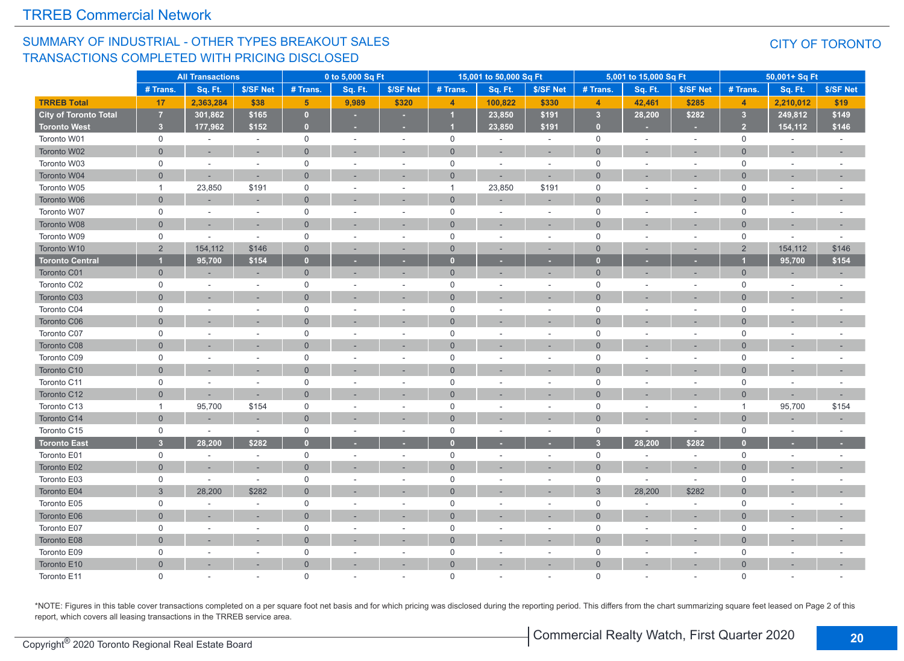#### SUMMARY OF INDUSTRIAL - OTHER TYPES BREAKOUT SALES TRANSACTIONS COMPLETED WITH PRICING DISCLOSED

#### CITY OF TORONTO

|                        |                     | <b>All Transactions</b> |                          |                     | 0 to 5,000 Sq Ft         |           |                | 15,001 to 50,000 Sq Ft |                          |                     | 5,001 to 15,000 Sq Ft |           |                         | 50,001+ Sq Ft |           |
|------------------------|---------------------|-------------------------|--------------------------|---------------------|--------------------------|-----------|----------------|------------------------|--------------------------|---------------------|-----------------------|-----------|-------------------------|---------------|-----------|
|                        | # Trans.            | Sq. Ft.                 | \$/SF Net                | # Trans.            | Sq. Ft.                  | \$/SF Net | # Trans.       | Sq. Ft.                | \$/SF Net                | # Trans.            | Sq. Ft.               | \$/SF Net | # Trans                 | Sq. Ft.       | \$/SF Net |
| <b>TRREB Total</b>     | 17                  | 2,363,284               | \$38                     | $5\phantom{1}$      | 9,989                    | \$320     | $\overline{4}$ | 100,822                | \$330                    | $\overline{4}$      | 42,461                | \$285     | $\overline{4}$          | 2,210,012     | \$19      |
| City of Toronto Total  | $\overline{7}$      | 301,862                 | \$165                    | $\mathbf{0}$        | $\sim$                   | ٠         |                | 23,850                 | \$191                    | $\sqrt{3}$          | 28,200                | \$282     | $\overline{\mathbf{3}}$ | 249,812       | \$149     |
| <b>Toronto West</b>    | 3 <sup>2</sup>      | 177,962                 | \$152                    | $\mathbf{0}$        |                          |           |                | 23,850                 | \$191                    | $\overline{0}$      |                       |           | $\overline{2}$          | 154,112       | \$146     |
| Toronto W01            | $\mathsf{O}$        | $\sim$                  | $\sim$                   | $\mathsf{O}$        | $\sim$                   | $\sim$    | $\mathsf{O}$   | $\sim$                 | $\sim$                   | $\mathbf 0$         | $\sim$                | $\sim$    | $\mathbf 0$             | $\sim$        | $\sim$    |
| Toronto W02            | $\overline{0}$      |                         |                          | $\mathbf{0}$        |                          |           | $\overline{0}$ |                        | $\sim$                   | $\mathbf{0}$        |                       |           | $\overline{0}$          |               |           |
| Toronto W03            | $\mathbf 0$         | $\sim$                  | $\sim$                   | $\mathbf 0$         | $\sim$                   |           | $\mathbf 0$    | $\sim$                 | $\sim$                   | $\mathbf 0$         |                       |           | $\mathbf 0$             |               | ÷,        |
| Toronto W04            | $\overline{0}$      |                         |                          | $\overline{0}$      |                          |           | $\overline{0}$ |                        | ٠                        | $\Omega$            |                       |           | $\Omega$                |               |           |
| Toronto W05            | $\mathbf{1}$        | 23,850                  | \$191                    | $\mathbf 0$         | $\overline{\phantom{a}}$ |           | $\overline{1}$ | 23,850                 | \$191                    | $\mathbf 0$         | ÷                     | $\sim$    | $\mathbf 0$             |               |           |
| Toronto W06            | $\overline{0}$      |                         |                          | $\overline{0}$      |                          |           | $\overline{0}$ |                        | ٠                        | $\Omega$            |                       |           | $\Omega$                |               |           |
| Toronto W07            | $\mathsf{O}\xspace$ | $\sim$                  | $\omega$                 | $\mathsf{O}\xspace$ |                          |           | $\mathsf{O}$   |                        | $\sim$                   | $\mathsf 0$         |                       | $\sim$    | $\mathbf 0$             | $\sim$        |           |
| Toronto W08            | $\overline{0}$      | ٠                       | $\sim$                   | $\mathbf 0$         |                          |           | $\overline{0}$ |                        | $\sim$                   | $\Omega$            |                       |           | $\overline{0}$          | $\sim$        | ٠         |
| Toronto W09            | $\mathsf{O}$        | $\sim$                  | $\sim$                   | $\mathsf 0$         | ÷.                       | $\sim$    | $\mathbf 0$    |                        | $\sim$                   | $\mathbf 0$         | ÷,                    | $\sim$    | $\mathbf 0$             | $\sim$        | $\sim$    |
| Toronto W10            | $\overline{2}$      | 154,112                 | \$146                    | $\overline{0}$      | ×.                       |           | $\overline{0}$ |                        | $\overline{\phantom{a}}$ | $\Omega$            | ÷,                    |           | $\overline{2}$          | 154,112       | \$146     |
| <b>Toronto Central</b> | и                   | 95,700                  | \$154                    | $\bullet$           |                          |           | $\bf{0}$       |                        | ٠                        | $\Omega$            |                       |           |                         | 95,700        | \$154     |
| <b>Toronto C01</b>     | $\overline{0}$      |                         | ÷.                       | $\overline{0}$      | з.                       |           | $\overline{0}$ |                        | ×.                       | $\overline{0}$      |                       |           | $\Omega$                |               | $\sim$    |
| Toronto C02            | $\mathbf 0$         | $\overline{a}$          | $\sim$                   | $\mathbf 0$         | ÷.                       |           | $\mathbf 0$    |                        | $\sim$                   | $\mathbf 0$         |                       |           | $\mathbf 0$             |               |           |
| Toronto C03            | $\overline{0}$      | ÷,                      | $\sim$                   | $\overline{0}$      |                          |           | $\overline{0}$ |                        | ×,                       | $\Omega$            |                       |           | $\Omega$                | $\sim$        |           |
| Toronto C04            | $\mathbf 0$         | ÷.                      | $\sim$                   | $\mathbf 0$         | ÷.                       |           | $\mathbf 0$    |                        | $\sim$                   | $\mathbf 0$         |                       | $\sim$    | $\mathbf 0$             |               |           |
| Toronto C06            | $\Omega$            |                         |                          | $\Omega$            |                          |           | $\overline{0}$ |                        |                          | $\Omega$            |                       |           | $\Omega$                |               |           |
| Toronto C07            | $\mathbf 0$         |                         |                          | $\mathbf 0$         |                          |           | 0              |                        | $\sim$                   | $\mathbf 0$         |                       | $\sim$    | $\mathbf 0$             |               |           |
| Toronto C08            | $\Omega$            |                         |                          | $\Omega$            |                          |           | $\Omega$       |                        |                          | $\Omega$            |                       |           | $\Omega$                |               |           |
| Toronto C09            | $\mathsf{O}$        | $\sim$                  | $\sim$                   | $\mathbf 0$         | $\sim$                   |           | $\mathbf 0$    |                        | $\sim$                   | $\mathbf 0$         |                       | $\sim$    | $\mathbf 0$             |               |           |
| Toronto C10            | $\overline{0}$      |                         |                          | $\overline{0}$      |                          |           | $\overline{0}$ |                        |                          | $\Omega$            |                       |           | $\Omega$                |               |           |
| Toronto C11            | $\mathsf 0$         | ÷                       | $\sim$                   | $\Omega$            |                          |           | $\mathsf{O}$   |                        | $\sim$                   | $\mathsf 0$         |                       |           | $\mathbf 0$             |               |           |
| Toronto C12            | $\Omega$            | $\sim$                  | ÷.                       | $\Omega$            |                          |           | $\overline{0}$ |                        | $\sim$                   | $\Omega$            |                       |           | $\Omega$                |               | ×.        |
| Toronto C13            | $\mathbf{1}$        | 95,700                  | \$154                    | $\mathbf 0$         |                          |           | $\mathsf{O}$   |                        | $\sim$                   | $\mathsf 0$         |                       | $\sim$    | $\overline{1}$          | 95,700        | \$154     |
| Toronto C14            | $\overline{0}$      |                         |                          | $\Omega$            |                          |           | $\overline{0}$ |                        |                          | $\Omega$            |                       |           | $\Omega$                |               | ÷,        |
| Toronto C15            | $\mathsf{O}$        | $\sim$                  | $\sim$                   | $\mathbf 0$         | ÷.                       | $\sim$    | 0              |                        | $\sim$                   | $\mathbf 0$         | $\sim$                | $\sim$    | $\mathbf 0$             |               | $\sim$    |
| <b>Toronto East</b>    | 3 <sup>2</sup>      | 28,200                  | \$282                    | $\mathbf{0}$        |                          |           | $\mathbf{0}$   |                        |                          | 3                   | 28,200                | \$282     | $\mathbf{0}$            |               |           |
| Toronto E01            | $\mathbf 0$         | $\sim$                  | $\sim$                   | $\mathsf{O}$        | ÷                        | $\sim$    | 0              | ÷.                     | $\sim$                   | $\mathbf 0$         | $\sim$                | $\sim$    | $\mathbf 0$             | $\sim$        | ÷.        |
| Toronto E02            | $\overline{0}$      |                         |                          | $\mathbf 0$         |                          |           | $\overline{0}$ |                        |                          | $\overline{0}$      |                       |           | $\Omega$                |               |           |
| Toronto E03            | 0                   | $\sim$                  | $\sim$                   | $\mathbf 0$         |                          |           | $\mathbf 0$    |                        | $\sim$                   | $\mathbf 0$         | ÷,                    | $\sim$    | $\Omega$                |               |           |
| Toronto E04            | $\mathbf{3}$        | 28,200                  | \$282                    | $\mathbf 0$         |                          |           | $\Omega$       |                        |                          | 3                   | 28,200                | \$282     | $\overline{0}$          |               |           |
| Toronto E05            | $\mathbf 0$         |                         | $\sim$                   | $\mathbf 0$         |                          |           | 0              |                        | ÷,                       | $\mathbf 0$         |                       | $\sim$    | $\overline{0}$          |               |           |
| Toronto E06            | $\overline{0}$      |                         | $\sim$                   | $\overline{0}$      |                          |           | $\overline{0}$ |                        | ۰                        | $\Omega$            |                       |           | $\Omega$                |               |           |
| Toronto E07            | $\mathbf 0$         | ÷.                      | $\sim$                   | $\mathbf 0$         |                          |           | 0              |                        | $\sim$                   | $\mathsf{O}\xspace$ |                       | $\sim$    | $\mathbf 0$             |               |           |
| Toronto E08            | $\Omega$            |                         | $\overline{\phantom{a}}$ | $\overline{0}$      |                          |           | $\overline{0}$ |                        | $\sim$                   | $\Omega$            |                       |           | $\Omega$                |               |           |
| Toronto E09            | $\mathbf 0$         |                         |                          | $\mathsf 0$         | ÷.                       |           | 0              |                        | ÷.                       | $\mathsf 0$         |                       | $\sim$    | $\overline{0}$          |               |           |
| Toronto E10            | $\mathbf{0}$        |                         |                          | $\overline{0}$      |                          |           | $\overline{0}$ |                        | ÷                        | $\Omega$            |                       |           | $\Omega$                |               |           |
| Toronto E11            | $\Omega$            |                         |                          | $\Omega$            |                          |           | $\Omega$       |                        |                          | $\Omega$            | ÷.                    |           | $\Omega$                |               |           |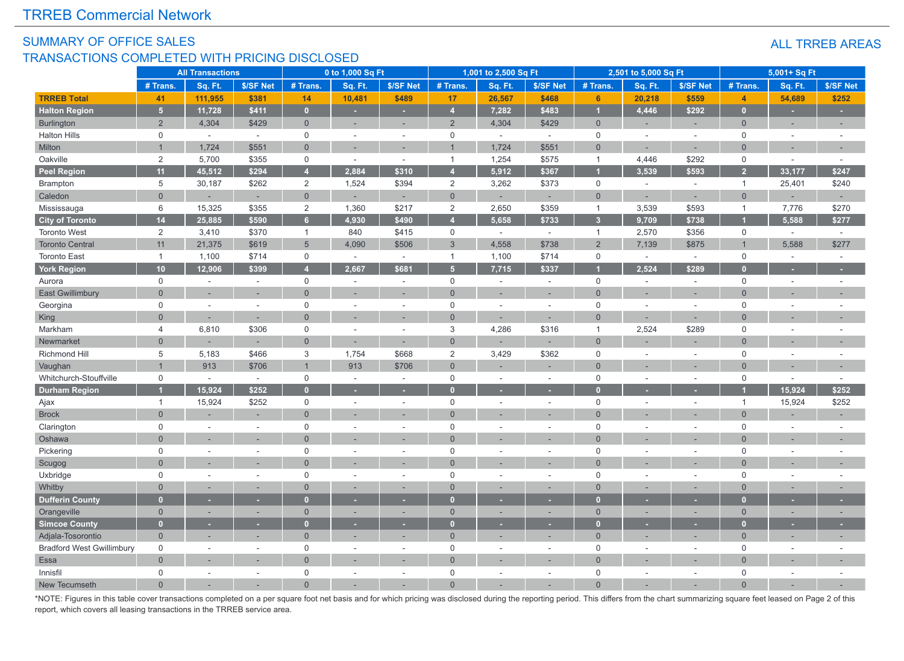#### SUMMARY OF OFFICE SALES TRANSACTIONS COMPLETED WITH PRICING DISCLOSED

|                                  | <b>All Transactions</b> |          |                          | 0 to 1,000 Sq Ft    |          |                          | 1,001 to 2,500 Sq Ft |         |                          | 2,501 to 5,000 Sq Ft |                |                          | 5,001+ Sq Ft   |                          |           |
|----------------------------------|-------------------------|----------|--------------------------|---------------------|----------|--------------------------|----------------------|---------|--------------------------|----------------------|----------------|--------------------------|----------------|--------------------------|-----------|
|                                  | # Trans.                | Sq. Ft.  | \$/SF Net                | # Trans.            | Sq. Ft.  | \$/SF Net                | # Trans              | Sq. Ft. | \$/SF Net                | # Trans.             | Sq. Ft.        | \$/SF Net                | # Trans.       | Sq. Ft.                  | \$/SF Net |
| <b>TRREB Total</b>               | 41                      | 111,955  | \$381                    | 14                  | 10,481   | \$489                    | 17                   | 26,567  | \$468                    | 6 <sup>1</sup>       | 20,218         | \$559                    | $\overline{4}$ | 54,689                   | \$252     |
| <b>Halton Region</b>             | 5 <sup>1</sup>          | 11,728   | \$411                    | $\overline{0}$      | ÷        |                          | $\overline{4}$       | 7,282   | \$483                    | г                    | 4,446          | \$292                    | $\Omega$       | ٠                        |           |
| Burlington                       | $\overline{2}$          | 4,304    | \$429                    | $\mathbf 0$         | ٠        |                          | 2                    | 4,304   | \$429                    | $\overline{0}$       | ÷.             | $\sim$                   | $\mathbf{0}$   | ÷.                       | $\sim$    |
| <b>Halton Hills</b>              | $\mathbf 0$             | $\omega$ | $\omega$                 | $\mathbf 0$         | $\sim$   | $\sim$                   | $\mathbf 0$          | $\sim$  | $\sim$                   | $\mathbf 0$          | $\sim$         | $\sim$                   | $\mathbf 0$    | $\sim$                   |           |
| Milton                           | $\overline{1}$          | 1,724    | \$551                    | $\overline{0}$      | ÷.       |                          |                      | 1,724   | \$551                    | $\Omega$             | $\overline{a}$ | $\overline{\phantom{a}}$ | $\Omega$       | ÷.                       |           |
| Oakville                         | $\overline{2}$          | 5,700    | \$355                    | $\mathsf 0$         | $\sim$   | $\sim$                   | $\overline{1}$       | 1,254   | \$575                    | $\mathbf{1}$         | 4,446          | \$292                    | $\mathsf 0$    |                          |           |
| <b>Peel Region</b>               | 11                      | 45,512   | \$294                    | $\overline{4}$      | 2,884    | \$310                    | $\overline{4}$       | 5,912   | \$367                    |                      | 3,539          | \$593                    | 2 <sup>1</sup> | 33,177                   | \$247     |
| <b>Brampton</b>                  | 5                       | 30,187   | \$262                    | $\overline{2}$      | 1,524    | \$394                    | 2                    | 3,262   | \$373                    | $\mathbf 0$          | $\sim$         | $\overline{\phantom{a}}$ | $\overline{1}$ | 25,401                   | \$240     |
| Caledon                          | $\overline{0}$          |          | $\sim$                   | $\mathsf{O}\xspace$ | ٠        | $\sim$                   | $\overline{0}$       |         | ÷,                       | $\overline{0}$       | $\sim$         | ÷,                       | $\overline{0}$ | ٠                        | $\sim$    |
| Mississauga                      | 6                       | 15,325   | \$355                    | $\overline{2}$      | 1,360    | \$217                    | 2                    | 2,650   | \$359                    | $\mathbf{1}$         | 3,539          | \$593                    | $\mathbf{1}$   | 7,776                    | \$270     |
| <b>City of Toronto</b>           | 14                      | 25,885   | \$590                    | $6\phantom{a}$      | 4,930    | \$490                    | $\overline{A}$       | 5,658   | \$733                    | 3 <sup>1</sup>       | 9,709          | \$738                    |                | 5,588                    | \$277     |
| <b>Toronto West</b>              | $\overline{2}$          | 3,410    | \$370                    | $\mathbf{1}$        | 840      | \$415                    | $\mathsf{O}\xspace$  | $\sim$  | $\sim$                   | $\mathbf{1}$         | 2,570          | \$356                    | $\mathsf{O}$   | $\sim$                   | $\sim$    |
| <b>Toronto Central</b>           | 11                      | 21,375   | \$619                    | $5\phantom{.}$      | 4,090    | \$506                    | $\overline{3}$       | 4,558   | \$738                    | 2                    | 7,139          | \$875                    |                | 5,588                    | \$277     |
| <b>Toronto East</b>              | $\overline{1}$          | 1,100    | \$714                    | $\mathbf 0$         | $\omega$ | $\sim$                   | $\overline{1}$       | 1,100   | \$714                    | $\mathbf 0$          | $\sim$         | $\sim$                   | $\mathbf 0$    | $\mathcal{L}$            | $\sim$    |
| <b>York Region</b>               | 10                      | 12,906   | \$399                    | $\overline{4}$      | 2,667    | \$681                    | 5 <sub>5</sub>       | 7,715   | \$337                    |                      | 2,524          | \$289                    | $\Omega$       |                          |           |
| Aurora                           | 0                       | $\sim$   | $\sim$                   | $\mathsf 0$         | $\sim$   | $\sim$                   | $\mathsf 0$          | $\sim$  | $\sim$                   | 0                    | $\sim$         | $\sim$                   | $\mathbf 0$    | $\sim$                   |           |
| <b>East Gwillimbury</b>          | $\overline{0}$          |          | ٠                        | $\overline{0}$      |          |                          | $\Omega$             |         |                          | $\Omega$             |                |                          | $\Omega$       |                          |           |
| Georgina                         | 0                       | $\sim$   | $\sim$                   | $\mathbf 0$         | ÷        | $\sim$                   | $\mathbf 0$          | $\sim$  | $\sim$                   | $\mathbf 0$          | $\sim$         | $\sim$                   | $\overline{0}$ | $\overline{a}$           |           |
| King                             | $\overline{0}$          |          |                          | $\Omega$            |          |                          | $\Omega$             |         |                          | $\Omega$             |                |                          | $\Omega$       |                          |           |
| Markham                          | $\overline{4}$          | 6,810    | \$306                    | $\mathsf 0$         |          | $\sim$                   | $\mathbf{3}$         | 4,286   | \$316                    | $\mathbf{1}$         | 2,524          | \$289                    | $\Omega$       | ÷.                       |           |
| Newmarket                        | $\overline{0}$          |          |                          | $\overline{0}$      | $\sim$   |                          | $\overline{0}$       |         |                          | $\mathbf{0}$         |                |                          | $\overline{0}$ |                          |           |
| Richmond Hill                    | 5                       | 5,183    | \$466                    | $\mathbf{3}$        | 1,754    | \$668                    | $\overline{2}$       | 3,429   | \$362                    | $\mathbf 0$          | $\sim$         | $\sim$                   | $\Omega$       | $\sim$                   |           |
| Vaughan                          | $\overline{1}$          | 913      | \$706                    | $\overline{1}$      | 913      | \$706                    | $\overline{0}$       |         |                          | $\Omega$             |                |                          | $\Omega$       |                          |           |
| Whitchurch-Stouffville           | $\mathsf{O}$            | $\sim$   | $\overline{\phantom{a}}$ | $\mathsf 0$         | ÷,       | $\overline{\phantom{a}}$ | $\mathbf 0$          |         | $\overline{\phantom{a}}$ | $\mathsf 0$          |                | $\overline{\phantom{a}}$ | $\mathbf 0$    | $\overline{\phantom{a}}$ |           |
| <b>Durham Region</b>             |                         | 15.924   | \$252                    | $\mathbf{0}$        |          |                          | $\overline{0}$       |         |                          |                      |                |                          |                | 15,924                   | \$252     |
| Ajax                             | $\overline{1}$          | 15,924   | \$252                    | $\mathbf 0$         | ÷,       | $\sim$                   | $\mathbf 0$          |         | $\sim$                   | $\mathbf 0$          | $\sim$         | $\overline{\phantom{a}}$ | $\overline{1}$ | 15,924                   | \$252     |
| <b>Brock</b>                     | $\overline{0}$          |          | ÷.                       | $\overline{0}$      |          |                          | $\Omega$             |         |                          | $\Omega$             |                |                          | $\overline{0}$ |                          |           |
| Clarington                       | $\mathbf 0$             |          | $\overline{\phantom{a}}$ | $\mathbf 0$         |          |                          | $\mathbf 0$          |         | $\overline{\phantom{a}}$ | $\mathbf 0$          |                | ÷,                       | $\Omega$       |                          |           |
| Oshawa                           | $\Omega$                |          | ÷.                       | $\Omega$            | ÷.       |                          | $\Omega$             |         | $\overline{a}$           | $\Omega$             |                | ÷.                       | $\Omega$       | $\sim$                   |           |
| Pickering                        | $\mathsf{O}$            | ×.       | $\sim$                   | $\mathsf 0$         | $\sim$   | $\sim$                   | $\mathbf 0$          | $\sim$  | $\sim$                   | $\mathsf 0$          | $\overline{a}$ | $\sim$                   | $\mathbf 0$    | $\sim$                   |           |
| Scugog                           | $\mathbf{0}$            |          | $\sim$                   | $\Omega$            |          |                          | $\Omega$             |         | ÷                        | $\Omega$             |                | ÷                        | $\Omega$       | ×.                       |           |
| Uxbridge                         | $\mathbf 0$             |          | ÷.                       | $\mathbf 0$         | L.       | $\sim$                   | $\mathbf 0$          |         | $\sim$                   | $\Omega$             | ÷,             | $\sim$                   | $\Omega$       | ÷,                       |           |
| Whitby                           | $\overline{0}$          |          | ۰                        | $\Omega$            | ÷        |                          | $\mathbf{0}$         |         | ۳                        | $\mathbf{0}$         |                | ÷                        | $\Omega$       | ×.                       |           |
| <b>Dufferin County</b>           | $\overline{0}$          |          |                          | $\mathbf{0}$        |          |                          | $\mathbf{0}$         |         |                          | $\mathbf{0}$         |                |                          | $\Omega$       |                          |           |
| Orangeville                      | $\overline{0}$          |          | ×.                       | $\mathbf{0}$        | ×.       | $\overline{\phantom{a}}$ | $\mathbf{0}$         |         | ٠                        | $\overline{0}$       | ÷              | ÷.                       | $\Omega$       | ×.                       |           |
| <b>Simcoe County</b>             | $\bullet$               |          | ٠                        | $\mathbf{0}$        |          |                          | $\overline{0}$       |         |                          | $\mathbf{0}$         |                |                          | n              |                          |           |
| Adjala-Tosorontio                | $\mathbf{0}$            |          | ÷                        | $\mathbf{0}$        |          |                          | $\overline{0}$       |         | ÷                        | $\overline{0}$       |                |                          | $\Omega$       | ÷,                       |           |
| <b>Bradford West Gwillimbury</b> | $\mathbf 0$             | $\sim$   | $\sim$                   | $\mathbf 0$         | $\sim$   | $\sim$                   | $\mathbf 0$          | $\sim$  | $\sim$                   | $\mathbf 0$          | $\sim$         | $\sim$                   | $\mathbf 0$    | $\sim$                   |           |
| Essa                             | $\mathbf 0$             |          |                          | $\Omega$            |          |                          | $\Omega$             |         |                          | $\Omega$             |                |                          | $\Omega$       |                          |           |
| Innisfil                         | $\mathbf 0$             |          | $\sim$                   | $\mathbf 0$         | ÷        | $\sim$                   | $\mathbf 0$          |         | $\overline{\phantom{a}}$ | $\mathbf 0$          | ÷              | ÷                        | $\mathbf 0$    | ÷.                       |           |
| New Tecumseth                    | $\Omega$                |          |                          | $\Omega$            |          |                          | $\Omega$             |         |                          |                      |                |                          | $\Omega$       |                          |           |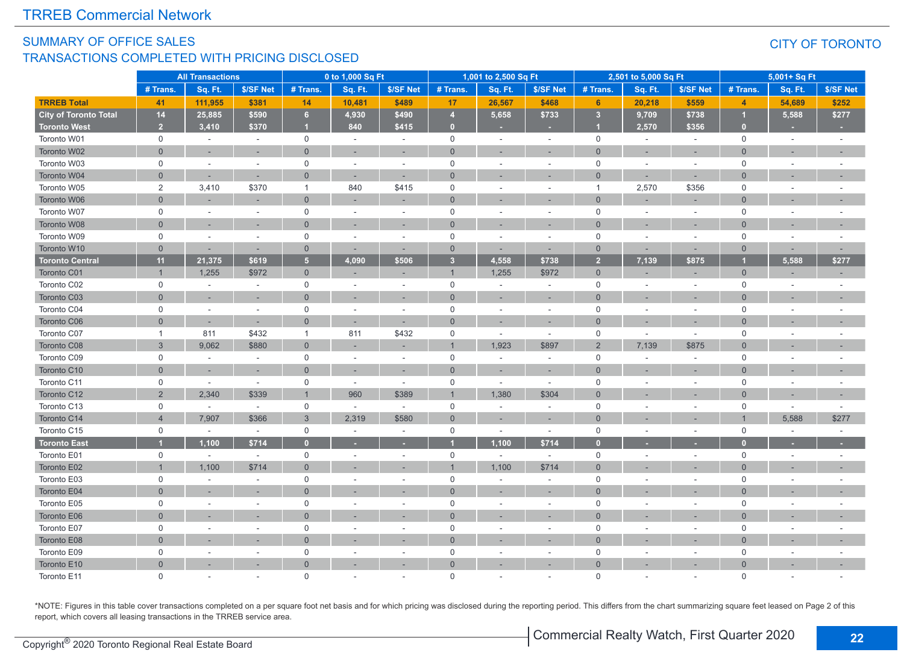#### SUMMARY OF OFFICE SALES TRANSACTIONS COMPLETED WITH PRICING DISCLOSED

#### CITY OF TORONTO

|                              | <b>All Transactions</b> |                          | 0 to 1,000 Sq Ft |                |         | 1,001 to 2,500 Sq Ft     |                         |                          | 2,501 to 5,000 Sq Ft     |                         |         | 5,001+ Sq Ft   |                |                          |                |
|------------------------------|-------------------------|--------------------------|------------------|----------------|---------|--------------------------|-------------------------|--------------------------|--------------------------|-------------------------|---------|----------------|----------------|--------------------------|----------------|
|                              | # Trans.                | Sq. Ft.                  | \$/SF Net        | # Trans.       | Sq. Ft. | \$/SF Net                | # Trans.                | Sq. Ft.                  | \$/SF Net                | # Trans                 | Sq. Ft. | \$/SF Net      | # Trans.       | Sq. Ft.                  | \$/SF Net      |
| <b>TRREB Total</b>           | 41                      | 111,955                  | \$381            | 14             | 10,481  | \$489                    | 17                      | 26,567                   | \$468                    | 6                       | 20,218  | \$559          | $\overline{4}$ | 54,689                   | \$252          |
| <b>City of Toronto Total</b> | 14                      | 25,885                   | \$590            | $\,$ 6 $\,$    | 4,930   | \$490                    | $\overline{4}$          | 5,658                    | \$733                    | $\overline{\mathbf{3}}$ | 9,709   | \$738          |                | 5,588                    | \$277          |
| <b>Toronto West</b>          | 2 <sup>2</sup>          | 3,410                    | \$370            | и              | 840     | \$415                    | $\overline{0}$          |                          |                          | и                       | 2,570   | \$356          | $\mathbf{0}$   |                          |                |
| Toronto W01                  | $\mathbf 0$             | $\sim$                   | $\sim$           | $\mathbf 0$    | $\sim$  | $\sim$                   | $\mathsf{O}\xspace$     | ÷                        | $\sim$                   | $\mathbf 0$             | $\sim$  | $\sim$         | $\mathbf 0$    | $\sim$                   | $\sim$         |
| Toronto W02                  | $\overline{0}$          |                          |                  | $\overline{0}$ |         |                          | $\overline{0}$          |                          |                          | $\Omega$                |         |                | $\Omega$       |                          |                |
| Toronto W03                  | $\mathsf{O}$            | $\sim$                   | $\sim$           | $\mathbf 0$    | $\sim$  | ÷.                       | $\mathsf{O}$            | ä,                       | $\sim$                   | $\mathbf 0$             |         | ÷.             | $\mathbf 0$    | ٠                        |                |
| Toronto W04                  | $\Omega$                | ÷                        |                  | $\Omega$       |         | $\sim$                   | $\Omega$                |                          |                          | $\Omega$                |         | ÷.             | $\Omega$       |                          |                |
| Toronto W05                  | 2                       | 3,410                    | \$370            | $\overline{1}$ | 840     | \$415                    | $\mathbf 0$             | ٠                        | $\sim$                   | $\overline{1}$          | 2,570   | \$356          | $\mathbf 0$    | ÷.                       |                |
| Toronto W06                  | $\overline{0}$          |                          |                  | $\mathbf{0}$   |         |                          | $\mathbf{0}$            |                          |                          | $\Omega$                |         |                | $\Omega$       |                          |                |
| Toronto W07                  | $\mathsf{O}$            | $\sim$                   | $\sim$           | $\mathbf 0$    | $\sim$  | $\overline{\phantom{a}}$ | $\mathbf 0$             | ÷.                       | $\sim$                   | $\mathbf 0$             |         | ÷.             | $\mathbf 0$    | ÷.                       |                |
| Toronto W08                  | $\mathbf{0}$            |                          |                  | $\mathbf 0$    |         |                          | $\overline{0}$          |                          |                          | $\Omega$                |         |                | $\Omega$       |                          |                |
| Toronto W09                  | $\mathsf{O}$            | $\overline{\phantom{a}}$ | $\sim$           | $\mathsf{O}$   | $\sim$  | $\sim$                   | $\mathsf{O}$            | ÷,                       | $\sim$                   | $\mathbf 0$             |         | $\sim$         | $\mathbf 0$    | $\overline{\phantom{a}}$ |                |
| Toronto W10                  | $\mathbf{0}$            |                          |                  | $\mathbf{0}$   |         |                          | $\overline{0}$          |                          |                          | $\overline{0}$          |         |                | $\Omega$       |                          |                |
| <b>Toronto Central</b>       | 11                      | 21,375                   | \$619            | 5 <sub>5</sub> | 4,090   | \$506                    | $\overline{\mathbf{3}}$ | 4,558                    | \$738                    | $\overline{2}$          | 7,139   | \$875          |                | 5,588                    | \$277          |
| Toronto C01                  | $\overline{1}$          | 1,255                    | \$972            | $\overline{0}$ |         | $\sim$                   | $\overline{1}$          | 1,255                    | \$972                    | $\overline{0}$          |         | $\overline{a}$ | $\mathbf{0}$   | ÷.                       |                |
| Toronto C02                  | $\mathsf{O}$            | $\sim$                   | $\sim$           | $\mathsf 0$    |         | $\sim$                   | $\mathsf 0$             |                          | $\sim$                   | $\mathbf 0$             |         | $\sim$         | $\mathbf 0$    |                          |                |
| Toronto C03                  | $\mathbf{0}$            |                          | $\sim$           | $\mathbf{0}$   |         | ٠                        | $\overline{0}$          | ÷.                       | $\sim$                   | $\Omega$                |         | ÷,             | $\Omega$       | ٠                        |                |
| Toronto C04                  | 0                       | ÷.                       | $\sim$           | $\mathbf 0$    | $\sim$  | $\sim$                   | $\mathbf 0$             | $\sim$                   | $\sim$                   | $\mathbf 0$             |         | $\sim$         | $\mathbf 0$    | ÷.                       |                |
| Toronto C06                  | $\Omega$                | ÷,                       |                  | $\mathbf{0}$   |         | ÷,                       | $\overline{0}$          |                          |                          | $\Omega$                |         |                | $\Omega$       |                          |                |
| Toronto C07                  | $\mathbf{1}$            | 811                      | \$432            | $\overline{1}$ | 811     | \$432                    | $\mathbf 0$             | $\overline{\phantom{a}}$ | $\overline{\phantom{a}}$ | $\mathbf 0$             | $\sim$  | $\sim$         | $\mathbf 0$    | ÷                        |                |
| Toronto C08                  | 3                       | 9,062                    | \$880            | $\overline{0}$ |         | ÷,                       | $\overline{1}$          | 1,923                    | \$897                    | $\overline{2}$          | 7,139   | \$875          | $\Omega$       |                          |                |
| Toronto C09                  | $\mathsf 0$             | $\sim$                   | $\sim$           | $\mathsf 0$    | $\sim$  | $\sim$                   | $\mathsf{O}$            | $\overline{\phantom{a}}$ | $\overline{\phantom{a}}$ | $\mathbf 0$             |         | $\sim$         | $\mathbf 0$    | $\overline{\phantom{a}}$ |                |
| Toronto C10                  | $\overline{0}$          |                          |                  | $\mathbf{0}$   |         |                          | $\overline{0}$          |                          |                          | $\Omega$                |         |                | $\Omega$       |                          |                |
| Toronto C11                  | $\mathsf{O}$            | $\overline{\phantom{a}}$ | $\sim$           | $\mathbf 0$    | $\sim$  | $\sim$                   | $\mathsf 0$             | ٠                        | $\sim$                   | $\mathbf 0$             |         | ä,             | $\Omega$       | $\sim$                   |                |
| Toronto C12                  | 2                       | 2,340                    | \$339            | $\overline{1}$ | 960     | \$389                    | $\overline{1}$          | 1,380                    | \$304                    | $\Omega$                |         |                | $\Omega$       |                          |                |
| Toronto C13                  | $\mathsf{O}\xspace$     | $\sim$                   | $\sim$           | $\mathbf 0$    | $\sim$  | $\sim$                   | $\mathsf{O}\xspace$     | ٠                        | $\sim$                   | $\mathbf 0$             |         | $\sim$         | $\mathbf 0$    | $\sim$                   | $\overline{a}$ |
| Toronto C14                  | $\overline{4}$          | 7,907                    | \$366            | 3              | 2,319   | \$580                    | $\mathbf 0$             |                          |                          | $\Omega$                |         |                |                | 5,588                    | \$277          |
| Toronto C15                  | $\mathsf{O}$            | $\sim$                   | $\sim$           | $\mathbf 0$    | $\sim$  | $\omega$                 | $\mathsf{O}$            | $\sim$                   | $\sim$                   | $\mathbf 0$             |         | ÷.             | $\mathbf 0$    | $\overline{\phantom{a}}$ |                |
| <b>Toronto East</b>          | и                       | 1.100                    | \$714            | $\mathbf{0}$   |         | ٠                        |                         | 1.100                    | \$714                    | $\bullet$               |         |                |                |                          |                |
| Toronto E01                  | $\mathsf{O}$            | $\sim$                   | $\sim$           | $\mathsf{O}$   | $\sim$  | $\sim$                   | $\mathsf{O}$            | $\sim$                   | $\sim$                   | $\mathsf 0$             |         | $\sim$         | $\mathbf 0$    | $\sim$                   |                |
| Toronto E02                  |                         | 1,100                    | \$714            | $\mathbf{0}$   |         |                          |                         | 1,100                    | \$714                    | $\Omega$                |         |                | $\Omega$       |                          |                |
| Toronto E03                  | $\mathsf{O}$            | ÷.                       |                  | $\mathsf{O}$   |         | ÷.                       | $\mathbf 0$             | ÷.                       | $\sim$                   | $\mathbf 0$             |         | ÷.             | $\mathbf 0$    | ÷.                       |                |
| Toronto E04                  | $\mathbf{0}$            |                          |                  | $\overline{0}$ |         |                          | $\overline{0}$          |                          |                          | $\Omega$                |         |                | $\Omega$       |                          |                |
| Toronto E05                  | 0                       | ä,                       |                  | $\mathsf 0$    |         | ÷.                       | 0                       | ä,                       | $\sim$                   | $\mathbf 0$             |         | ä,             | $\Omega$       |                          |                |
| Toronto E06                  | $\mathbf{0}$            |                          |                  | $\overline{0}$ |         |                          | $\overline{0}$          |                          |                          | $\Omega$                |         |                | $\Omega$       |                          |                |
| Toronto E07                  | $\mathsf{O}\xspace$     |                          | $\sim$           | $\mathsf 0$    |         | $\sim$                   | $\mathsf 0$             | $\overline{\phantom{a}}$ | $\sim$                   | $\mathbf 0$             |         | $\sim$         | $\mathbf 0$    | $\overline{\phantom{a}}$ |                |
| Toronto E08                  | $\Omega$                |                          |                  | $\overline{0}$ |         | ×.                       | $\mathbf{0}$            |                          | $\sim$                   | $\Omega$                |         | ÷.             | $\Omega$       | ٠                        |                |
| Toronto E09                  | $\mathsf{O}$            |                          |                  | $\mathsf 0$    | $\sim$  | $\sim$                   | $\mathsf 0$             |                          | $\sim$                   | $\mathbf 0$             |         | ÷,             | $\mathbf 0$    |                          |                |
| Toronto E10                  | $\overline{0}$          |                          |                  | $\overline{0}$ |         |                          | $\overline{0}$          |                          |                          | $\Omega$                |         |                | $\Omega$       |                          |                |
| Toronto E11                  | $\Omega$                |                          |                  | $\Omega$       |         |                          | $\Omega$                |                          |                          | $\Omega$                |         |                | $\Omega$       |                          |                |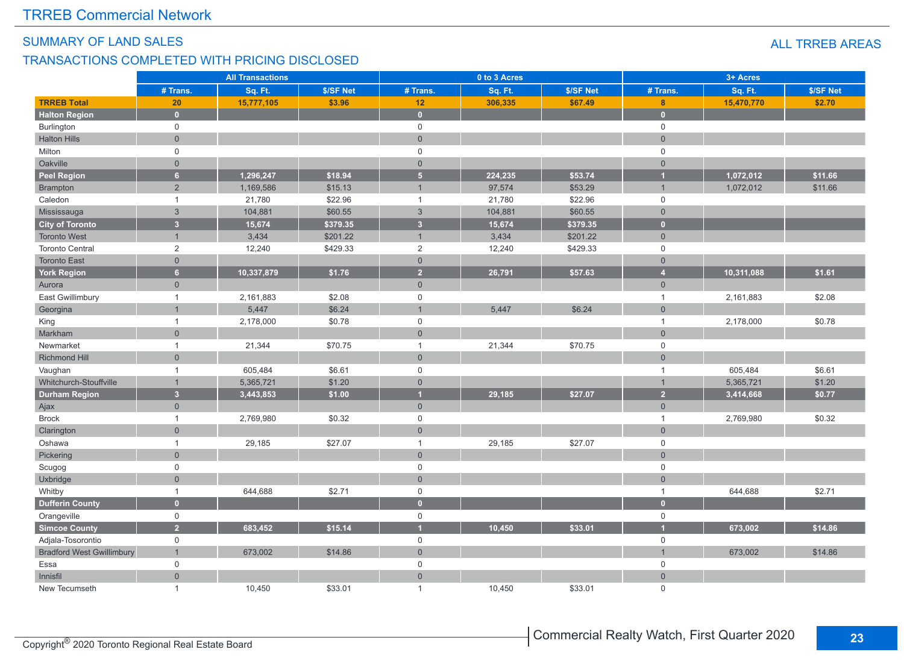#### SUMMARY OF LAND SALES

#### TRANSACTIONS COMPLETED WITH PRICING DISCLOSED

|                                  | <b>All Transactions</b> |            |           |                         | 0 to 3 Acres |           | 3+ Acres            |            |           |  |
|----------------------------------|-------------------------|------------|-----------|-------------------------|--------------|-----------|---------------------|------------|-----------|--|
|                                  | # Trans.                | Sq. Ft.    | \$/SF Net | # Trans.                | Sq. Ft.      | \$/SF Net | # Trans.            | Sq. Ft.    | \$/SF Net |  |
| <b>TRREB Total</b>               | 20                      | 15,777,105 | \$3.96    | 12                      | 306,335      | \$67.49   | 8                   | 15,470,770 | \$2.70    |  |
| <b>Halton Region</b>             | $\bullet$               |            |           | $\mathbf{0}$            |              |           | $\bullet$           |            |           |  |
| Burlington                       | $\mathbf 0$             |            |           | $\mathsf 0$             |              |           | $\mathsf{O}$        |            |           |  |
| <b>Halton Hills</b>              | $\overline{0}$          |            |           | $\overline{0}$          |              |           | $\mathsf{O}\xspace$ |            |           |  |
| Milton                           | $\mathbf 0$             |            |           | $\mathbf 0$             |              |           | $\mathsf{O}\xspace$ |            |           |  |
| Oakville                         | $\overline{0}$          |            |           | $\overline{0}$          |              |           | $\overline{0}$      |            |           |  |
| <b>Peel Region</b>               | 6 <sup>1</sup>          | 1,296,247  | \$18.94   | $5\phantom{.0}$         | 224,235      | \$53.74   | $\overline{1}$      | 1,072,012  | \$11.66   |  |
| <b>Brampton</b>                  | $\overline{2}$          | 1,169,586  | \$15.13   | $\overline{1}$          | 97,574       | \$53.29   | $\overline{1}$      | 1,072,012  | \$11.66   |  |
| Caledon                          | $\overline{1}$          | 21,780     | \$22.96   | $\mathbf{1}$            | 21,780       | \$22.96   | $\mathsf{O}\xspace$ |            |           |  |
| Mississauga                      | $\mathbf{3}$            | 104,881    | \$60.55   | $\mathfrak{Z}$          | 104,881      | \$60.55   | $\overline{0}$      |            |           |  |
| <b>City of Toronto</b>           | $\overline{\mathbf{3}}$ | 15,674     | \$379.35  | $\overline{\mathbf{3}}$ | 15,674       | \$379.35  | $\bullet$           |            |           |  |
| <b>Toronto West</b>              | $\overline{1}$          | 3,434      | \$201.22  | $\overline{1}$          | 3,434        | \$201.22  | $\overline{0}$      |            |           |  |
| <b>Toronto Central</b>           | 2                       | 12,240     | \$429.33  | $\overline{2}$          | 12,240       | \$429.33  | $\mathsf{O}\xspace$ |            |           |  |
| <b>Toronto East</b>              | $\overline{0}$          |            |           | $\overline{0}$          |              |           | $\overline{0}$      |            |           |  |
| <b>York Region</b>               | 6 <sup>1</sup>          | 10,337,879 | \$1.76    | $\overline{2}$          | 26,791       | \$57.63   | $\overline{4}$      | 10,311,088 | \$1.61    |  |
| Aurora                           | $\overline{0}$          |            |           | $\mathbf{0}$            |              |           | $\overline{0}$      |            |           |  |
| East Gwillimbury                 | $\overline{1}$          | 2,161,883  | \$2.08    | $\mathbf 0$             |              |           | $\overline{1}$      | 2,161,883  | \$2.08    |  |
| Georgina                         |                         | 5,447      | \$6.24    | $\overline{1}$          | 5,447        | \$6.24    | $\mathbf{0}$        |            |           |  |
| King                             | $\mathbf{1}$            | 2,178,000  | \$0.78    | $\mathbf 0$             |              |           | $\mathbf{1}$        | 2,178,000  | \$0.78    |  |
| Markham                          | $\overline{0}$          |            |           | $\overline{0}$          |              |           | $\overline{0}$      |            |           |  |
| Newmarket                        | $\overline{1}$          | 21,344     | \$70.75   | $\overline{1}$          | 21,344       | \$70.75   | $\mathsf{O}$        |            |           |  |
| Richmond Hill                    | $\overline{0}$          |            |           | $\mathbf{0}$            |              |           | $\mathbf 0$         |            |           |  |
| Vaughan                          | $\mathbf{1}$            | 605,484    | \$6.61    | $\mathbf 0$             |              |           | $\mathbf{1}$        | 605,484    | \$6.61    |  |
| Whitchurch-Stouffville           | $\overline{1}$          | 5,365,721  | \$1.20    | $\mathbf 0$             |              |           | $\mathbf{1}$        | 5,365,721  | \$1.20    |  |
| <b>Durham Region</b>             | 3 <sup>1</sup>          | 3,443,853  | \$1.00    | $\overline{1}$          | 29,185       | \$27.07   | 2 <sup>1</sup>      | 3,414,668  | \$0.77    |  |
| Ajax                             | $\overline{0}$          |            |           | $\mathbf 0$             |              |           | $\overline{0}$      |            |           |  |
| <b>Brock</b>                     | $\mathbf{1}$            | 2,769,980  | \$0.32    | $\mathsf 0$             |              |           | $\mathbf{1}$        | 2,769,980  | \$0.32    |  |
| Clarington                       | $\overline{0}$          |            |           | $\overline{0}$          |              |           | $\overline{0}$      |            |           |  |
| Oshawa                           | $\mathbf{1}$            | 29,185     | \$27.07   | $\overline{1}$          | 29,185       | \$27.07   | $\mathsf 0$         |            |           |  |
| Pickering                        | $\overline{0}$          |            |           | $\overline{0}$          |              |           | $\overline{0}$      |            |           |  |
| Scugog                           | $\mathbf 0$             |            |           | $\mathbf 0$             |              |           | $\mathsf 0$         |            |           |  |
| Uxbridge                         | $\overline{0}$          |            |           | $\overline{0}$          |              |           | $\mathsf{O}\xspace$ |            |           |  |
| Whitby                           | $\mathbf{1}$            | 644,688    | \$2.71    | $\mathsf 0$             |              |           | $\mathbf{1}$        | 644,688    | \$2.71    |  |
| <b>Dufferin County</b>           | $\overline{0}$          |            |           | $\overline{0}$          |              |           | $\mathbf{0}$        |            |           |  |
| Orangeville                      | $\mathbf 0$             |            |           | $\mathsf 0$             |              |           | $\mathsf{O}\xspace$ |            |           |  |
| <b>Simcoe County</b>             | 2 <sup>1</sup>          | 683.452    | \$15.14   | $\overline{1}$          | 10.450       | \$33.01   | $\overline{1}$      | 673,002    | \$14.86   |  |
| Adjala-Tosorontio                | $\mathsf{O}$            |            |           | $\mathbf 0$             |              |           | $\mathsf 0$         |            |           |  |
| <b>Bradford West Gwillimbury</b> | $\mathbf{1}$            | 673,002    | \$14.86   | $\mathbf{0}$            |              |           | $\overline{1}$      | 673,002    | \$14.86   |  |
| Essa                             | $\mathbf 0$             |            |           | $\mathbf 0$             |              |           | $\mathbf 0$         |            |           |  |
| Innisfil                         | $\overline{0}$          |            |           | $\overline{0}$          |              |           | $\overline{0}$      |            |           |  |
| New Tecumseth                    | $\mathbf{1}$            | 10,450     | \$33.01   | $\mathbf{1}$            | 10,450       | \$33.01   | $\mathbf 0$         |            |           |  |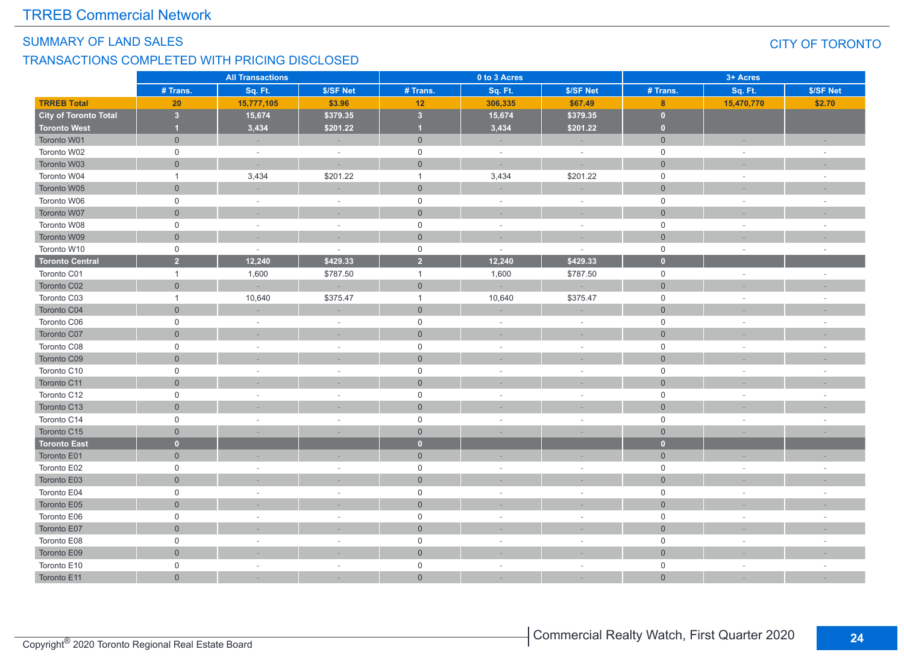#### SUMMARY OF LAND SALES CITY OF TORONTO

#### TRANSACTIONS COMPLETED WITH PRICING DISCLOSED

|                              | <b>All Transactions</b> |            |           |                         | 0 to 3 Acres |           | 3+ Acres            |            |                          |  |
|------------------------------|-------------------------|------------|-----------|-------------------------|--------------|-----------|---------------------|------------|--------------------------|--|
|                              | # Trans.                | Sq. Ft.    | \$/SF Net | # Trans.                | Sq. Ft.      | \$/SF Net | # Trans.            | Sq. Ft.    | \$/SF Net                |  |
| <b>TRREB Total</b>           | 20                      | 15,777,105 | \$3.96    | 12                      | 306,335      | \$67.49   | 8                   | 15,470,770 | \$2.70                   |  |
| <b>City of Toronto Total</b> | $\overline{\mathbf{3}}$ | 15,674     | \$379.35  | $\overline{\mathbf{3}}$ | 15,674       | \$379.35  | $\overline{0}$      |            |                          |  |
| <b>Toronto West</b>          | $\blacksquare$          | 3,434      | \$201.22  | $\overline{1}$          | 3,434        | \$201.22  | $\mathbf{0}$        |            |                          |  |
| Toronto W01                  | $\overline{0}$          |            | $\sim$    | $\mathbf 0$             |              | $\sim$    | $\mathbf{0}$        | $\sim$     |                          |  |
| Toronto W02                  | $\mathbf 0$             | $\sim$     | $\sim$    | $\mathsf{O}\xspace$     | $\sim$       | $\sim$    | $\mathsf{O}\xspace$ | $\sim$     | $\sim$                   |  |
| Toronto W03                  | $\overline{0}$          | $\sim$     |           | $\mathbf 0$             |              |           | $\overline{0}$      |            |                          |  |
| Toronto W04                  | $\mathbf{1}$            | 3,434      | \$201.22  | $\mathbf{1}$            | 3,434        | \$201.22  | $\mathbf 0$         | ÷.         |                          |  |
| Toronto W05                  | $\overline{0}$          |            |           | $\mathbf 0$             |              |           | $\overline{0}$      |            |                          |  |
| Toronto W06                  | $\mathbf 0$             | $\sim$     | $\sim$    | $\mathbf 0$             | $\sim$       | $\sim$    | $\mathbf 0$         | $\sim$     | ÷.                       |  |
| Toronto W07                  | $\overline{0}$          |            |           | $\mathbf 0$             |              |           | $\overline{0}$      |            |                          |  |
| Toronto W08                  | $\mathbf 0$             | $\sim$     | $\sim$    | $\mathsf 0$             | $\sim$       | $\sim$    | $\mathbf 0$         | $\sim$     |                          |  |
| Toronto W09                  | $\overline{0}$          |            |           | $\mathbf 0$             |              |           | $\overline{0}$      |            |                          |  |
| Toronto W10                  | $\mathbf 0$             | $\sim$     | $\sim$    | $\mathbf 0$             | $\sim$       | $\sim$    | $\mathbf 0$         | $\sim$     |                          |  |
| <b>Toronto Central</b>       | $\overline{2}$          | 12,240     | \$429.33  | $\overline{2}$          | 12,240       | \$429.33  | $\bullet$           |            |                          |  |
| Toronto C01                  | $\overline{1}$          | 1,600      | \$787.50  | $\mathbf{1}$            | 1,600        | \$787.50  | $\mathsf{O}\xspace$ | $\sim$     |                          |  |
| Toronto C02                  | $\overline{0}$          |            |           | $\mathbf 0$             |              |           | $\overline{0}$      |            |                          |  |
| Toronto C03                  | $\overline{1}$          | 10,640     | \$375.47  | $\mathbf{1}$            | 10,640       | \$375.47  | $\mathbf 0$         | $\sim$     |                          |  |
| Toronto C04                  | $\overline{0}$          |            |           | $\mathbf 0$             |              |           | $\mathsf{O}\xspace$ |            |                          |  |
| Toronto C06                  | $\mathbf 0$             | $\sim$     | $\sim$    | $\mathsf 0$             | $\sim$       | $\sim$    | $\mathsf{O}\xspace$ | $\sim$     | $\sim$                   |  |
| Toronto C07                  | $\overline{0}$          |            |           | $\mathbf 0$             |              |           | $\overline{0}$      |            |                          |  |
| Toronto C08                  | $\mathbf 0$             | ×.         | $\sim$    | $\mathsf 0$             | $\sim$       | $\sim$    | $\mathsf{O}\xspace$ | $\sim$     |                          |  |
| Toronto C09                  | $\overline{0}$          |            |           | $\mathsf{O}\xspace$     |              |           | $\overline{0}$      |            |                          |  |
| Toronto C10                  | $\mathbf 0$             | $\sim$     | $\sim$    | $\mathsf 0$             | $\sim$       | $\sim$    | $\mathbf 0$         | ÷.         |                          |  |
| Toronto C11                  | $\overline{0}$          |            |           | $\mathbf{0}$            |              |           | $\overline{0}$      |            |                          |  |
| Toronto C12                  | $\mathbf 0$             |            |           | $\mathbf 0$             |              |           | $\mathsf 0$         | ÷,         |                          |  |
| Toronto C13                  | $\overline{0}$          |            |           | $\mathbf 0$             |              |           | $\overline{0}$      |            |                          |  |
| Toronto C14                  | $\Omega$                | ×.         | $\sim$    | $\mathbf 0$             | $\sim$       | $\sim$    | $\mathbf 0$         | ÷,         | $\overline{\phantom{a}}$ |  |
| Toronto C15                  | $\overline{0}$          |            |           | $\mathbf{0}$            |              |           | $\overline{0}$      |            |                          |  |
| <b>Toronto East</b>          | $\overline{0}$          |            |           | $\mathbf{0}$            |              |           | $\bullet$           |            |                          |  |
| Toronto E01                  | $\overline{0}$          |            |           | $\mathbf 0$             |              | $\sim$    | $\overline{0}$      | $\sim$     |                          |  |
| Toronto E02                  | $\Omega$                | ×.         | $\sim$    | $\mathsf{O}\xspace$     | $\sim$       | $\sim$    | $\mathsf{O}\xspace$ | ÷          |                          |  |
| Toronto E03                  | $\overline{0}$          |            |           | $\mathbf 0$             |              |           | $\mathbf{0}$        |            |                          |  |
| Toronto E04                  | $\mathbf 0$             | $\sim$     |           | $\mathsf{O}\xspace$     | $\sim$       | $\sim$    | $\mathsf{O}\xspace$ | ÷          |                          |  |
| Toronto E05                  | $\overline{0}$          |            |           | $\mathbf 0$             |              |           | $\overline{0}$      |            |                          |  |
| Toronto E06                  | $\Omega$                | $\sim$     | $\sim$    | $\mathsf{O}\xspace$     | $\sim$       | $\sim$    | $\mathsf{O}\xspace$ | $\sim$     |                          |  |
| Toronto E07                  | $\overline{0}$          |            |           | $\mathbf 0$             |              |           | $\overline{0}$      |            |                          |  |
| Toronto E08                  | $\mathbf 0$             | $\sim$     | $\sim$    | $\mathsf 0$             | $\sim$       | $\sim$    | $\mathsf{O}\xspace$ | $\sim$     |                          |  |
| Toronto E09                  | $\overline{0}$          |            |           | $\mathbf 0$             |              |           | $\overline{0}$      |            |                          |  |
| Toronto E10                  | $\mathbf 0$             | $\sim$     | $\sim$    | $\mathsf{O}\xspace$     | $\sim$       | $\sim$    | $\mathsf{O}\xspace$ | $\sim$     | ÷.                       |  |
| Toronto E11                  | $\overline{0}$          |            |           | $\mathbf{0}$            |              |           | $\overline{0}$      |            |                          |  |